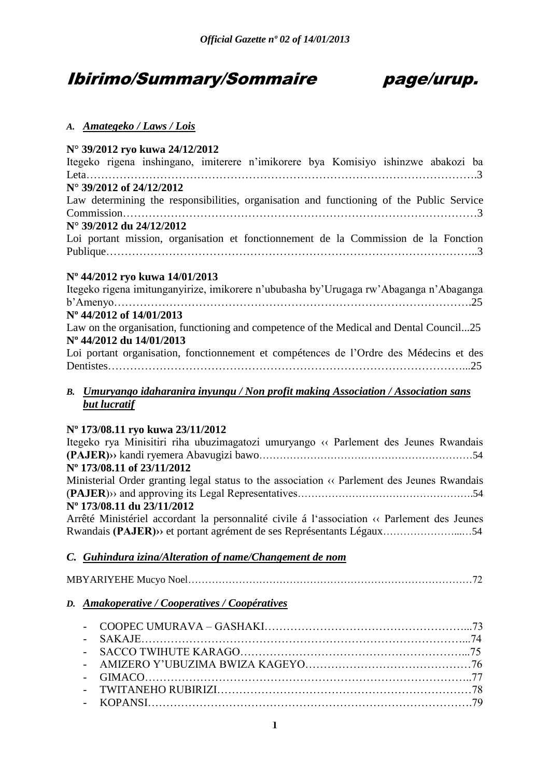## Ibirimo/Summary/Sommaire page/urup.



## *A. Amategeko / Laws / Lois*

## **N° 39/2012 ryo kuwa 24/12/2012**

|  |                                   | Itegeko rigena inshingano, imiterere n'imikorere bya Komisiyo ishinzwe abakozi ba        |  |  |  |
|--|-----------------------------------|------------------------------------------------------------------------------------------|--|--|--|
|  |                                   |                                                                                          |  |  |  |
|  | $N^{\circ}$ 39/2012 of 24/12/2012 |                                                                                          |  |  |  |
|  |                                   | Law determining the responsibilities, organisation and functioning of the Public Service |  |  |  |
|  |                                   |                                                                                          |  |  |  |
|  | N° 39/2012 du 24/12/2012          |                                                                                          |  |  |  |
|  |                                   | Loi portant mission, organisation et fonctionnement de la Commission de la Fonction      |  |  |  |

## **Nº 44/2012 ryo kuwa 14/01/2013**

Itegeko rigena imitunganyirize, imikorere n'ububasha by'Urugaga rw'Abaganga n'Abaganga b'Amenyo…………………………………………………………………………………….25 **Nº 44/2012 of 14/01/2013** Law on the organisation, functioning and competence of the Medical and Dental Council...25 **Nº 44/2012 du 14/01/2013** Loi portant organisation, fonctionnement et compétences de l'Ordre des Médecins et des Dentistes……………………………………………………………………………………...25

## *B. Umuryango idaharanira inyungu / Non profit making Association / Association sans but lucratif*

## **Nº 173/08.11 ryo kuwa 23/11/2012**

| Itegeko rya Minisitiri riha ubuzimagatozi umuryango « Parlement des Jeunes Rwandais                              |
|------------------------------------------------------------------------------------------------------------------|
|                                                                                                                  |
| N° 173/08.11 of 23/11/2012                                                                                       |
| Ministerial Order granting legal status to the association $\langle \cdot \rangle$ Parlement des Jeunes Rwandais |
|                                                                                                                  |
| Nº 173/08.11 du 23/11/2012                                                                                       |
| Arrêté Ministériel accordant la personnalité civile á l'association « Parlement des Jeunes                       |
| Rwandais (PAJER) » et portant agrément de ses Représentants Légaux54                                             |
|                                                                                                                  |
| C. Guhindura izina/Alteration of name/Changement de nom                                                          |
|                                                                                                                  |

|--|

## *D. Amakoperative / Cooperatives / Coopératives*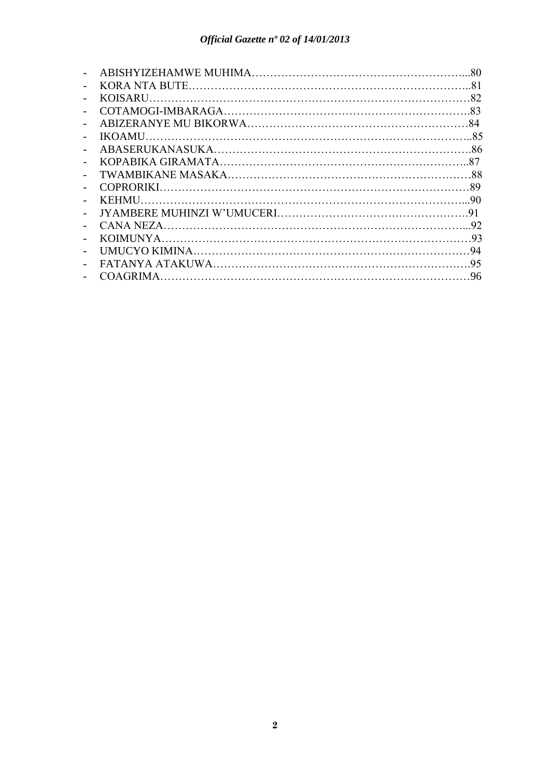|                          | -80 |
|--------------------------|-----|
| $\overline{\phantom{0}}$ |     |
|                          |     |
|                          |     |
|                          |     |
|                          |     |
| $\blacksquare$           |     |
|                          |     |
|                          |     |
|                          |     |
|                          |     |
| $\overline{\phantom{a}}$ |     |
|                          |     |
|                          |     |
|                          |     |
|                          |     |
|                          |     |
|                          |     |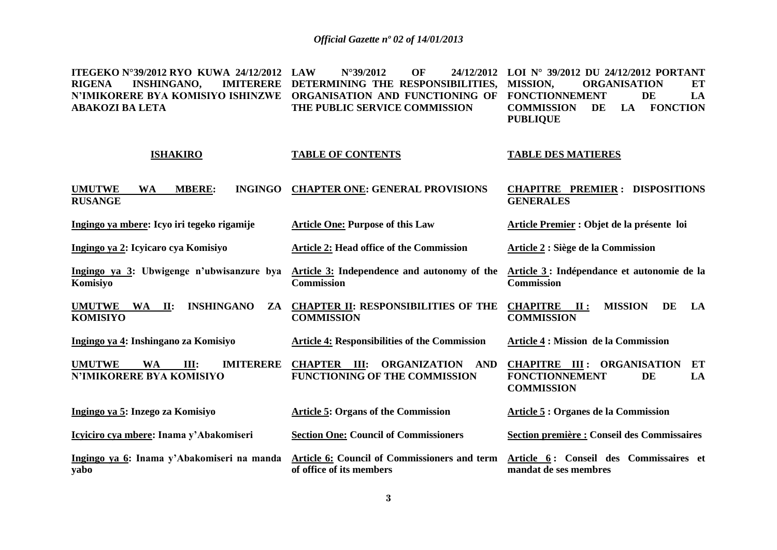**ITEGEKO N°39/2012 RYO KUWA 24/12/2012 RIGENA INSHINGANO. N'IMIKORERE BYA KOMISIYO ISHINZWE ORGANISATION AND FUNCTIONING OF FONCTIONNEMENT DE LA ABAKOZI BA LETA LAW N°39/2012 OF 24/12/2012 LOI N° 39/2012 DU 24/12/2012 PORTANT IMITERERE DETERMINING THE RESPONSIBILITIES, MISSION, THE PUBLIC SERVICE COMMISSION MISSION, ORGANISATION ET COMMISSION DE LA FONCTION PUBLIQUE**

#### **ISHAKIRO UMUTWE WA MBERE: INGINGO RUSANGE TABLE OF CONTENTS CHAPTER ONE: GENERAL PROVISIONS TABLE DES MATIERES CHAPITRE PREMIER : DISPOSITIONS GENERALES**

**Ingingo ya mbere: Icyo iri tegeko rigamije Article One: Purpose of this Law Article Premier : Objet de la présente****loi**

**Ingingo ya 2: Icyicaro cya Komisiyo Article 2: Head office of the Commission** 

**KOMISIYO** 

**Ingingo ya 3: Ubwigenge n'ubwisanzure bya Komisiyo Article 3: Independence and autonomy of the Commission Article 3 : Indépendance et autonomie de la Commission** 

**UMUTWE WA II: INSHINGANO ZA CHAPTER II: RESPONSIBILITIES OF THE COMMISSION CHAPITRE II : MISSION DE LA COMMISSION**

**Article 2 : Siège de la Commission**

**Ingingo ya 4: Inshingano za Komisiyo Article 4: Responsibilities of the Commission Article 4 : Mission de la Commission**

**UMUTWE WA III: IMITERERE N'IMIKORERE BYA KOMISIYO CHAPTER III: ORGANIZATION AND FUNCTIONING OF THE COMMISSION CHAPITRE III : ORGANISATION ET FONCTIONNEMENT DE LA COMMISSION** 

| Ingingo ya 5: Inzego za Komisiyo                   | <b>Article 5: Organs of the Commission</b>                               | Article 5 : Organes de la Commission                            |  |  |  |  |
|----------------------------------------------------|--------------------------------------------------------------------------|-----------------------------------------------------------------|--|--|--|--|
| Icyiciro cya mbere: Inama y'Abakomiseri            | <b>Section One: Council of Commissioners</b>                             | Section première : Conseil des Commissaires                     |  |  |  |  |
| Ingingo ya 6: Inama y'Abakomiseri na manda<br>yabo | Article 6: Council of Commissioners and term<br>of office of its members | Article 6: Conseil des Commissaires et<br>mandat de ses membres |  |  |  |  |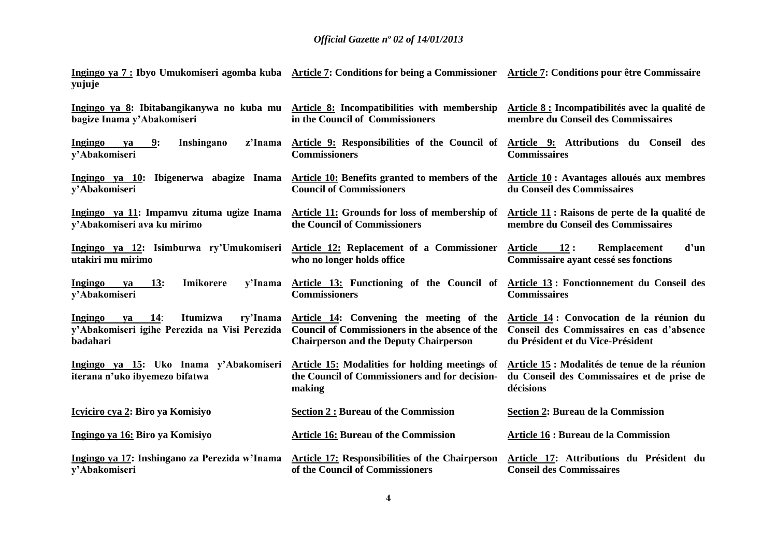**Ingingo ya 7 : Ibyo Umukomiseri agomba kuba yujuje Article 7: Conditions for being a Commissioner Article 7: Conditions pour être Commissaire**

| Ingingo ya 8: Ibitabangikanywa no kuba mu Article 8: Incompatibilities with membership<br>bagize Inama y'Abakomiseri | in the Council of Commissioners                                                                                                             | Article 8 : Incompatibilités avec la qualité de<br>membre du Conseil des Commissaires                                      |
|----------------------------------------------------------------------------------------------------------------------|---------------------------------------------------------------------------------------------------------------------------------------------|----------------------------------------------------------------------------------------------------------------------------|
| 9:<br>Inshingano<br>z'Inama<br>Ingingo<br>va<br>y'Abakomiseri                                                        | Article 9: Responsibilities of the Council of Article 9: Attributions du Conseil des<br><b>Commissioners</b>                                | <b>Commissaires</b>                                                                                                        |
| Ingingo ya 10: Ibigenerwa abagize Inama<br>y'Abakomiseri                                                             | Article 10: Benefits granted to members of the Article 10 : Avantages alloués aux membres<br><b>Council of Commissioners</b>                | du Conseil des Commissaires                                                                                                |
| Ingingo ya 11: Impamvu zituma ugize Inama<br>y'Abakomiseri ava ku mirimo                                             | Article 11: Grounds for loss of membership of Article 11: Raisons de perte de la qualité de<br>the Council of Commissioners                 | membre du Conseil des Commissaires                                                                                         |
| Ingingo ya 12: Isimburwa ry'Umukomiseri<br>utakiri mu mirimo                                                         | Article 12: Replacement of a Commissioner<br>who no longer holds office                                                                     | <b>Article</b><br>12:<br>d'un<br>Remplacement<br>Commissaire ayant cessé ses fonctions                                     |
| Ingingo<br>13:<br><b>Imikorere</b><br>y'Inama<br>va<br>y'Abakomiseri                                                 | Article 13: Functioning of the Council of Article 13: Fonctionnement du Conseil des<br><b>Commissioners</b>                                 | <b>Commissaires</b>                                                                                                        |
| Itumizwa<br>ry'Inama<br>Ingingo<br>14:<br>va<br>y'Abakomiseri igihe Perezida na Visi Perezida<br>badahari            | Article 14: Convening the meeting of the<br>Council of Commissioners in the absence of the<br><b>Chairperson and the Deputy Chairperson</b> | Article 14: Convocation de la réunion du<br>Conseil des Commissaires en cas d'absence<br>du Président et du Vice-Président |
| Ingingo ya 15: Uko Inama y'Abakomiseri<br>iterana n'uko ibyemezo bifatwa                                             | Article 15: Modalities for holding meetings of<br>the Council of Commissioners and for decision-<br>making                                  | Article 15 : Modalités de tenue de la réunion<br>du Conseil des Commissaires et de prise de<br>décisions                   |
| Icyiciro cya 2: Biro ya Komisiyo                                                                                     | <b>Section 2: Bureau of the Commission</b>                                                                                                  | <b>Section 2: Bureau de la Commission</b>                                                                                  |
| Ingingo ya 16: Biro ya Komisiyo                                                                                      | <b>Article 16: Bureau of the Commission</b>                                                                                                 | <b>Article 16 : Bureau de la Commission</b>                                                                                |
| Ingingo ya 17: Inshingano za Perezida w'Inama<br>v'Abakomiseri                                                       | <b>Article 17: Responsibilities of the Chairperson</b><br>of the Council of Commissioners                                                   | Article 17: Attributions du Président du<br><b>Conseil des Commissaires</b>                                                |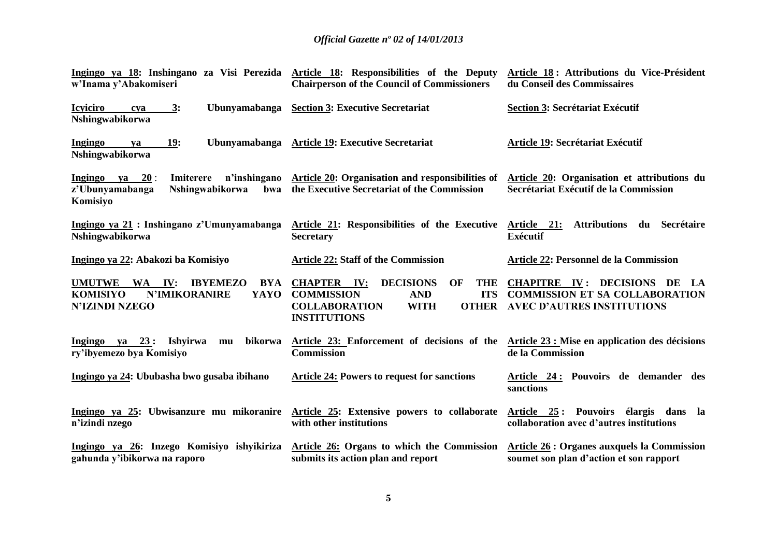| Ingingo ya 18: Inshingano za Visi Perezida<br>w'Inama y'Abakomiseri                                                                            | Article 18: Responsibilities of the Deputy<br><b>Chairperson of the Council of Commissioners</b>                                                                                          | Article 18: Attributions du Vice-Président<br>du Conseil des Commissaires                                            |  |  |
|------------------------------------------------------------------------------------------------------------------------------------------------|-------------------------------------------------------------------------------------------------------------------------------------------------------------------------------------------|----------------------------------------------------------------------------------------------------------------------|--|--|
| <b>Icyiciro</b><br>3:<br>Ubunyamabanga<br>cya<br>Nshingwabikorwa                                                                               | <b>Section 3: Executive Secretariat</b>                                                                                                                                                   | <b>Section 3: Secrétariat Exécutif</b>                                                                               |  |  |
| Ingingo<br>19:<br>Ubunyamabanga<br>ya<br>Nshingwabikorwa                                                                                       | <b>Article 19: Executive Secretariat</b>                                                                                                                                                  | Article 19: Secrétariat Exécutif                                                                                     |  |  |
| ya 20:<br>Ingingo<br>Imiterere<br>n'inshingano<br>z'Ubunyamabanga<br><b>Nshingwabikorwa</b><br>bwa<br>Komisiyo                                 | Article 20: Organisation and responsibilities of<br>the Executive Secretariat of the Commission                                                                                           | Article 20: Organisation et attributions du<br>Secrétariat Exécutif de la Commission                                 |  |  |
| Ingingo ya 21 : Inshingano z'Umunyamabanga<br>Nshingwabikorwa                                                                                  | Article 21: Responsibilities of the Executive Article 21:<br><b>Secretary</b>                                                                                                             | <b>Attributions</b><br>du Secrétaire<br><b>Exécutif</b>                                                              |  |  |
| Ingingo ya 22: Abakozi ba Komisiyo                                                                                                             | <b>Article 22: Staff of the Commission</b>                                                                                                                                                | Article 22: Personnel de la Commission                                                                               |  |  |
| <b>UMUTWE</b><br><b>IBYEMEZO</b><br><b>WA</b><br>IV:<br><b>BYA</b><br><b>KOMISIYO</b><br><b>N'IMIKORANIRE</b><br>YAYO<br><b>N'IZINDI NZEGO</b> | <b>CHAPTER IV:</b><br><b>DECISIONS</b><br>OF<br><b>THE</b><br><b>COMMISSION</b><br><b>AND</b><br><b>ITS</b><br><b>WITH</b><br><b>COLLABORATION</b><br><b>OTHER</b><br><b>INSTITUTIONS</b> | <b>CHAPITRE IV: DECISIONS DE</b><br>LA<br><b>COMMISSION ET SA COLLABORATION</b><br><b>AVEC D'AUTRES INSTITUTIONS</b> |  |  |
| Ingingo ya $23:$<br><b>Ishyirwa</b><br>bikorwa<br>mu<br>ry'ibyemezo bya Komisiyo                                                               | Article 23: Enforcement of decisions of the<br>Commission                                                                                                                                 | Article 23 : Mise en application des décisions<br>de la Commission                                                   |  |  |
| Ingingo ya 24: Ububasha bwo gusaba ibihano                                                                                                     | <b>Article 24: Powers to request for sanctions</b>                                                                                                                                        | Article 24: Pouvoirs de demander des<br>sanctions                                                                    |  |  |
| Ingingo ya 25: Ubwisanzure mu mikoranire<br>n'izindi nzego                                                                                     | <b>Article 25:</b> Extensive powers to collaborate<br>with other institutions                                                                                                             | Article 25: Pouvoirs élargis dans la<br>collaboration avec d'autres institutions                                     |  |  |
| Ingingo ya 26: Inzego Komisiyo ishyikiriza<br>gahunda y'ibikorwa na raporo                                                                     | <b>Article 26: Organs to which the Commission</b><br>submits its action plan and report                                                                                                   | <b>Article 26 : Organes auxquels la Commission</b><br>soumet son plan d'action et son rapport                        |  |  |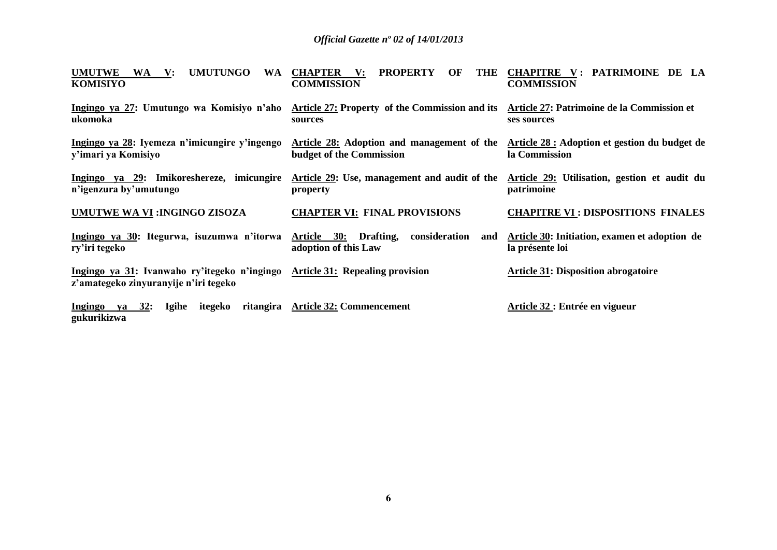| <b>UMUTWE</b><br><b>UMUTUNGO</b><br><b>WA</b><br>WA V:<br><b>KOMISIYO</b>             | <b>CHAPTER</b><br><b>PROPERTY</b><br>OF<br>THE<br>$\mathbf{V:}$<br><b>COMMISSION</b>                                       | CHAPITRE V: PATRIMOINE DE LA<br><b>COMMISSION</b>                |
|---------------------------------------------------------------------------------------|----------------------------------------------------------------------------------------------------------------------------|------------------------------------------------------------------|
| Ingingo ya 27: Umutungo wa Komisiyo n'aho<br>ukomoka                                  | Article 27: Property of the Commission and its Article 27: Patrimoine de la Commission et<br>sources                       | ses sources                                                      |
| Ingingo ya 28: Iyemeza n'imicungire y'ingengo<br>y'imari ya Komisiyo                  | Article 28: Adoption and management of the Article 28: Adoption et gestion du budget de<br><b>budget of the Commission</b> | la Commission                                                    |
| Ingingo ya 29: Imikoreshereze, imicungire<br>n'igenzura by'umutungo                   | Article 29: Use, management and audit of the Article 29: Utilisation, gestion et audit du<br>property                      | patrimoine                                                       |
| UMUTWE WA VI: INGINGO ZISOZA                                                          | <b>CHAPTER VI: FINAL PROVISIONS</b>                                                                                        | <b>CHAPITRE VI: DISPOSITIONS FINALES</b>                         |
| Ingingo ya 30: Itegurwa, isuzumwa n'itorwa Article 30: Drafting,<br>ry'iri tegeko     | consideration<br>and<br>adoption of this Law                                                                               | Article 30: Initiation, examen et adoption de<br>la présente loi |
| Ingingo ya 31: Ivanwaho ry'itegeko n'ingingo<br>z'amategeko zinyuranyije n'iri tegeko | <b>Article 31: Repealing provision</b>                                                                                     | <b>Article 31: Disposition abrogatoire</b>                       |
| Ingingo ya 32:<br>Igihe<br>itegeko<br>gukurikizwa                                     | ritangira Article 32: Commencement                                                                                         | Article 32 : Entrée en vigueur                                   |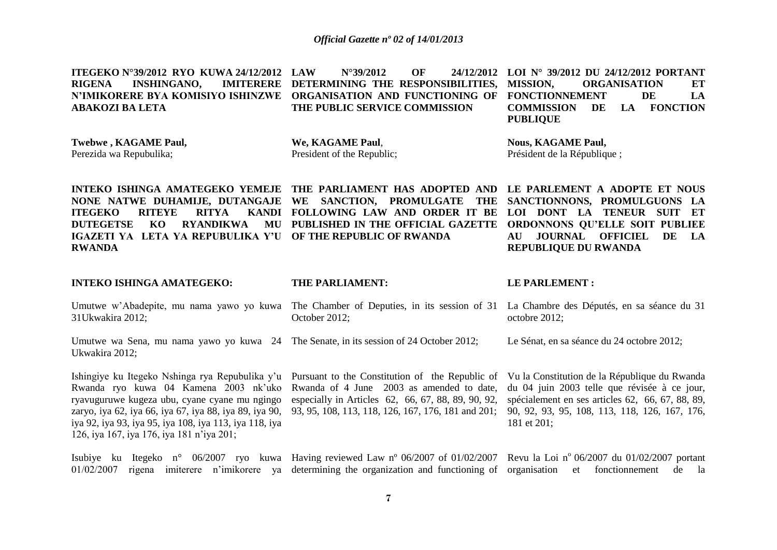|                 |  | ITEGEKO N°39/2012 RYO KUWA 24/12/2012 LAW N°39/2012 OF                               |                               | 24/12/2012 LOI N° 39/2012 DU 24/12/2012 PORTANT |                           |  |    |     |
|-----------------|--|--------------------------------------------------------------------------------------|-------------------------------|-------------------------------------------------|---------------------------|--|----|-----|
|                 |  | RIGENA INSHINGANO, IMITERERE DETERMINING THE RESPONSIBILITIES, MISSION, ORGANISATION |                               |                                                 |                           |  |    | ET  |
|                 |  | N'IMIKORERE BYA KOMISIYO ISHINZWE ORGANISATION AND FUNCTIONING OF FONCTIONNEMENT     |                               |                                                 |                           |  | DE | LA. |
| ABAKOZI BA LETA |  |                                                                                      | THE PUBLIC SERVICE COMMISSION |                                                 | COMMISSION DE LA FONCTION |  |    |     |
|                 |  |                                                                                      |                               |                                                 | <b>PUBLIOUE</b>           |  |    |     |
|                 |  |                                                                                      |                               |                                                 |                           |  |    |     |

**Twebwe , KAGAME Paul,** Perezida wa Repubulika;

**We, KAGAME Paul**, President of the Republic; **Nous, KAGAME Paul,** Président de la République ;

**INTEKO ISHINGA AMATEGEKO YEMEJE THE PARLIAMENT HAS ADOPTED AND LE PARLEMENT A ADOPTE ET NOUS NONE NATWE DUHAMIJE, DUTANGAJE WE SANCTION, PROMULGATE THE ITEGEKO RITEYE RITYA DUTEGETSE KO RYANDIKWA IGAZETI YA LETA YA REPUBULIKA Y'U OF THE REPUBLIC OF RWANDA RWANDA FOLLOWING LAW AND ORDER IT BE LOI DONT LA TENEUR SUIT ET PUBLISHED IN THE OFFICIAL GAZETTE ORDONNONS QU'ELLE SOIT PUBLIEE SANCTIONNONS, PROMULGUONS LA AU JOURNAL OFFICIEL DE LA REPUBLIQUE DU RWANDA**

#### **INTEKO ISHINGA AMATEGEKO: THE PARLIAMENT:**

#### **LE PARLEMENT :**

- Umutwe w'Abadepite, mu nama yawo yo kuwa The Chamber of Deputies, in its session of 31 La Chambre des Députés, en sa séance du 31 31Ukwakira 2012; October 2012; octobre 2012;
- Umutwe wa Sena, mu nama yawo yo kuwa 24 The Senate, in its session of 24 October 2012; Ukwakira 2012; Le Sénat, en sa séance du 24 octobre 2012;

Ishingiye ku Itegeko Nshinga rya Repubulika y'u Pursuant to the Constitution of the Republic of Rwanda ryo kuwa 04 Kamena 2003 nk'uko ryavuguruwe kugeza ubu, cyane cyane mu ngingo zaryo, iya 62, iya 66, iya 67, iya 88, iya 89, iya 90, 93, 95, 108, 113, 118, 126, 167, 176, 181 and 201; iya 92, iya 93, iya 95, iya 108, iya 113, iya 118, iya 126, iya 167, iya 176, iya 181 n'iya 201;

Rwanda of 4 June 2003 as amended to date, especially in Articles 62, 66, 67, 88, 89, 90, 92,

Vu la Constitution de la République du Rwanda du 04 juin 2003 telle que révisée à ce jour, spécialement en ses articles 62, 66, 67, 88, 89, 90, 92, 93, 95, 108, 113, 118, 126, 167, 176, 181 et 201;

Isubiye ku Itegeko n° 06/2007 ryo kuwa Having reviewed Law n° 06/2007 of 01/02/2007 Revu la Loi n° 06/2007 du 01/02/2007 portant 01/02/2007 rigena imiterere n'imikorere ya determining the organization and functioning of organisation et fonctionnement de la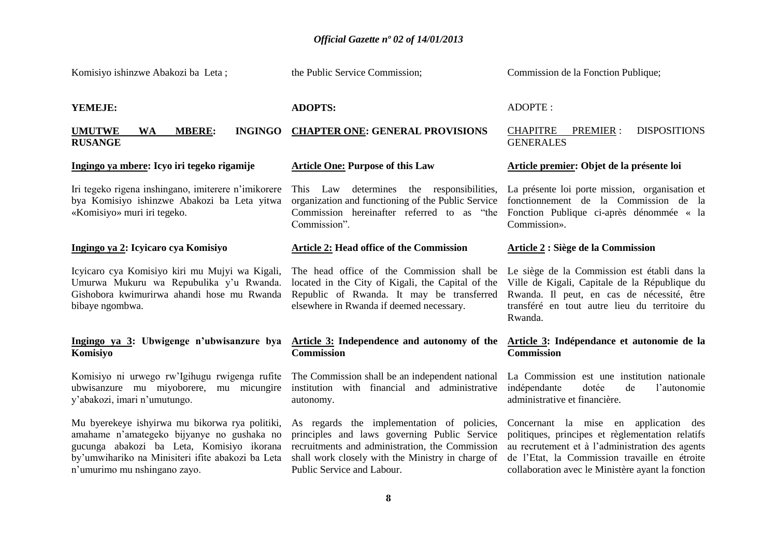Komisiyo ishinzwe Abakozi ba Leta ; **YEMEJE: UMUTWE WA MBERE: INGINGO CHAPTER ONE: GENERAL PROVISIONS RUSANGE Ingingo ya mbere: Icyo iri tegeko rigamije** Iri tegeko rigena inshingano, imiterere n'imikorere bya Komisiyo ishinzwe Abakozi ba Leta yitwa «Komisiyo» muri iri tegeko. **Ingingo ya 2: Icyicaro cya Komisiyo**  Icyicaro cya Komisiyo kiri mu Mujyi wa Kigali, Umurwa Mukuru wa Repubulika y'u Rwanda. Gishobora kwimurirwa ahandi hose mu Rwanda bibaye ngombwa. **Ingingo ya 3: Ubwigenge n'ubwisanzure bya Komisiyo** Komisiyo ni urwego rw'Igihugu rwigenga rufite ubwisanzure mu miyoborere, mu micungire y'abakozi, imari n'umutungo. Mu byerekeye ishyirwa mu bikorwa rya politiki, amahame n'amategeko bijyanye no gushaka no gucunga abakozi ba Leta, Komisiyo ikorana by'umwihariko na Minisiteri ifite abakozi ba Leta n'umurimo mu nshingano zayo. the Public Service Commission; **ADOPTS: Article One: Purpose of this Law** This Law determines the responsibilities, organization and functioning of the Public Service Commission hereinafter referred to as "the Fonction Publique ci-après dénommée « la Commission". **Article 2: Head office of the Commission**  The head office of the Commission shall be located in the City of Kigali, the Capital of the Republic of Rwanda. It may be transferred elsewhere in Rwanda if deemed necessary. **Article 3: Independence and autonomy of the Commission**  The Commission shall be an independent national institution with financial and administrative autonomy. As regards the implementation of policies, principles and laws governing Public Service recruitments and administration, the Commission shall work closely with the Ministry in charge of Public Service and Labour. Commission de la Fonction Publique; ADOPTE : CHAPITRE PREMIER : DISPOSITIONS **GENERALES Article premier: Objet de la présente loi** La présente loi porte mission, organisation et fonctionnement de la Commission de la Commission». **Article 2 : Siège de la Commission** Le siège de la Commission est établi dans la Ville de Kigali, Capitale de la République du Rwanda. Il peut, en cas de nécessité, être transféré en tout autre lieu du territoire du Rwanda. **Article 3: Indépendance et autonomie de la Commission**  La Commission est une institution nationale indépendante dotée de l'autonomie administrative et financière. Concernant la mise en application des politiques, principes et règlementation relatifs au recrutement et à l'administration des agents de l'Etat, la Commission travaille en étroite collaboration avec le Ministère ayant la fonction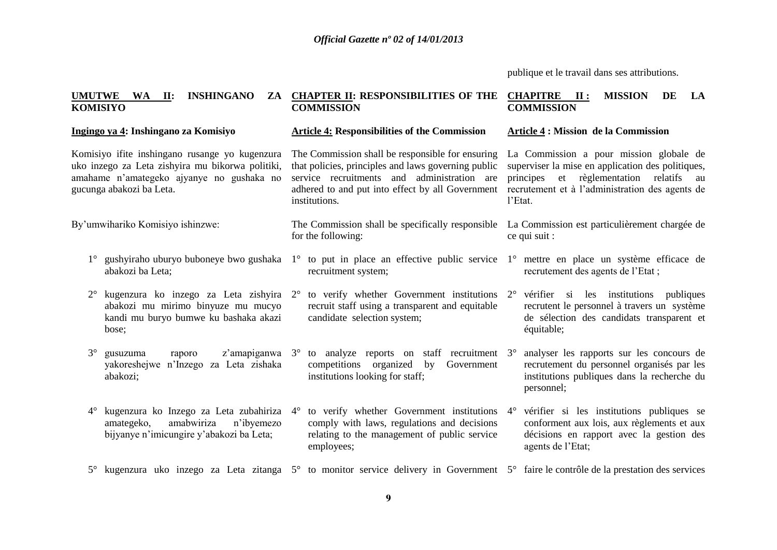publique et le travail dans ses attributions.

**Article 4 : Mission de la Commission**

recrutement des agents de l'Etat ;

2° vérifier si les institutions publiques recrutent le personnel à travers un système de sélection des candidats transparent et

3° analyser les rapports sur les concours de recrutement du personnel organisés par les institutions publiques dans la recherche du

l'Etat.

équitable;

personnel;

La Commission a pour mission globale de superviser la mise en application des politiques, principes et règlementation relatifs au recrutement et à l'administration des agents de

#### **UMUTWE WA II: INSHINGANO KOMISIYO CHAPTER II: RESPONSIBILITIES OF THE COMMISSION CHAPITRE II : MISSION DE LA COMMISSION**

**Article 4: Responsibilities of the Commission** 

#### **Ingingo ya 4: Inshingano za Komisiyo**

Komisiyo ifite inshingano rusange yo kugenzura uko inzego za Leta zishyira mu bikorwa politiki, amahame n'amategeko ajyanye no gushaka no gucunga abakozi ba Leta.

By'umwihariko Komisiyo ishinzwe:

- abakozi ba Leta;
- abakozi mu mirimo binyuze mu mucyo kandi mu buryo bumwe ku bashaka akazi bose;
- 3° gusuzuma raporo z'amapiganwa 3° to analyze reports on staff recruitment yakoreshejwe n'Inzego za Leta zishaka abakozi;
- amategeko, amabwiriza n'ibyemezo bijyanye n'imicungire y'abakozi ba Leta;

The Commission shall be responsible for ensuring that policies, principles and laws governing public service recruitments and administration are adhered to and put into effect by all Government institutions.

- The Commission shall be specifically responsible La Commission est particulièrement chargée de for the following: ce qui suit :
- 1° gushyiraho uburyo buboneye bwo gushaka 1° to put in place an effective public service 1° mettre en place un système efficace de recruitment system;
- 2° kugenzura ko inzego za Leta zishyira 2° to verify whether Government institutions recruit staff using a transparent and equitable candidate selection system;
	- competitions organized by Government institutions looking for staff;
- 4° kugenzura ko Inzego za Leta zubahiriza 4° to verify whether Government institutions comply with laws, regulations and decisions relating to the management of public service employees;
- 4° vérifier si les institutions publiques se conforment aux lois, aux règlements et aux décisions en rapport avec la gestion des agents de l'Etat;
- 5° kugenzura uko inzego za Leta zitanga 5° to monitor service delivery in Government 5° faire le contrôle de la prestation des services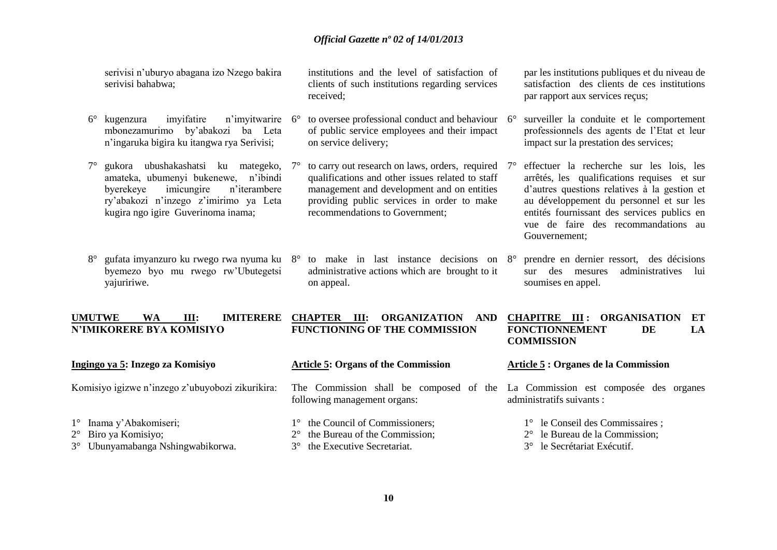serivisi n'uburyo abagana izo Nzego bakira serivisi bahabwa;

- 6° kugenzura imyifatire n'imyitwarire mbonezamurimo by'abakozi ba Leta n'ingaruka bigira ku itangwa rya Serivisi;
- 7° gukora ubushakashatsi ku mategeko, amateka, ubumenyi bukenewe, n'ibindi byerekeye imicungire n'iterambere ry'abakozi n'inzego z'imirimo ya Leta kugira ngo igire Guverinoma inama;
- 8° gufata imyanzuro ku rwego rwa nyuma ku byemezo byo mu rwego rw'Ubutegetsi yajuririwe.

**UMUTWE WA III: IMITERERE N'IMIKORERE BYA KOMISIYO** 

institutions and the level of satisfaction of clients of such institutions regarding services received;

- to oversee professional conduct and behaviour 6° of public service employees and their impact on service delivery;
- to carry out research on laws, orders, required qualifications and other issues related to staff management and development and on entities providing public services in order to make recommendations to Government;
- 8° to make in last instance decisions on administrative actions which are brought to it on appeal.

par les institutions publiques et du niveau de satisfaction des clients de ces institutions par rapport aux services reçus;

- surveiller la conduite et le comportement professionnels des agents de l'Etat et leur impact sur la prestation des services;
- 7° effectuer la recherche sur les lois, les arrêtés, les qualifications requises et sur d'autres questions relatives à la gestion et au développement du personnel et sur les entités fournissant des services publics en vue de faire des recommandations au Gouvernement;
- 8° prendre en dernier ressort, des décisions sur des mesures administratives lui soumises en appel.

#### **CHAPTER III: ORGANIZATION AND FUNCTIONING OF THE COMMISSION CHAPITRE III : ORGANISATION ET FONCTIONNEMENT DE LA COMMISSION**

| Ingingo ya 5: Inzego za Komisiyo                 | <b>Article 5: Organs of the Commission</b>                                                                     | Article 5 : Organes de la Commission     |  |  |  |
|--------------------------------------------------|----------------------------------------------------------------------------------------------------------------|------------------------------------------|--|--|--|
| Komisiyo igizwe n'inzego z'ubuyobozi zikurikira: | The Commission shall be composed of the La Commission est composée des organes<br>following management organs: | administratifs suivants :                |  |  |  |
| $1^\circ$ Inama y'Abakomiseri;                   | 1° the Council of Commissioners;                                                                               | $1^{\circ}$ le Conseil des Commissaires; |  |  |  |
| $2^{\circ}$ Biro ya Komisiyo;                    | $2^{\circ}$ the Bureau of the Commission;                                                                      | $2^{\circ}$ le Bureau de la Commission;  |  |  |  |
| 3° Ubunyamabanga Nshingwabikorwa.                | 3° the Executive Secretariat.                                                                                  | 3° le Secrétariat Exécutif.              |  |  |  |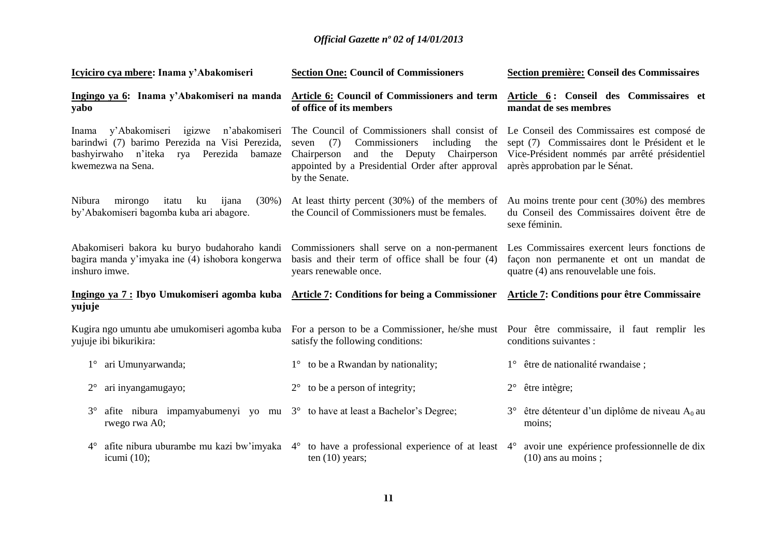| Icyiciro cya mbere: Inama y'Abakomiseri                                                                                                                                   | <b>Section One: Council of Commissioners</b>                                                                                                                                                                                                                              | Section première: Conseil des Commissaires                                                                                        |  |  |  |
|---------------------------------------------------------------------------------------------------------------------------------------------------------------------------|---------------------------------------------------------------------------------------------------------------------------------------------------------------------------------------------------------------------------------------------------------------------------|-----------------------------------------------------------------------------------------------------------------------------------|--|--|--|
| Ingingo ya 6: Inama y'Abakomiseri na manda<br>yabo                                                                                                                        | <b>Article 6:</b> Council of Commissioners and term<br>of office of its members                                                                                                                                                                                           | Article 6: Conseil des Commissaires et<br>mandat de ses membres                                                                   |  |  |  |
| y'Abakomiseri igizwe<br>n'abakomiseri<br>Inama<br>barindwi (7) barimo Perezida na Visi Perezida,<br>bashyirwaho n'iteka<br>Perezida<br>bamaze<br>rya<br>kwemezwa na Sena. | The Council of Commissioners shall consist of Le Conseil des Commissaires est composé de<br>Commissioners<br>including<br>(7)<br>the<br>seven<br>Deputy<br>Chairperson<br>Chairperson<br>and<br>the<br>appointed by a Presidential Order after approval<br>by the Senate. | sept (7) Commissaires dont le Président et le<br>Vice-Président nommés par arrêté présidentiel<br>après approbation par le Sénat. |  |  |  |
| Nibura<br>mirongo<br>$(30\%)$<br>itatu<br>ku<br>ijana<br>by'Abakomiseri bagomba kuba ari abagore.                                                                         | At least thirty percent (30%) of the members of<br>the Council of Commissioners must be females.                                                                                                                                                                          | Au moins trente pour cent (30%) des membres<br>du Conseil des Commissaires doivent être de<br>sexe féminin.                       |  |  |  |
| Abakomiseri bakora ku buryo budahoraho kandi<br>bagira manda y'imyaka ine (4) ishobora kongerwa<br>inshuro imwe.                                                          | Commissioners shall serve on a non-permanent<br>basis and their term of office shall be four (4)<br>years renewable once.                                                                                                                                                 | Les Commissaires exercent leurs fonctions de<br>façon non permanente et ont un mandat de<br>quatre (4) ans renouvelable une fois. |  |  |  |
| Ingingo ya 7 : Ibyo Umukomiseri agomba kuba<br>yujuje                                                                                                                     | <b>Article 7: Conditions for being a Commissioner</b>                                                                                                                                                                                                                     | <b>Article 7: Conditions pour être Commissaire</b>                                                                                |  |  |  |
| Kugira ngo umuntu abe umukomiseri agomba kuba<br>yujuje ibi bikurikira:                                                                                                   | For a person to be a Commissioner, he/she must<br>satisfy the following conditions:                                                                                                                                                                                       | Pour être commissaire, il faut remplir les<br>conditions suivantes :                                                              |  |  |  |
| ari Umunyarwanda;<br>$1^{\circ}$                                                                                                                                          | to be a Rwandan by nationality;<br>$1^{\circ}$                                                                                                                                                                                                                            | 1° être de nationalité rwandaise;                                                                                                 |  |  |  |
| ari inyangamugayo;<br>$2^{\circ}$                                                                                                                                         | to be a person of integrity;<br>$2^{\circ}$                                                                                                                                                                                                                               | être intègre;<br>$2^{\circ}$                                                                                                      |  |  |  |
| afite nibura impamyabumenyi yo mu $3^\circ$ to have at least a Bachelor's Degree;<br>$3^\circ$<br>rwego rwa A0;                                                           |                                                                                                                                                                                                                                                                           | être détenteur d'un diplôme de niveau $A_0$ au<br>$3^\circ$<br>moins;                                                             |  |  |  |
| afite nibura uburambe mu kazi bw'imyaka 4°<br>$4^\circ$<br>icumi $(10)$ ;                                                                                                 | to have a professional experience of at least 4°<br>ten $(10)$ years;                                                                                                                                                                                                     | avoir une expérience professionnelle de dix<br>$(10)$ ans au moins;                                                               |  |  |  |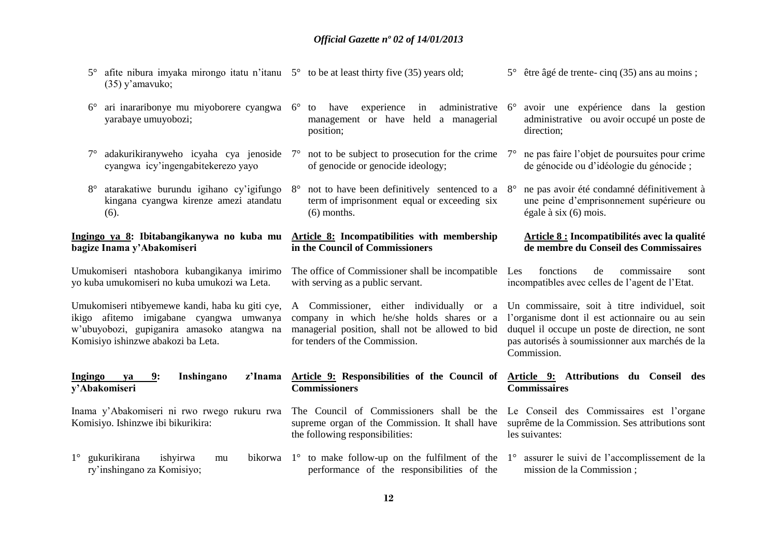- 5° afite nibura imyaka mirongo itatu n'itanu 5° to be at least thirty five (35) years old; (35) y'amavuko; 5° être âgé de trente- cinq (35) ans au moins ;
- 6° ari inararibonye mu miyoborere cyangwa 6° to have experience in administrative yarabaye umuyobozi; management or have held a managerial position;
- 7° adakurikiranyweho icyaha cya jenoside cyangwa icy'ingengabitekerezo yayo
- 8° atarakatiwe burundu igihano cy'igifungo kingana cyangwa kirenze amezi atandatu  $(6)$ .

#### **Ingingo ya 8: Ibitabangikanywa no kuba mu bagize Inama y'Abakomiseri**

Umukomiseri ntashobora kubangikanya imirimo yo kuba umukomiseri no kuba umukozi wa Leta.

Umukomiseri ntibyemewe kandi, haba ku giti cye, ikigo afitemo imigabane cyangwa umwanya w'ubuyobozi, gupiganira amasoko atangwa na Komisiyo ishinzwe abakozi ba Leta.

#### **Ingingo ya 9: Inshingano z'Inama y'Abakomiseri**

Inama y'Abakomiseri ni rwo rwego rukuru rwa Komisiyo. Ishinzwe ibi bikurikira:

- 
- not to be subject to prosecution for the crime  $7^\circ$ of genocide or genocide ideology;
	- not to have been definitively sentenced to a  $8^\circ$ term of imprisonment equal or exceeding six (6) months.

## **Article 8: Incompatibilities with membership in the Council of Commissioners**

The office of Commissioner shall be incompatible Les with serving as a public servant.

company in which he/she holds shares or a managerial position, shall not be allowed to bid for tenders of the Commission.

**Article 9: Responsibilities of the Council of** 

The Council of Commissioners shall be the supreme organ of the Commission. It shall have

**Commissioners**

the following responsibilities:

- 6° avoir une expérience dans la gestion administrative ou avoir occupé un poste de direction;
- 7° ne pas faire l'objet de poursuites pour crime de génocide ou d'idéologie du génocide ;
- 8° ne pas avoir été condamné définitivement à une peine d'emprisonnement supérieure ou égale à six (6) mois.

### **Article 8 : Incompatibilités avec la qualité de membre du Conseil des Commissaires**

fonctions de commissaire sont incompatibles avec celles de l'agent de l'Etat.

A Commissioner, either individually or a Un commissaire, soit à titre individuel, soit l'organisme dont il est actionnaire ou au sein duquel il occupe un poste de direction, ne sont pas autorisés à soumissionner aux marchés de la Commission.

#### **Article 9: Attributions du Conseil des Commissaires**

Le Conseil des Commissaires est l'organe suprême de la Commission. Ses attributions sont les suivantes:

 $1^\circ$  gukurikirana ishyirwa mu ry'inshingano za Komisiyo; 1° to make follow-up on the fulfilment of the 1° assurer le suivi de l'accomplissement de la performance of the responsibilities of the mission de la Commission ;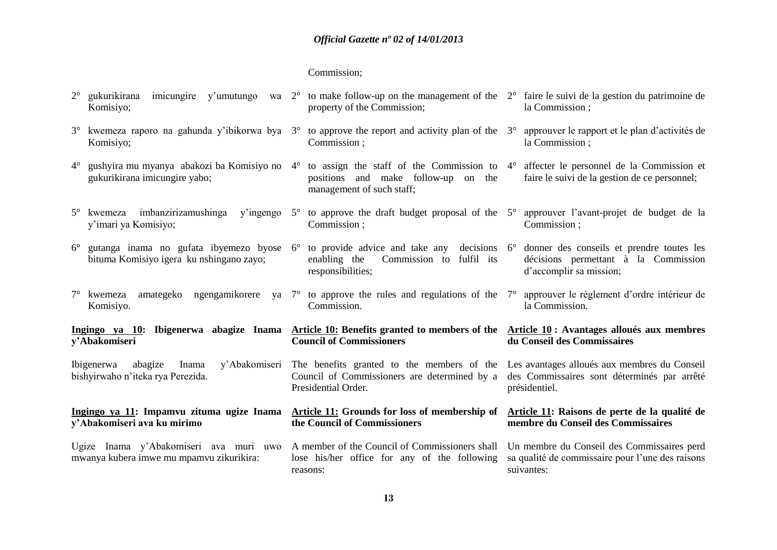#### Commission;

|           |  |  | $2^{\circ}$ gukurikirana imicungire y'umutungo wa $2^{\circ}$ to make follow-up on the management of the $2^{\circ}$ faire le suivi de la gestion du patrimoine de |                 |
|-----------|--|--|--------------------------------------------------------------------------------------------------------------------------------------------------------------------|-----------------|
| Komisiyo; |  |  | property of the Commission;                                                                                                                                        | la Commission : |

3° kwemeza raporo na gahunda y'ibikorwa bya 3° to approve the report and activity plan of the Komisiyo; Commission ; la Commission ;

responsibilities;

**Council of Commissioners**

**the Council of Commissioners** 

Presidential Order.

reasons:

- 4° gushyira mu myanya abakozi ba Komisiyo no 4° to assign the staff of the Commission to 4° affecter le personnel de la Commission et gukurikirana imicungire yabo; positions and make follow-up on the management of such staff;
- 5° kwemeza imbanzirizamushinga y'ingengo 5° to approve the draft budget proposal of the 5° approuver l'avant-projet de budget de la y'imari ya Komisiyo; Commission ;
- 6° gutanga inama no gufata ibyemezo byose 6° to provide advice and take any decisions bituma Komisiyo igera ku nshingano zayo;
- 7° kwemeza amategeko ngengamikorere ya 7° to approve the rules and regulations of the Komisiyo. **Commission**

**Ingingo ya 10: Ibigenerwa abagize Inama Article 10: Benefits granted to members of the Article 10 : Avantages alloués aux membres y'Abakomiseri**

Ibigenerwa abagize Inama y'Abakomiseri bishyirwaho n'iteka rya Perezida.

#### **Ingingo ya 11: Impamvu zituma ugize Inama y'Abakomiseri ava ku mirimo**

Ugize Inama y'Abakomiseri ava muri uwo mwanya kubera imwe mu mpamvu zikurikira:

- 3° approuver le rapport et le plan d'activités de
- faire le suivi de la gestion de ce personnel;
- Commission ;
- enabling the Commission to fulfil its 6° donner des conseils et prendre toutes les décisions permettant à la Commission d'accomplir sa mission;
	- 7° approuver le règlement d'ordre intérieur de la Commission.

## **du Conseil des Commissaires**

The benefits granted to the members of the Les avantages alloués aux membres du Conseil Council of Commissioners are determined by a des Commissaires sont déterminés par arrêté présidentiel.

#### **Article 11: Raisons de perte de la qualité de membre du Conseil des Commissaires**

A member of the Council of Commissioners shall lose his/her office for any of the following Un membre du Conseil des Commissaires perd sa qualité de commissaire pour l'une des raisons suivantes:

**Article 11: Grounds for loss of membership of**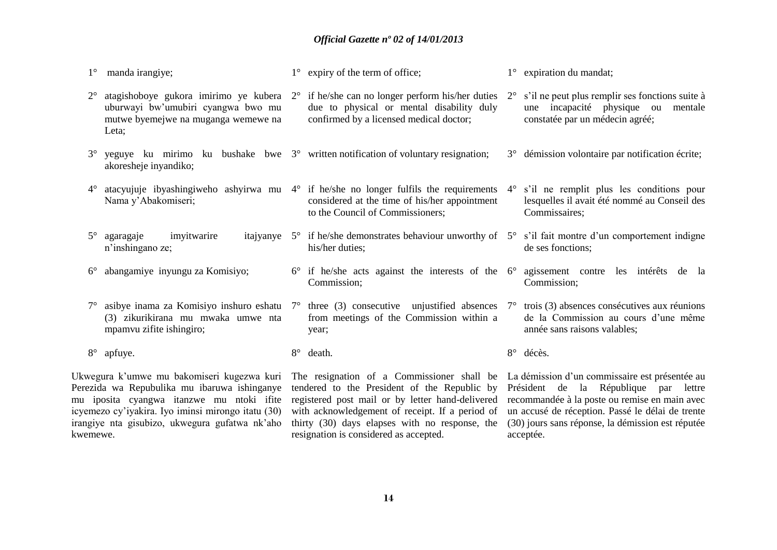| $1^{\circ}$ | manda irangiye;                                                                                                                         |             | $1^{\circ}$ expiry of the term of office;                                                                                                                                                                                                                                         |             | $1^\circ$ expiration du mandat;                                                                                          |
|-------------|-----------------------------------------------------------------------------------------------------------------------------------------|-------------|-----------------------------------------------------------------------------------------------------------------------------------------------------------------------------------------------------------------------------------------------------------------------------------|-------------|--------------------------------------------------------------------------------------------------------------------------|
| $2^{\circ}$ | uburwayi bw'umubiri cyangwa bwo mu<br>mutwe byemejwe na muganga wemewe na<br>Leta;                                                      |             | atagishoboye gukora imirimo ye kubera $2^{\circ}$ if he/she can no longer perform his/her duties<br>due to physical or mental disability duly<br>confirmed by a licensed medical doctor;                                                                                          | $2^{\circ}$ | s'il ne peut plus remplir ses fonctions suite à<br>une incapacité physique ou mentale<br>constatée par un médecin agréé; |
| $3^{\circ}$ | akoresheje inyandiko;                                                                                                                   |             | yeguye ku mirimo ku bushake bwe $3^{\circ}$ written notification of voluntary resignation;                                                                                                                                                                                        |             | 3° démission volontaire par notification écrite;                                                                         |
| $4^{\circ}$ | Nama y'Abakomiseri;                                                                                                                     |             | atacyujuje ibyashingiweho ashyirwa mu $4^{\circ}$ if he/she no longer fulfils the requirements<br>considered at the time of his/her appointment<br>to the Council of Commissioners;                                                                                               |             | 4° s'il ne remplit plus les conditions pour<br>lesquelles il avait été nommé au Conseil des<br>Commissaires;             |
| $5^{\circ}$ | imyitwarire<br>agaragaje<br>n'inshingano ze;                                                                                            |             | itajyanye $5^\circ$ if he/she demonstrates behaviour unworthy of $5^\circ$ s'il fait montre d'un comportement indigne<br>his/her duties;                                                                                                                                          |             | de ses fonctions;                                                                                                        |
| $6^{\circ}$ | abangamiye inyungu za Komisiyo;                                                                                                         | $6^{\circ}$ | if he/she acts against the interests of the $6^\circ$ agissement contre les intérêts de la<br>Commission;                                                                                                                                                                         |             | Commission;                                                                                                              |
| $7^{\circ}$ | (3) zikurikirana mu mwaka umwe nta<br>mpamvu zifite ishingiro;                                                                          |             | asibye inama za Komisiyo inshuro eshatu $7^{\circ}$ three (3) consecutive unjustified absences<br>from meetings of the Commission within a<br>year;                                                                                                                               | $7^{\circ}$ | trois (3) absences consécutives aux réunions<br>de la Commission au cours d'une même<br>année sans raisons valables;     |
|             | 8° apfuye.                                                                                                                              | $8^{\circ}$ | death.                                                                                                                                                                                                                                                                            |             | 8° décès.                                                                                                                |
|             | Ukwegura k'umwe mu bakomiseri kugezwa kuri<br>Perezida wa Repubulika mu ibaruwa ishinganye<br>mu iposita cyangwa itanzwe mu ntoki ifite |             | The resignation of a Commissioner shall be La démission d'un commissaire est présentée au<br>tendered to the President of the Republic by Président de la République par lettre<br>registered post mail or by letter hand-delivered recommandée à la poste ou remise en main avec |             |                                                                                                                          |

**14**

resignation is considered as accepted.

with acknowledgement of receipt. If a period of thirty (30) days elapses with no response, the un accusé de réception. Passé le délai de trente (30) jours sans réponse, la démission est réputée

acceptée.

icyemezo cy'iyakira. Iyo iminsi mirongo itatu (30) irangiye nta gisubizo, ukwegura gufatwa nk'aho

kwemewe.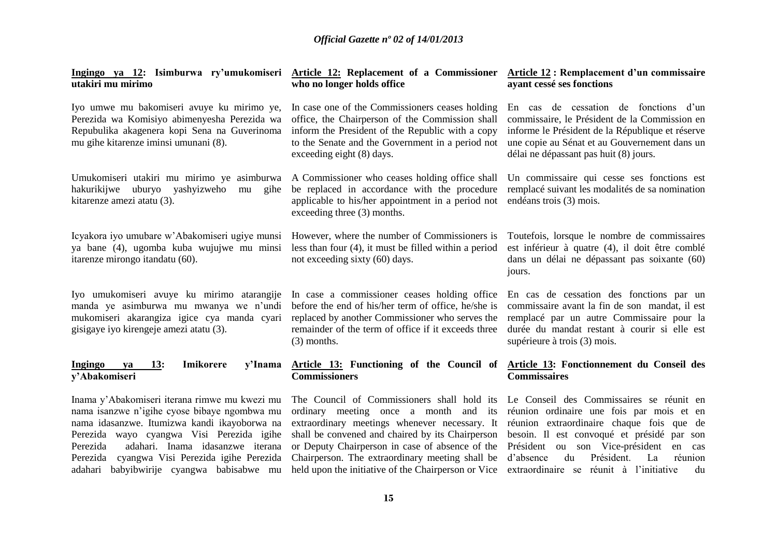| Ingingo ya 12: Isimburwa ry'umukomiseri<br>utakiri mu mirimo                                                                                                                                                                                                                                                                                | Article 12: Replacement of a Commissioner Article 12: Remplacement d'un commissaire<br>who no longer holds office                                                                                                                                                                                                                                                                               | ayant cessé ses fonctions                                                                                                                                                                                                                                                               |  |
|---------------------------------------------------------------------------------------------------------------------------------------------------------------------------------------------------------------------------------------------------------------------------------------------------------------------------------------------|-------------------------------------------------------------------------------------------------------------------------------------------------------------------------------------------------------------------------------------------------------------------------------------------------------------------------------------------------------------------------------------------------|-----------------------------------------------------------------------------------------------------------------------------------------------------------------------------------------------------------------------------------------------------------------------------------------|--|
| Iyo umwe mu bakomiseri avuye ku mirimo ye,<br>Perezida wa Komisiyo abimenyesha Perezida wa<br>Repubulika akagenera kopi Sena na Guverinoma<br>mu gihe kitarenze iminsi umunani (8).                                                                                                                                                         | In case one of the Commissioners ceases holding<br>office, the Chairperson of the Commission shall<br>inform the President of the Republic with a copy<br>to the Senate and the Government in a period not<br>exceeding eight (8) days.                                                                                                                                                         | En cas de cessation de fonctions d'un<br>commissaire, le Président de la Commission en<br>informe le Président de la République et réserve<br>une copie au Sénat et au Gouvernement dans un<br>délai ne dépassant pas huit (8) jours.                                                   |  |
| Umukomiseri utakiri mu mirimo ye asimburwa<br>uburyo<br>yashyizweho<br>hakurikijwe<br>gihe<br>mu<br>kitarenze amezi atatu (3).                                                                                                                                                                                                              | A Commissioner who ceases holding office shall<br>be replaced in accordance with the procedure<br>applicable to his/her appointment in a period not<br>exceeding three (3) months.                                                                                                                                                                                                              | Un commissaire qui cesse ses fonctions est<br>remplacé suivant les modalités de sa nomination<br>endéans trois (3) mois.                                                                                                                                                                |  |
| Icyakora iyo umubare w'Abakomiseri ugiye munsi<br>ya bane (4), ugomba kuba wujujwe mu minsi<br>itarenze mirongo itandatu (60).                                                                                                                                                                                                              | However, where the number of Commissioners is<br>less than four $(4)$ , it must be filled within a period<br>not exceeding sixty (60) days.                                                                                                                                                                                                                                                     | Toutefois, lorsque le nombre de commissaires<br>est inférieur à quatre (4), il doit être comblé<br>dans un délai ne dépassant pas soixante (60)<br>jours.                                                                                                                               |  |
| Iyo umukomiseri avuye ku mirimo atarangije<br>manda ye asimburwa mu mwanya we n'undi<br>mukomiseri akarangiza igice cya manda cyari<br>gisigaye iyo kirengeje amezi atatu (3).                                                                                                                                                              | In case a commissioner ceases holding office<br>before the end of his/her term of office, he/she is<br>replaced by another Commissioner who serves the<br>remainder of the term of office if it exceeds three<br>$(3)$ months.                                                                                                                                                                  | En cas de cessation des fonctions par un<br>commissaire avant la fin de son mandat, il est<br>remplacé par un autre Commissaire pour la<br>durée du mandat restant à courir si elle est<br>supérieure à trois (3) mois.                                                                 |  |
| Imikorere<br><b>Ingingo</b><br>13:<br>y'Inama<br>ya<br>y'Abakomiseri                                                                                                                                                                                                                                                                        | Article 13: Functioning of the Council of<br><b>Commissioners</b>                                                                                                                                                                                                                                                                                                                               | Article 13: Fonctionnement du Conseil des<br><b>Commissaires</b>                                                                                                                                                                                                                        |  |
| Inama y'Abakomiseri iterana rimwe mu kwezi mu<br>nama isanzwe n'igihe cyose bibaye ngombwa mu<br>nama idasanzwe. Itumizwa kandi ikayoborwa na<br>Perezida wayo cyangwa Visi Perezida igihe<br>adahari. Inama idasanzwe iterana<br>Perezida<br>cyangwa Visi Perezida igihe Perezida<br>Perezida<br>adahari babyibwirije cyangwa babisabwe mu | The Council of Commissioners shall hold its Le Conseil des Commissaires se réunit en<br>ordinary meeting once a month and its<br>extraordinary meetings whenever necessary. It<br>shall be convened and chaired by its Chairperson<br>or Deputy Chairperson in case of absence of the<br>Chairperson. The extraordinary meeting shall be<br>held upon the initiative of the Chairperson or Vice | réunion ordinaire une fois par mois et en<br>réunion extraordinaire chaque fois que de<br>besoin. Il est convoqué et présidé par son<br>Président ou son Vice-président<br>en<br>cas<br>Président.<br>d'absence<br>du<br>réunion<br>La<br>extraordinaire se réunit à l'initiative<br>du |  |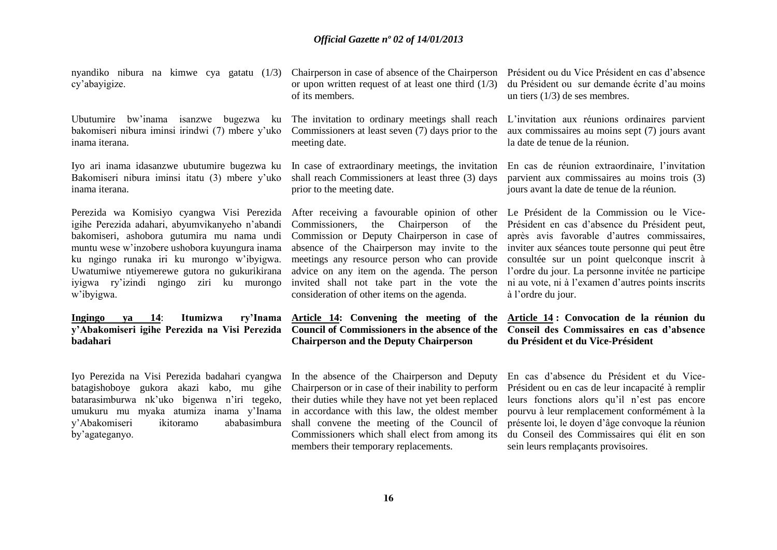nyandiko nibura na kimwe cya gatatu (1/3) cy'abayigize.

Ubutumire bw'inama isanzwe bugezwa ku bakomiseri nibura iminsi irindwi (7) mbere y'uko inama iterana.

Iyo ari inama idasanzwe ubutumire bugezwa ku Bakomiseri nibura iminsi itatu (3) mbere y'uko inama iterana.

Perezida wa Komisiyo cyangwa Visi Perezida igihe Perezida adahari, abyumvikanyeho n'abandi bakomiseri, ashobora gutumira mu nama undi muntu wese w'inzobere ushobora kuyungura inama ku ngingo runaka iri ku murongo w'ibyigwa. Uwatumiwe ntiyemerewe gutora no gukurikirana iyigwa ry'izindi ngingo ziri ku murongo w'ibyigwa.

**Ingingo ya 14**: **Itumizwa ry'Inama y'Abakomiseri igihe Perezida na Visi Perezida Council of Commissioners in the absence of the badahari**

Iyo Perezida na Visi Perezida badahari cyangwa batagishoboye gukora akazi kabo, mu gihe batarasimburwa nk'uko bigenwa n'iri tegeko, umukuru mu myaka atumiza inama y'Inama y'Abakomiseri ikitoramo ababasimbura by'agateganyo.

Chairperson in case of absence of the Chairperson or upon written request of at least one third (1/3) of its members.

The invitation to ordinary meetings shall reach Commissioners at least seven (7) days prior to the meeting date.

In case of extraordinary meetings, the invitation shall reach Commissioners at least three (3) days prior to the meeting date.

After receiving a favourable opinion of other Commissioners, the Chairperson of the Commission or Deputy Chairperson in case of absence of the Chairperson may invite to the meetings any resource person who can provide advice on any item on the agenda. The person invited shall not take part in the vote the consideration of other items on the agenda.

**Article 14: Convening the meeting of the Chairperson and the Deputy Chairperson**

In the absence of the Chairperson and Deputy Chairperson or in case of their inability to perform their duties while they have not yet been replaced in accordance with this law, the oldest member shall convene the meeting of the Council of Commissioners which shall elect from among its members their temporary replacements.

Président ou du Vice Président en cas d'absence du Président ou sur demande écrite d'au moins un tiers (1/3) de ses membres.

L'invitation aux réunions ordinaires parvient aux commissaires au moins sept (7) jours avant la date de tenue de la réunion.

En cas de réunion extraordinaire, l'invitation parvient aux commissaires au moins trois (3) jours avant la date de tenue de la réunion.

Le Président de la Commission ou le Vice-Président en cas d'absence du Président peut, après avis favorable d'autres commissaires, inviter aux séances toute personne qui peut être consultée sur un point quelconque inscrit à l'ordre du jour. La personne invitée ne participe ni au vote, ni à l'examen d'autres points inscrits à l'ordre du jour.

## **Article 14 : Convocation de la réunion du Conseil des Commissaires en cas d'absence du Président et du Vice-Président**

En cas d'absence du Président et du Vice-Président ou en cas de leur incapacité à remplir leurs fonctions alors qu'il n'est pas encore pourvu à leur remplacement conformément à la présente loi, le doyen d'âge convoque la réunion du Conseil des Commissaires qui élit en son sein leurs remplaçants provisoires.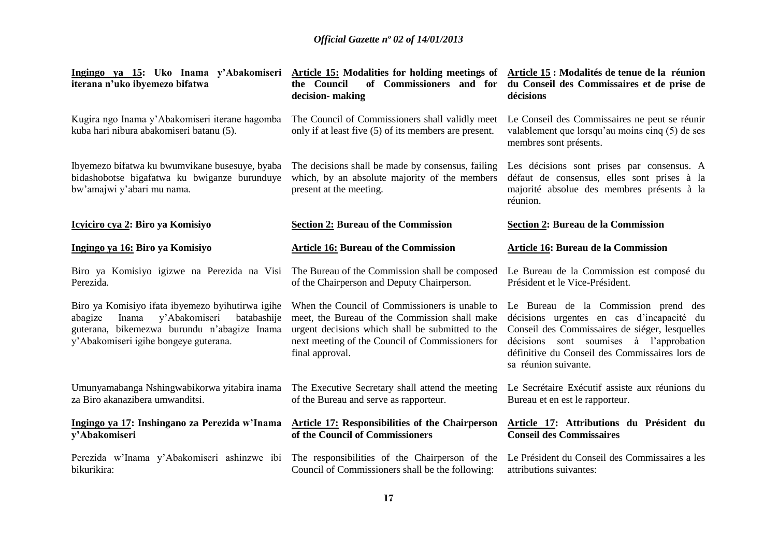| Ingingo ya 15: Uko Inama y'Abakomiseri Article 15: Modalities for holding meetings of Article 15: Modalités de tenue de la réunion                                                           | the Council                                                                                                                                                                                                                | of Commissioners and for du Conseil des Commissaires et de prise de                                                                                                                                                                                      |  |
|----------------------------------------------------------------------------------------------------------------------------------------------------------------------------------------------|----------------------------------------------------------------------------------------------------------------------------------------------------------------------------------------------------------------------------|----------------------------------------------------------------------------------------------------------------------------------------------------------------------------------------------------------------------------------------------------------|--|
| iterana n'uko ibyemezo bifatwa                                                                                                                                                               | decision-making                                                                                                                                                                                                            | décisions                                                                                                                                                                                                                                                |  |
| Kugira ngo Inama y'Abakomiseri iterane hagomba<br>kuba hari nibura abakomiseri batanu (5).                                                                                                   | The Council of Commissioners shall validly meet<br>only if at least five (5) of its members are present.                                                                                                                   | Le Conseil des Commissaires ne peut se réunir<br>valablement que lorsqu'au moins cinq (5) de ses<br>membres sont présents.                                                                                                                               |  |
| Ibyemezo bifatwa ku bwumvikane busesuye, byaba<br>bidashobotse bigafatwa ku bwiganze burunduye<br>bw'amajwi y'abari mu nama.                                                                 | The decisions shall be made by consensus, failing<br>which, by an absolute majority of the members<br>present at the meeting.                                                                                              | Les décisions sont prises par consensus. A<br>défaut de consensus, elles sont prises à la<br>majorité absolue des membres présents à la<br>réunion.                                                                                                      |  |
| Icyiciro cya 2: Biro ya Komisiyo                                                                                                                                                             | <b>Section 2: Bureau of the Commission</b>                                                                                                                                                                                 | <b>Section 2: Bureau de la Commission</b>                                                                                                                                                                                                                |  |
| Ingingo ya 16: Biro ya Komisiyo                                                                                                                                                              | <b>Article 16: Bureau of the Commission</b>                                                                                                                                                                                | Article 16: Bureau de la Commission                                                                                                                                                                                                                      |  |
| Biro ya Komisiyo igizwe na Perezida na Visi                                                                                                                                                  | The Bureau of the Commission shall be composed                                                                                                                                                                             | Le Bureau de la Commission est composé du                                                                                                                                                                                                                |  |
| Perezida.                                                                                                                                                                                    | of the Chairperson and Deputy Chairperson.                                                                                                                                                                                 | Président et le Vice-Président.                                                                                                                                                                                                                          |  |
| Biro ya Komisiyo ifata ibyemezo byihutirwa igihe<br>y'Abakomiseri<br>Inama<br>batabashije<br>abagize<br>guterana, bikemezwa burundu n'abagize Inama<br>y'Abakomiseri igihe bongeye guterana. | When the Council of Commissioners is unable to<br>meet, the Bureau of the Commission shall make<br>urgent decisions which shall be submitted to the<br>next meeting of the Council of Commissioners for<br>final approval. | Le Bureau de la Commission prend des<br>décisions urgentes en cas d'incapacité du<br>Conseil des Commissaires de siéger, lesquelles<br>décisions sont soumises à l'approbation<br>définitive du Conseil des Commissaires lors de<br>sa réunion suivante. |  |
| Umunyamabanga Nshingwabikorwa yitabira inama                                                                                                                                                 | The Executive Secretary shall attend the meeting                                                                                                                                                                           | Le Secrétaire Exécutif assiste aux réunions du                                                                                                                                                                                                           |  |
| za Biro akanazibera umwanditsi.                                                                                                                                                              | of the Bureau and serve as rapporteur.                                                                                                                                                                                     | Bureau et en est le rapporteur.                                                                                                                                                                                                                          |  |
| Ingingo ya 17: Inshingano za Perezida w'Inama                                                                                                                                                | <b>Article 17: Responsibilities of the Chairperson</b>                                                                                                                                                                     | Article 17: Attributions du Président du                                                                                                                                                                                                                 |  |
| y'Abakomiseri                                                                                                                                                                                | of the Council of Commissioners                                                                                                                                                                                            | <b>Conseil des Commissaires</b>                                                                                                                                                                                                                          |  |
| Perezida w'Inama y'Abakomiseri ashinzwe ibi                                                                                                                                                  | The responsibilities of the Chairperson of the                                                                                                                                                                             | Le Président du Conseil des Commissaires a les                                                                                                                                                                                                           |  |
| bikurikira:                                                                                                                                                                                  | Council of Commissioners shall be the following:                                                                                                                                                                           | attributions suivantes:                                                                                                                                                                                                                                  |  |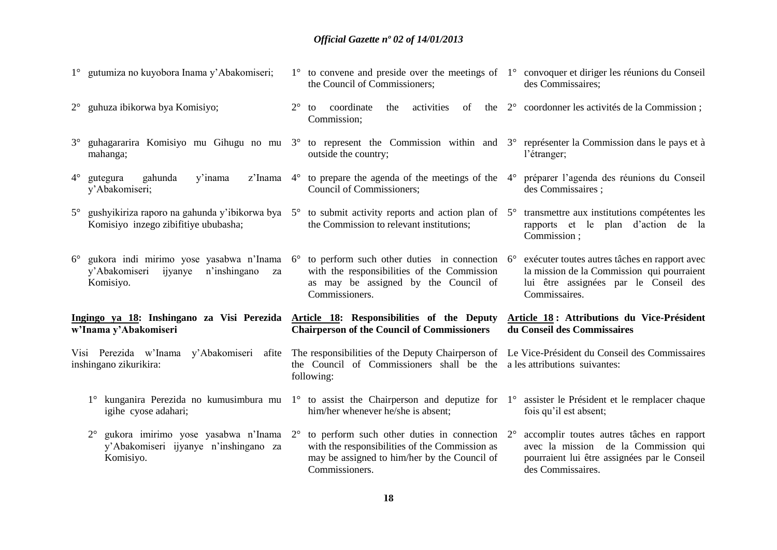|                                                                                                                                                           | 1° gutumiza no kuyobora Inama y'Abakomiseri;                                                                                                                                                                                     |             | 1° to convene and preside over the meetings of 1° convoquer et diriger les réunions du Conseil<br>the Council of Commissioners;                                                                                            | des Commissaires;                                                                                                                                      |
|-----------------------------------------------------------------------------------------------------------------------------------------------------------|----------------------------------------------------------------------------------------------------------------------------------------------------------------------------------------------------------------------------------|-------------|----------------------------------------------------------------------------------------------------------------------------------------------------------------------------------------------------------------------------|--------------------------------------------------------------------------------------------------------------------------------------------------------|
|                                                                                                                                                           | $2^{\circ}$ guhuza ibikorwa bya Komisiyo;                                                                                                                                                                                        | $2^{\circ}$ | to coordinate<br>the activities<br>Commission;                                                                                                                                                                             | of the 2° coordonner les activités de la Commission;                                                                                                   |
|                                                                                                                                                           | 3° guhagararira Komisiyo mu Gihugu no mu 3° to represent the Commission within and 3° représenter la Commission dans le pays et à<br>mahanga;                                                                                    |             | outside the country;                                                                                                                                                                                                       | l'étranger;                                                                                                                                            |
| $4^\circ$                                                                                                                                                 | gahunda<br>y'inama<br>gutegura<br>y'Abakomiseri;                                                                                                                                                                                 |             | z'Inama 4° to prepare the agenda of the meetings of the 4° préparer l'agenda des réunions du Conseil<br>Council of Commissioners;                                                                                          | des Commissaires;                                                                                                                                      |
|                                                                                                                                                           | $5^\circ$ gushyikiriza raporo na gahunda y'ibikorwa bya $5^\circ$ to submit activity reports and action plan of $5^\circ$ transmettre aux institutions compétentes les<br>Komisiyo inzego zibifitiye ububasha;                   |             | the Commission to relevant institutions;                                                                                                                                                                                   | rapports et le plan d'action de la<br>Commission;                                                                                                      |
|                                                                                                                                                           | $6^{\circ}$ gukora indi mirimo yose yasabwa n'Inama $6^{\circ}$ to perform such other duties in connection $6^{\circ}$ exécuter toutes autres tâches en rapport avec<br>y'Abakomiseri ijyanye<br>n'inshingano<br>za<br>Komisiyo. |             | with the responsibilities of the Commission<br>as may be assigned by the Council of<br>Commissioners.                                                                                                                      | la mission de la Commission qui pourraient<br>lui être assignées par le Conseil des<br>Commissaires.                                                   |
| Ingingo ya 18: Inshingano za Visi Perezida Article 18: Responsibilities of the Deputy Article 18: Attributions du Vice-Président<br>w'Inama y'Abakomiseri |                                                                                                                                                                                                                                  |             | <b>Chairperson of the Council of Commissioners</b>                                                                                                                                                                         | du Conseil des Commissaires                                                                                                                            |
|                                                                                                                                                           | Visi Perezida w'Inama y'Abakomiseri<br>inshingano zikurikira:                                                                                                                                                                    |             | afite The responsibilities of the Deputy Chairperson of Le Vice-Président du Conseil des Commissaires<br>the Council of Commissioners shall be the<br>following:                                                           | a les attributions suivantes:                                                                                                                          |
|                                                                                                                                                           | 1° kunganira Perezida no kumusimbura mu 1° to assist the Chairperson and deputize for 1° assister le Président et le remplacer chaque<br>igihe cyose adahari;                                                                    |             | him/her whenever he/she is absent;                                                                                                                                                                                         | fois qu'il est absent;                                                                                                                                 |
|                                                                                                                                                           | $2^{\circ}$<br>y'Abakomiseri ijyanye n'inshingano za<br>Komisiyo.                                                                                                                                                                |             | gukora imirimo yose yasabwa n'Inama $2^{\circ}$ to perform such other duties in connection $2^{\circ}$<br>with the responsibilities of the Commission as<br>may be assigned to him/her by the Council of<br>Commissioners. | accomplir toutes autres tâches en rapport<br>avec la mission de la Commission qui<br>pourraient lui être assignées par le Conseil<br>des Commissaires. |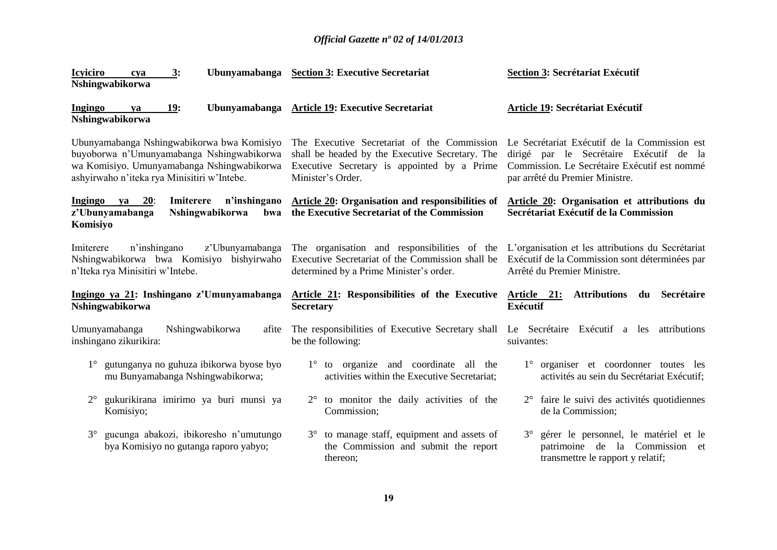| <b>Icyiciro</b><br>3:<br>cya<br>Nshingwabikorwa                                                                                                                                      | Ubunyamabanga Section 3: Executive Secretariat                                                                                                                     | <b>Section 3: Secrétariat Exécutif</b>                                                                                                                                     |
|--------------------------------------------------------------------------------------------------------------------------------------------------------------------------------------|--------------------------------------------------------------------------------------------------------------------------------------------------------------------|----------------------------------------------------------------------------------------------------------------------------------------------------------------------------|
| Ingingo<br><b>19:</b><br><b>Ubunyamabanga</b><br>ya<br>Nshingwabikorwa                                                                                                               | <b>Article 19: Executive Secretariat</b>                                                                                                                           | Article 19: Secrétariat Exécutif                                                                                                                                           |
| Ubunyamabanga Nshingwabikorwa bwa Komisiyo<br>buyoborwa n'Umunyamabanga Nshingwabikorwa<br>wa Komisiyo. Umunyamabanga Nshingwabikorwa<br>ashyirwaho n'iteka rya Minisitiri w'Intebe. | The Executive Secretariat of the Commission<br>shall be headed by the Executive Secretary. The<br>Executive Secretary is appointed by a Prime<br>Minister's Order. | Le Secrétariat Exécutif de la Commission est<br>dirigé par le Secrétaire Exécutif de la<br>Commission. Le Secrétaire Exécutif est nommé<br>par arrêté du Premier Ministre. |
| Ingingo ya<br>20:<br>n'inshingano<br>Imiterere<br>z'Ubunyamabanga<br>Nshingwabikorwa<br>bwa<br>Komisiyo                                                                              | Article 20: Organisation and responsibilities of<br>the Executive Secretariat of the Commission                                                                    | Article 20: Organisation et attributions du<br>Secrétariat Exécutif de la Commission                                                                                       |
| z'Ubunyamabanga<br>Imiterere<br>n'inshingano<br>Nshingwabikorwa bwa Komisiyo bishyirwaho<br>n'Iteka rya Minisitiri w'Intebe.                                                         | The organisation and responsibilities of the<br>Executive Secretariat of the Commission shall be<br>determined by a Prime Minister's order.                        | L'organisation et les attributions du Secrétariat<br>Exécutif de la Commission sont déterminées par<br>Arrêté du Premier Ministre.                                         |
| Ingingo ya 21: Inshingano z'Umunyamabanga<br>Nshingwabikorwa                                                                                                                         | Article 21: Responsibilities of the Executive<br><b>Secretary</b>                                                                                                  | du Secrétaire<br><u>Article 21:</u><br><b>Attributions</b><br><b>Exécutif</b>                                                                                              |
| Nshingwabikorwa<br>Umunyamabanga<br>afite<br>inshingano zikurikira:                                                                                                                  | The responsibilities of Executive Secretary shall<br>be the following:                                                                                             | Le Secrétaire Exécutif a les attributions<br>suivantes:                                                                                                                    |
| gutunganya no guhuza ibikorwa byose byo<br>$1^{\circ}$<br>mu Bunyamabanga Nshingwabikorwa;                                                                                           | 1° to organize and coordinate all the<br>activities within the Executive Secretariat;                                                                              | 1° organiser et coordonner toutes les<br>activités au sein du Secrétariat Exécutif;                                                                                        |
| gukurikirana imirimo ya buri munsi ya<br>Komisiyo;                                                                                                                                   | to monitor the daily activities of the<br>$2^{\circ}$<br>Commission;                                                                                               | 2° faire le suivi des activités quotidiennes<br>de la Commission;                                                                                                          |
| gucunga abakozi, ibikoresho n'umutungo<br>$3^\circ$                                                                                                                                  |                                                                                                                                                                    |                                                                                                                                                                            |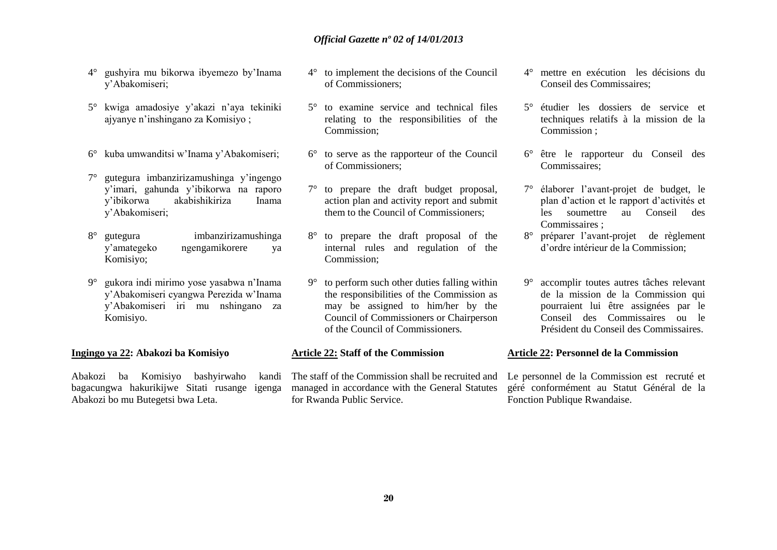- 4° gushyira mu bikorwa ibyemezo by'Inama y'Abakomiseri;
- 5° kwiga amadosiye y'akazi n'aya tekiniki ajyanye n'inshingano za Komisiyo ;
- 6° kuba umwanditsi w'Inama y'Abakomiseri;
- 7° gutegura imbanzirizamushinga y'ingengo y'imari, gahunda y'ibikorwa na raporo y'ibikorwa akabishikiriza Inama y'Abakomiseri;
- 8° gutegura imbanzirizamushinga y'amategeko ngengamikorere ya Komisiyo;
- 9° gukora indi mirimo yose yasabwa n'Inama y'Abakomiseri cyangwa Perezida w'Inama y'Abakomiseri iri mu nshingano za Komisiyo.

#### **Ingingo ya 22: Abakozi ba Komisiyo**

Abakozi ba Komisiyo bashyirwaho kandi bagacungwa hakurikijwe Sitati rusange igenga Abakozi bo mu Butegetsi bwa Leta.

- 4° to implement the decisions of the Council of Commissioners;
- 5° to examine service and technical files relating to the responsibilities of the Commission;
- 6° to serve as the rapporteur of the Council of Commissioners;
- 7° to prepare the draft budget proposal, action plan and activity report and submit them to the Council of Commissioners;
- 8° to prepare the draft proposal of the internal rules and regulation of the Commission;
- 9° to perform such other duties falling within the responsibilities of the Commission as may be assigned to him/her by the Council of Commissioners or Chairperson of the Council of Commissioners.

#### **Article 22: Staff of the Commission**

The staff of the Commission shall be recruited and managed in accordance with the General Statutes for Rwanda Public Service.

- 4° mettre en exécution les décisions du Conseil des Commissaires;
- 5° étudier les dossiers de service et techniques relatifs à la mission de la Commission ;
- 6° être le rapporteur du Conseil des Commissaires;
- 7° élaborer l'avant-projet de budget, le plan d'action et le rapport d'activités et les soumettre au Conseil des Commissaires ;
- 8° préparer l'avant-projet de règlement d'ordre intérieur de la Commission;
- 9° accomplir toutes autres tâches relevant de la mission de la Commission qui pourraient lui être assignées par le Conseil des Commissaires ou le Président du Conseil des Commissaires.

#### **Article 22: Personnel de la Commission**

Le personnel de la Commission est recruté et géré conformément au Statut Général de la Fonction Publique Rwandaise.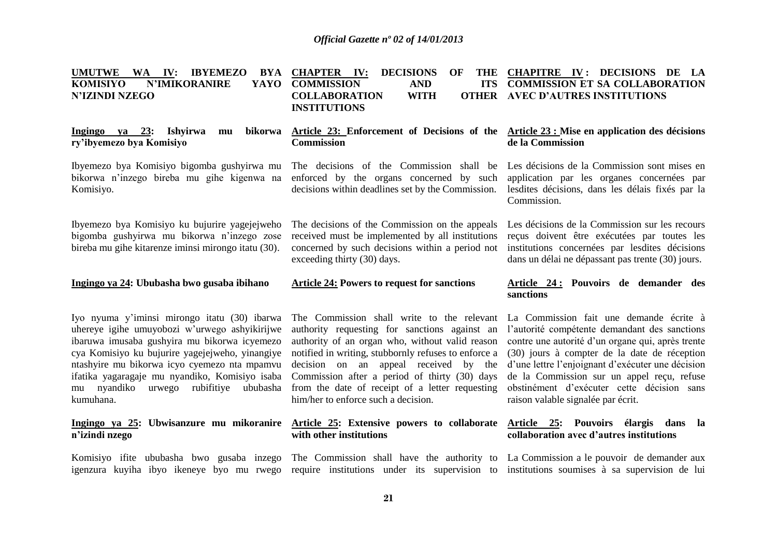| <b>UMUTWE</b><br>WA IV:<br><b>IBYEMEZO</b><br>BYA<br><b>N'IMIKORANIRE</b><br>KOMISIYO<br>YAYO<br><b>N'IZINDI NZEGO</b>                                                                                                                                                                                                                                       | <b>CHAPTER IV:</b><br><b>DECISIONS</b><br>OF<br><b>COMMISSION</b><br><b>AND</b><br><b>ITS</b><br><b>COLLABORATION</b><br><b>WITH</b><br><b>OTHER</b><br><b>INSTITUTIONS</b>                                                                                                                                                                                                                | THE CHAPITRE IV: DECISIONS DE LA<br><b>COMMISSION ET SA COLLABORATION</b><br><b>AVEC D'AUTRES INSTITUTIONS</b>                                                                                                                                                                                                                                                                       |  |
|--------------------------------------------------------------------------------------------------------------------------------------------------------------------------------------------------------------------------------------------------------------------------------------------------------------------------------------------------------------|--------------------------------------------------------------------------------------------------------------------------------------------------------------------------------------------------------------------------------------------------------------------------------------------------------------------------------------------------------------------------------------------|--------------------------------------------------------------------------------------------------------------------------------------------------------------------------------------------------------------------------------------------------------------------------------------------------------------------------------------------------------------------------------------|--|
| Ingingo ya $23$ :<br><b>Ishyirwa</b><br>bikorwa<br>mu<br>ry'ibyemezo bya Komisiyo                                                                                                                                                                                                                                                                            | Article 23: Enforcement of Decisions of the<br><b>Commission</b>                                                                                                                                                                                                                                                                                                                           | Article 23 : Mise en application des décisions<br>de la Commission                                                                                                                                                                                                                                                                                                                   |  |
| Ibyemezo bya Komisiyo bigomba gushyirwa mu<br>bikorwa n'inzego bireba mu gihe kigenwa na<br>Komisiyo.                                                                                                                                                                                                                                                        | The decisions of the Commission shall be<br>enforced by the organs concerned by such<br>decisions within deadlines set by the Commission.                                                                                                                                                                                                                                                  | Les décisions de la Commission sont mises en<br>application par les organes concernées par<br>lesdites décisions, dans les délais fixés par la<br>Commission.                                                                                                                                                                                                                        |  |
| Ibyemezo bya Komisiyo ku bujurire yagejejweho<br>bigomba gushyirwa mu bikorwa n'inzego zose<br>bireba mu gihe kitarenze iminsi mirongo itatu (30).                                                                                                                                                                                                           | The decisions of the Commission on the appeals<br>received must be implemented by all institutions<br>concerned by such decisions within a period not<br>exceeding thirty (30) days.                                                                                                                                                                                                       | Les décisions de la Commission sur les recours<br>reçus doivent être exécutées par toutes les<br>institutions concernées par lesdites décisions<br>dans un délai ne dépassant pas trente (30) jours.                                                                                                                                                                                 |  |
|                                                                                                                                                                                                                                                                                                                                                              |                                                                                                                                                                                                                                                                                                                                                                                            |                                                                                                                                                                                                                                                                                                                                                                                      |  |
| Ingingo ya 24: Ububasha bwo gusaba ibihano                                                                                                                                                                                                                                                                                                                   | <b>Article 24: Powers to request for sanctions</b>                                                                                                                                                                                                                                                                                                                                         | Article 24: Pouvoirs de demander des<br>sanctions                                                                                                                                                                                                                                                                                                                                    |  |
| Iyo nyuma y'iminsi mirongo itatu (30) ibarwa<br>uhereye igihe umuyobozi w'urwego ashyikirijwe<br>ibaruwa imusaba gushyira mu bikorwa icyemezo<br>cya Komisiyo ku bujurire yagejejweho, yinangiye<br>ntashyire mu bikorwa icyo cyemezo nta mpamvu<br>ifatika yagaragaje mu nyandiko, Komisiyo isaba<br>mu nyandiko<br>urwego rubifitiye ububasha<br>kumuhana. | The Commission shall write to the relevant<br>authority requesting for sanctions against an<br>authority of an organ who, without valid reason<br>notified in writing, stubbornly refuses to enforce a<br>decision on an appeal received by the<br>Commission after a period of thirty (30) days<br>from the date of receipt of a letter requesting<br>him/her to enforce such a decision. | La Commission fait une demande écrite à<br>l'autorité compétente demandant des sanctions<br>contre une autorité d'un organe qui, après trente<br>(30) jours à compter de la date de réception<br>d'une lettre l'enjoignant d'exécuter une décision<br>de la Commission sur un appel reçu, refuse<br>obstinément d'exécuter cette décision sans<br>raison valable signalée par écrit. |  |
| Ingingo ya 25: Ubwisanzure mu mikoranire<br>n'izindi nzego                                                                                                                                                                                                                                                                                                   | Article 25: Extensive powers to collaborate<br>with other institutions                                                                                                                                                                                                                                                                                                                     | Article 25: Pouvoirs élargis dans<br>- la<br>collaboration avec d'autres institutions                                                                                                                                                                                                                                                                                                |  |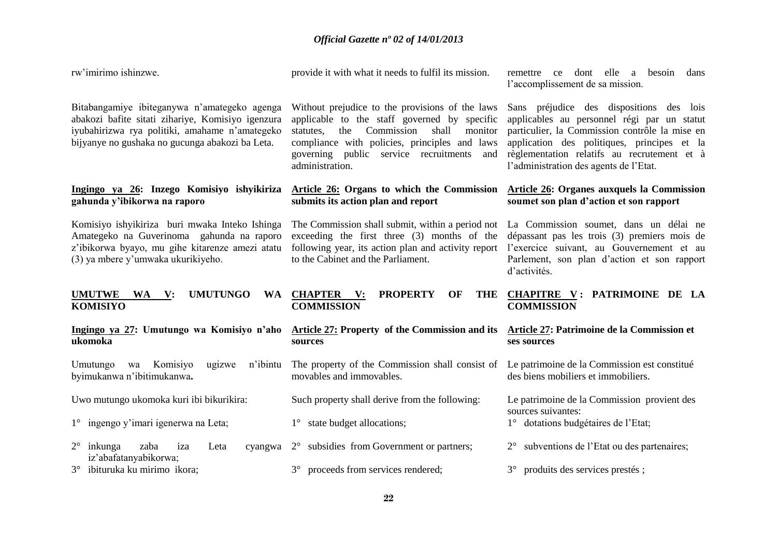| rw'imirimo ishinzwe.                                                                                                                                                                                   | provide it with what it needs to fulfil its mission.                                                                                                                                                                                                                         | remettre ce dont elle a<br>besoin<br>dans<br>l'accomplissement de sa mission.                                                                                                                                                                                                     |
|--------------------------------------------------------------------------------------------------------------------------------------------------------------------------------------------------------|------------------------------------------------------------------------------------------------------------------------------------------------------------------------------------------------------------------------------------------------------------------------------|-----------------------------------------------------------------------------------------------------------------------------------------------------------------------------------------------------------------------------------------------------------------------------------|
| Bitabangamiye ibiteganywa n'amategeko agenga<br>abakozi bafite sitati zihariye, Komisiyo igenzura<br>iyubahirizwa rya politiki, amahame n'amategeko<br>bijyanye no gushaka no gucunga abakozi ba Leta. | Without prejudice to the provisions of the laws<br>applicable to the staff governed by specific<br>Commission<br>statutes,<br>shall<br>monitor<br>the<br>compliance with policies, principles and laws<br>public service recruitments<br>governing<br>and<br>administration. | Sans préjudice des dispositions des lois<br>applicables au personnel régi par un statut<br>particulier, la Commission contrôle la mise en<br>application des politiques, principes et la<br>règlementation relatifs au recrutement et à<br>l'administration des agents de l'Etat. |
| Ingingo ya 26: Inzego Komisiyo ishyikiriza<br>gahunda y'ibikorwa na raporo                                                                                                                             | Article 26: Organs to which the Commission<br>submits its action plan and report                                                                                                                                                                                             | <b>Article 26: Organes auxquels la Commission</b><br>soumet son plan d'action et son rapport                                                                                                                                                                                      |
| Komisiyo ishyikiriza buri mwaka Inteko Ishinga<br>Amategeko na Guverinoma gahunda na raporo<br>z'ibikorwa byayo, mu gihe kitarenze amezi atatu<br>(3) ya mbere y'umwaka ukurikiyeho.                   | The Commission shall submit, within a period not<br>exceeding the first three (3) months of the<br>following year, its action plan and activity report<br>to the Cabinet and the Parliament.                                                                                 | La Commission soumet, dans un délai ne<br>dépassant pas les trois (3) premiers mois de<br>l'exercice suivant, au Gouvernement et au<br>Parlement, son plan d'action et son rapport<br>d'activités.                                                                                |
|                                                                                                                                                                                                        |                                                                                                                                                                                                                                                                              |                                                                                                                                                                                                                                                                                   |
| <b>UMUTWE</b><br><b>UMUTUNGO</b><br>WA V:<br><b>WA</b><br><b>KOMISIYO</b>                                                                                                                              | <b>PROPERTY</b><br>THE<br><b>CHAPTER</b> V:<br>OF<br><b>COMMISSION</b>                                                                                                                                                                                                       | <b>CHAPITRE V: PATRIMOINE DE LA</b><br><b>COMMISSION</b>                                                                                                                                                                                                                          |
| Ingingo ya 27: Umutungo wa Komisiyo n'aho<br>ukomoka                                                                                                                                                   | <b>Article 27: Property of the Commission and its</b><br>sources                                                                                                                                                                                                             | Article 27: Patrimoine de la Commission et<br>ses sources                                                                                                                                                                                                                         |
| Umutungo<br>Komisiyo<br>ugizwe<br>n'ibintu<br>wa<br>byimukanwa n'ibitimukanwa.                                                                                                                         | The property of the Commission shall consist of<br>movables and immovables.                                                                                                                                                                                                  | Le patrimoine de la Commission est constitué<br>des biens mobiliers et immobiliers.                                                                                                                                                                                               |
| Uwo mutungo ukomoka kuri ibi bikurikira:                                                                                                                                                               | Such property shall derive from the following:                                                                                                                                                                                                                               | Le patrimoine de la Commission provient des                                                                                                                                                                                                                                       |
| 1° ingengo y'imari igenerwa na Leta;                                                                                                                                                                   | 1° state budget allocations;                                                                                                                                                                                                                                                 | sources suivantes:<br>1° dotations budgétaires de l'Etat;                                                                                                                                                                                                                         |
| $2^{\circ}$<br>inkunga<br>zaba<br>iza<br>Leta<br>cyangwa<br>iz'abafatanyabikorwa;                                                                                                                      | 2° subsidies from Government or partners;                                                                                                                                                                                                                                    | subventions de l'Etat ou des partenaires;<br>$2^{\circ}$                                                                                                                                                                                                                          |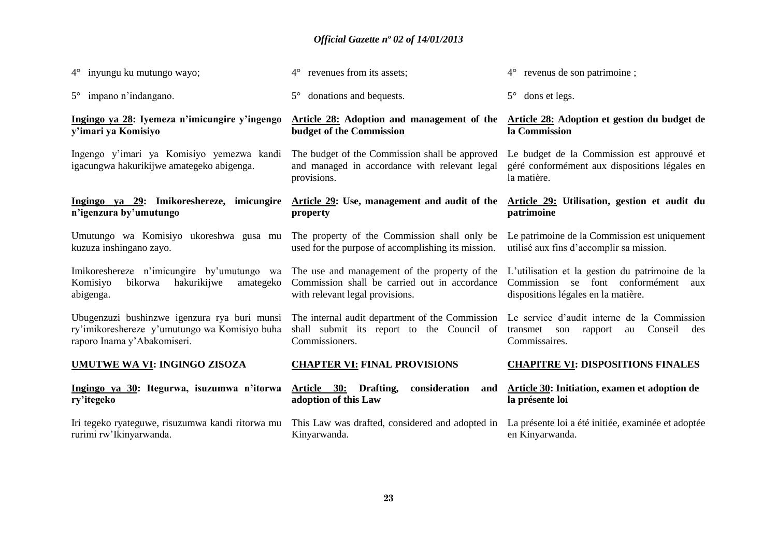| $4^{\circ}$ inyungu ku mutungo wayo;                                                                                         | 4° revenues from its assets;                                                                                                                                                                                                 | $4^{\circ}$ revenus de son patrimoine;                                                                                           |
|------------------------------------------------------------------------------------------------------------------------------|------------------------------------------------------------------------------------------------------------------------------------------------------------------------------------------------------------------------------|----------------------------------------------------------------------------------------------------------------------------------|
| $5^{\circ}$ impano n'indangano.                                                                                              | donations and bequests.<br>$5^{\circ}$                                                                                                                                                                                       | dons et legs.<br>$5^{\circ}$                                                                                                     |
| Ingingo ya 28: Iyemeza n'imicungire y'ingengo<br>y'imari ya Komisiyo                                                         | Article 28: Adoption and management of the<br>budget of the Commission                                                                                                                                                       | Article 28: Adoption et gestion du budget de<br>la Commission                                                                    |
| Ingengo y'imari ya Komisiyo yemezwa kandi<br>igacungwa hakurikijwe amategeko abigenga.                                       | The budget of the Commission shall be approved<br>Le budget de la Commission est approuvé et<br>and managed in accordance with relevant legal<br>géré conformément aux dispositions légales en<br>la matière.<br>provisions. |                                                                                                                                  |
| Ingingo ya 29: Imikoreshereze, imicungire<br>n'igenzura by'umutungo                                                          | Article 29: Use, management and audit of the<br>property                                                                                                                                                                     | Article 29: Utilisation, gestion et audit du<br>patrimoine                                                                       |
| Umutungo wa Komisiyo ukoreshwa gusa mu<br>kuzuza inshingano zayo.                                                            | The property of the Commission shall only be<br>used for the purpose of accomplishing its mission.                                                                                                                           | Le patrimoine de la Commission est uniquement<br>utilisé aux fins d'accomplir sa mission.                                        |
| Imikoreshereze n'imicungire by'umutungo wa<br>bikorwa<br>hakurikijwe<br>Komisiyo<br>amategeko<br>abigenga.                   | The use and management of the property of the<br>Commission shall be carried out in accordance<br>with relevant legal provisions.                                                                                            | L'utilisation et la gestion du patrimoine de la<br>Commission se font conformément<br>aux<br>dispositions légales en la matière. |
| Ubugenzuzi bushinzwe igenzura rya buri munsi<br>ry'imikoreshereze y'umutungo wa Komisiyo buha<br>raporo Inama y'Abakomiseri. | The internal audit department of the Commission Le service d'audit interne de la Commission<br>shall submit its report to the Council of<br>Commissioners.                                                                   | Conseil<br>transmet son<br>rapport<br>au<br>des<br>Commissaires.                                                                 |
| <b>UMUTWE WA VI: INGINGO ZISOZA</b>                                                                                          | <b>CHAPTER VI: FINAL PROVISIONS</b>                                                                                                                                                                                          | <b>CHAPITRE VI: DISPOSITIONS FINALES</b>                                                                                         |
| Ingingo ya 30: Itegurwa, isuzumwa n'itorwa<br>ry'itegeko                                                                     | consideration<br>Article 30:<br>Drafting,<br>and<br>adoption of this Law                                                                                                                                                     | Article 30: Initiation, examen et adoption de<br>la présente loi                                                                 |
| Iri tegeko ryateguwe, risuzumwa kandi ritorwa mu<br>rurimi rw'Ikinyarwanda.                                                  | This Law was drafted, considered and adopted in<br>Kinyarwanda.                                                                                                                                                              | La présente loi a été initiée, examinée et adoptée<br>en Kinyarwanda.                                                            |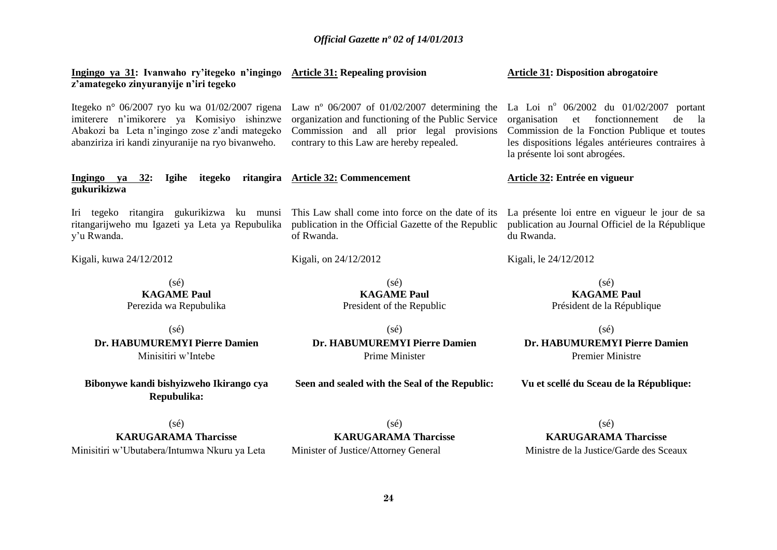| Ingingo ya 31: Ivanwaho ry'itegeko n'ingingo<br>z'amategeko zinyuranyije n'iri tegeko                                                                                                                | <b>Article 31: Repealing provision</b>                                                                                                                                                           | <b>Article 31: Disposition abrogatoire</b>                                                                                                                                                                                            |  |
|------------------------------------------------------------------------------------------------------------------------------------------------------------------------------------------------------|--------------------------------------------------------------------------------------------------------------------------------------------------------------------------------------------------|---------------------------------------------------------------------------------------------------------------------------------------------------------------------------------------------------------------------------------------|--|
| Itegeko n° 06/2007 ryo ku wa 01/02/2007 rigena<br>imiterere n'imikorere ya Komisiyo ishinzwe<br>Abakozi ba Leta n'ingingo zose z'andi mategeko<br>abanziriza iri kandi zinyuranije na ryo bivanweho. | Law n° $06/2007$ of $01/02/2007$ determining the<br>organization and functioning of the Public Service<br>Commission and all prior legal provisions<br>contrary to this Law are hereby repealed. | La Loi nº 06/2002 du 01/02/2007<br>portant<br>fonctionnement<br>organisation<br>et<br>de<br>la<br>Commission de la Fonction Publique et toutes<br>les dispositions légales antérieures contraires à<br>la présente loi sont abrogées. |  |
| Ingingo ya<br><b>Igihe</b><br>itegeko<br>32:<br>gukurikizwa                                                                                                                                          | ritangira Article 32: Commencement                                                                                                                                                               | Article 32: Entrée en vigueur                                                                                                                                                                                                         |  |
| Iri tegeko ritangira gukurikizwa ku munsi<br>ritangarijweho mu Igazeti ya Leta ya Repubulika<br>y'u Rwanda.                                                                                          | This Law shall come into force on the date of its<br>publication in the Official Gazette of the Republic<br>of Rwanda.                                                                           | La présente loi entre en vigueur le jour de sa<br>publication au Journal Officiel de la République<br>du Rwanda.                                                                                                                      |  |
| Kigali, kuwa 24/12/2012                                                                                                                                                                              | Kigali, on 24/12/2012                                                                                                                                                                            | Kigali, le 24/12/2012                                                                                                                                                                                                                 |  |
| $(s\acute{e})$<br><b>KAGAME Paul</b><br>Perezida wa Repubulika                                                                                                                                       | $(s\acute{e})$<br><b>KAGAME Paul</b><br>President of the Republic                                                                                                                                | $(s\acute{e})$<br><b>KAGAME Paul</b><br>Président de la République                                                                                                                                                                    |  |
| $(s\acute{e})$<br>Dr. HABUMUREMYI Pierre Damien<br>Minisitiri w'Intebe                                                                                                                               | $(s\acute{e})$<br>Dr. HABUMUREMYI Pierre Damien<br>Prime Minister                                                                                                                                | $(s\acute{e})$<br>Dr. HABUMUREMYI Pierre Damien<br><b>Premier Ministre</b>                                                                                                                                                            |  |
| Bibonywe kandi bishyizweho Ikirango cya<br>Repubulika:                                                                                                                                               | Seen and sealed with the Seal of the Republic:                                                                                                                                                   | Vu et scellé du Sceau de la République:                                                                                                                                                                                               |  |
| $(s\acute{e})$                                                                                                                                                                                       | $(s\acute{e})$                                                                                                                                                                                   | $(s\acute{e})$                                                                                                                                                                                                                        |  |

**KARUGARAMA Tharcisse** Minisitiri w'Ubutabera/Intumwa Nkuru ya Leta

(sé) **KARUGARAMA Tharcisse** Minister of Justice/Attorney General

**KARUGARAMA Tharcisse**

Ministre de la Justice/Garde des Sceaux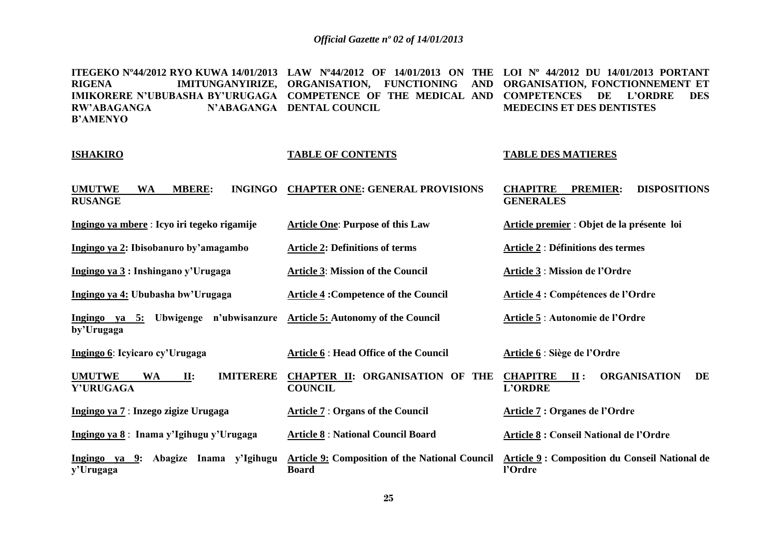**ITEGEKO Nº44/2012 RYO KUWA 14/01/2013 LAW Nº44/2012 OF 14/01/2013 ON THE LOI Nº 44/2012 DU 14/01/2013 PORTANT RIGENA IMITUNGANYIRIZE, ORGANISATION, FUNCTIONING AND ORGANISATION, FONCTIONNEMENT ET IMIKORERE N'UBUBASHA BY'URUGAGA COMPETENCE OF THE MEDICAL AND COMPETENCES DE L'ORDRE DES RW'ABAGANGA B'AMENYO N'ABAGANGA DENTAL COUNCIL MEDECINS ET DES DENTISTES**

#### **ISHAKIRO**

#### **TABLE OF CONTENTS**

**Article One**: **Purpose of this Law**

**Article 3**: **Mission of the Council**

**Article 4 :Competence of the Council**

#### **TABLE DES MATIERES**

**Article premier** : **Objet de la présente loi**

**Article 2** : **Définitions des termes**

**Article 4 : Compétences de l'Ordre**

**Article 5** : **Autonomie de l'Ordre**

**Article 3** : **Mission de l'Ordre**

| <b>UMUTWE</b>  | <b>WA</b> | <b>MBERE:</b> | INGINGO CHAPTER ONE: GENERAL PROVISIONS | <b>CHAPITRE</b>  | <b>PREMIER: DISPOSITIONS</b> |
|----------------|-----------|---------------|-----------------------------------------|------------------|------------------------------|
| <b>RUSANGE</b> |           |               |                                         | <b>GENERALES</b> |                              |

**Ingingo ya mbere** : **Icyo iri tegeko rigamije**

**Ingingo ya 2: Ibisobanuro by'amagambo Article 2: Definitions of terms**

**Ingingo ya 3 : Inshingano y'Urugaga**

**Ingingo ya 4: Ububasha bw'Urugaga**

**Ingingo ya 5: Ubwigenge n'ubwisanzure Article 5: Autonomy of the Council by'Urugaga**

**Ingingo 6**: **Icyicaro cy'Urugaga Article 6** : **Head Office of the Council Article 6** : **Siège de l'Ordre**

**UMUTWE WA II: IMITERERE CHAPTER II: ORGANISATION OF THE Y'URUGAGA COUNCIL CHAPITRE II : ORGANISATION DE L'ORDRE** 

**Board** 

**Ingingo ya 7** : **Inzego zigize Urugaga**

**Ingingo ya 8** : **Inama y'Igihugu y'Urugaga Article 8** : **National Council Board** 

**Ingingo ya 9: Abagize Inama y'Igihugu y'Urugaga** 

**Article 7** : **Organs of the Council**

**Article 7 : Organes de l'Ordre**

**Article 8 : Conseil National de l'Ordre**

**Article 9: Composition of the National Council Article 9 : Composition du Conseil National de l'Ordre**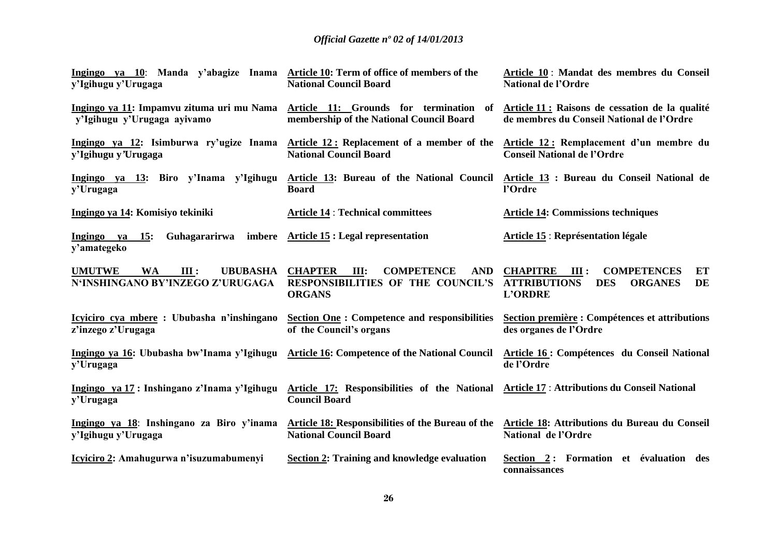| Ingingo ya 10: Manda y'abagize Inama Article 10: Term of office of members of the<br>y'Igihugu y'Urugaga | <b>National Council Board</b>                                                                                     | Article 10 : Mandat des membres du Conseil<br><b>National de l'Ordre</b>                                                           |
|----------------------------------------------------------------------------------------------------------|-------------------------------------------------------------------------------------------------------------------|------------------------------------------------------------------------------------------------------------------------------------|
| Ingingo ya 11: Impamvu zituma uri mu Nama<br>y'Igihugu y'Urugaga ayivamo                                 | Article 11: Grounds for termination of<br>membership of the National Council Board                                | Article 11 : Raisons de cessation de la qualité<br>de membres du Conseil National de l'Ordre                                       |
| Ingingo ya 12: Isimburwa ry'ugize Inama<br>y'Igihugu y'Urugaga                                           | Article 12: Replacement of a member of the<br><b>National Council Board</b>                                       | Article 12: Remplacement d'un membre du<br><b>Conseil National de l'Ordre</b>                                                      |
| Ingingo ya 13: Biro y'Inama y'Igihugu<br>y'Urugaga                                                       | Article 13: Bureau of the National Council<br><b>Board</b>                                                        | Article 13 : Bureau du Conseil National de<br>l'Ordre                                                                              |
| Ingingo ya 14: Komisiyo tekiniki                                                                         | <b>Article 14 : Technical committees</b>                                                                          | <b>Article 14: Commissions techniques</b>                                                                                          |
| Guhagararirwa<br>Ingingo ya<br>$\overline{\phantom{1}15}$ :<br>y'amategeko                               | imbere Article 15 : Legal representation                                                                          | <b>Article 15 : Représentation légale</b>                                                                                          |
| <b>UMUTWE</b><br><b>WA</b><br>III:<br><b>UBUBASHA</b><br>N'INSHINGANO BY'INZEGO Z'URUGAGA                | <b>CHAPTER</b><br>III:<br><b>COMPETENCE</b><br><b>AND</b><br>RESPONSIBILITIES OF THE COUNCIL'S<br><b>ORGANS</b>   | <b>COMPETENCES</b><br><b>CHAPITRE</b><br>III:<br>ET<br>DE<br><b>ATTRIBUTIONS</b><br><b>DES</b><br><b>ORGANES</b><br><b>L'ORDRE</b> |
| Icyiciro cya mbere : Ububasha n'inshingano<br>z'inzego z'Urugaga                                         | <b>Section One: Competence and responsibilities</b><br>of the Council's organs                                    | Section première : Compétences et attributions<br>des organes de l'Ordre                                                           |
| Ingingo ya 16: Ububasha bw'Inama y'Igihugu<br>y'Urugaga                                                  | <b>Article 16: Competence of the National Council</b>                                                             | Article 16 : Compétences du Conseil National<br>de l'Ordre                                                                         |
| Ingingo ya 17 : Inshingano z'Inama y'Igihugu<br>y'Urugaga                                                | Article 17: Responsibilities of the National Article 17: Attributions du Conseil National<br><b>Council Board</b> |                                                                                                                                    |
| Ingingo ya 18: Inshingano za Biro y'inama<br>y'Igihugu y'Urugaga                                         | Article 18: Responsibilities of the Bureau of the<br><b>National Council Board</b>                                | Article 18: Attributions du Bureau du Conseil<br>National de l'Ordre                                                               |
| Icyiciro 2: Amahugurwa n'isuzumabumenyi                                                                  | <b>Section 2: Training and knowledge evaluation</b>                                                               | Section 2: Formation et évaluation des<br>connaissances                                                                            |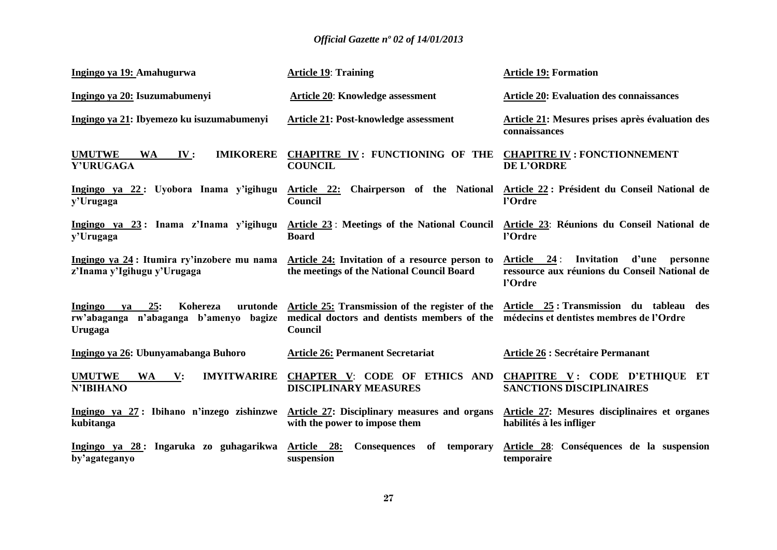| Ingingo ya 19: Amahugurwa                                                            | <b>Article 19: Training</b>                                                                                                                                                                         | <b>Article 19: Formation</b>                                                                                  |
|--------------------------------------------------------------------------------------|-----------------------------------------------------------------------------------------------------------------------------------------------------------------------------------------------------|---------------------------------------------------------------------------------------------------------------|
| Ingingo ya 20: Isuzumabumenyi                                                        | Article 20: Knowledge assessment                                                                                                                                                                    | <b>Article 20: Evaluation des connaissances</b>                                                               |
| Ingingo ya 21: Ibyemezo ku isuzumabumenyi                                            | Article 21: Post-knowledge assessment                                                                                                                                                               | Article 21: Mesures prises après évaluation des<br>connaissances                                              |
| <b>UMUTWE</b><br><b>IMIKORERE</b><br><b>WA</b><br>IV:<br>Y'URUGAGA                   | CHAPITRE IV: FUNCTIONING OF THE CHAPITRE IV: FONCTIONNEMENT<br><b>COUNCIL</b>                                                                                                                       | <b>DE L'ORDRE</b>                                                                                             |
| Ingingo ya 22: Uyobora Inama y'igihugu<br>y'Urugaga                                  | Chairperson of the National<br><u>Article 22:</u><br>Council                                                                                                                                        | Article 22 : Président du Conseil National de<br>l'Ordre                                                      |
| y'Urugaga                                                                            | Ingingo ya 23: Inama z'Inama y'igihugu Article 23: Meetings of the National Council<br><b>Board</b>                                                                                                 | Article 23: Réunions du Conseil National de<br>l'Ordre                                                        |
| z'Inama y'Igihugu y'Urugaga                                                          | Ingingo ya 24 : Itumira ry'inzobere mu nama Article 24: Invitation of a resource person to<br>the meetings of the National Council Board                                                            | Invitation<br>d'une<br>Article $24$ :<br>personne<br>ressource aux réunions du Conseil National de<br>l'Ordre |
| $ya$ 25:<br>Ingingo<br>Kohereza<br>rw'abaganga n'abaganga b'amenyo bagize<br>Urugaga | urutonde Article 25: Transmission of the register of the Article 25: Transmission du tableau des<br>medical doctors and dentists members of the médecins et dentistes membres de l'Ordre<br>Council |                                                                                                               |
| Ingingo ya 26: Ubunyamabanga Buhoro                                                  | <b>Article 26: Permanent Secretariat</b>                                                                                                                                                            | <b>Article 26 : Secrétaire Permanant</b>                                                                      |
| <b>UMUTWE</b><br><b>IMYITWARIRE</b><br>WA V:<br><b>N'IBIHANO</b>                     | <b>CHAPTER V: CODE OF ETHICS AND</b><br><b>DISCIPLINARY MEASURES</b>                                                                                                                                | CHAPITRE V: CODE D'ETHIQUE ET<br><b>SANCTIONS DISCIPLINAIRES</b>                                              |
| Ingingo ya 27: Ibihano n'inzego zishinzwe<br>kubitanga                               | Article 27: Disciplinary measures and organs<br>with the power to impose them                                                                                                                       | Article 27: Mesures disciplinaires et organes<br>habilités à les infliger                                     |
| Ingingo ya 28: Ingaruka zo guhagarikwa<br>by'agateganyo                              | Article 28:<br><b>Consequences</b><br>of<br>temporary<br>suspension                                                                                                                                 | Article 28: Conséquences de la suspension<br>temporaire                                                       |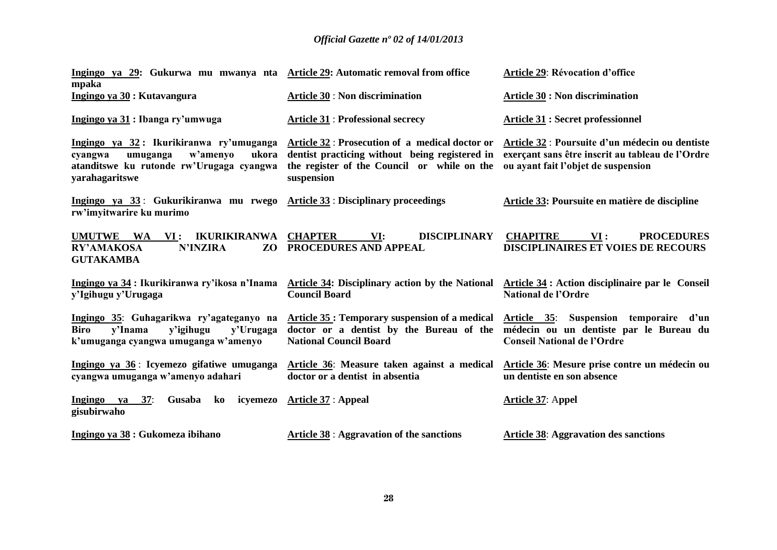| Ingingo ya 29: Gukurwa mu mwanya nta Article 29: Automatic removal from office<br>mpaka                                                           |                                                                                                                                                                | <b>Article 29: Révocation d'office</b>                                                                                                     |
|---------------------------------------------------------------------------------------------------------------------------------------------------|----------------------------------------------------------------------------------------------------------------------------------------------------------------|--------------------------------------------------------------------------------------------------------------------------------------------|
| Ingingo ya 30 : Kutavangura                                                                                                                       | <b>Article 30 : Non discrimination</b>                                                                                                                         | <b>Article 30 : Non discrimination</b>                                                                                                     |
| Ingingo ya 31 : Ibanga ry'umwuga                                                                                                                  | <b>Article 31 : Professional secrecy</b>                                                                                                                       | <b>Article 31 : Secret professionnel</b>                                                                                                   |
| Ingingo ya 32: Ikurikiranwa ry'umuganga<br>w'amenyo<br>ukora<br>cyangwa<br>umuganga<br>atanditswe ku rutonde rw'Urugaga cyangwa<br>yarahagaritswe | Article 32 : Prosecution of a medical doctor or<br>dentist practicing without being registered in<br>the register of the Council or while on the<br>suspension | Article 32 : Poursuite d'un médecin ou dentiste<br>exerçant sans être inscrit au tableau de l'Ordre<br>ou ayant fait l'objet de suspension |
| Ingingo ya 33: Gukurikiranwa mu rwego Article 33: Disciplinary proceedings<br>rw'imyitwarire ku murimo                                            |                                                                                                                                                                | Article 33: Poursuite en matière de discipline                                                                                             |
| <b>UMUTWE</b><br>WA<br><b>IKURIKIRANWA</b><br>$\mathbf{VI}$ :<br><b>RY'AMAKOSA</b><br><b>N'INZIRA</b><br>ZO<br><b>GUTAKAMBA</b>                   | <b>CHAPTER</b><br>VI:<br><b>DISCIPLINARY</b><br>PROCEDURES AND APPEAL                                                                                          | <b>CHAPITRE</b><br>VI:<br><b>PROCEDURES</b><br><b>DISCIPLINAIRES ET VOIES DE RECOURS</b>                                                   |
| Ingingo ya 34 : Ikurikiranwa ry'ikosa n'Inama<br>y'Igihugu y'Urugaga                                                                              | <b>Article 34: Disciplinary action by the National</b><br><b>Council Board</b>                                                                                 | Article 34 : Action disciplinaire par le Conseil<br><b>National de l'Ordre</b>                                                             |
| Ingingo 35: Guhagarikwa ry'agateganyo na<br><b>Biro</b><br>v'Inama<br>y'igihugu<br>y'Urugaga<br>k'umuganga cyangwa umuganga w'amenyo              | Article 35 : Temporary suspension of a medical<br>doctor or a dentist by the Bureau of the<br><b>National Council Board</b>                                    | Article 35: Suspension temporaire d'un<br>médecin ou un dentiste par le Bureau du<br><b>Conseil National de l'Ordre</b>                    |
| Ingingo ya 36: Icyemezo gifatiwe umuganga<br>cyangwa umuganga w'amenyo adahari                                                                    | Article 36: Measure taken against a medical<br>doctor or a dentist in absentia                                                                                 | Article 36: Mesure prise contre un médecin ou<br>un dentiste en son absence                                                                |
| 37:<br>Ingingo<br>Gusaba<br>ko<br>icyemezo<br>ya<br>gisubirwaho                                                                                   | <b>Article 37 : Appeal</b>                                                                                                                                     | Article 37: Appel                                                                                                                          |
| Ingingo ya 38 : Gukomeza ibihano                                                                                                                  | <b>Article 38 : Aggravation of the sanctions</b>                                                                                                               | <b>Article 38: Aggravation des sanctions</b>                                                                                               |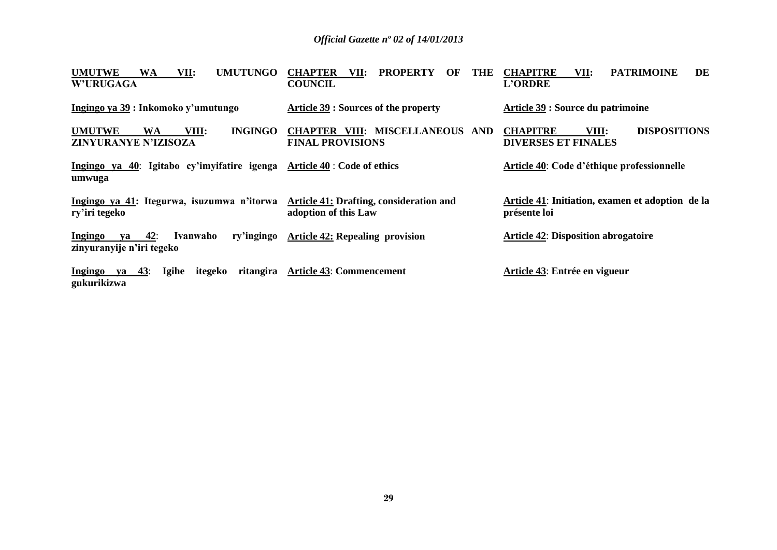| <b>WA</b><br><b>UMUTUNGO</b><br><b>UMUTWE</b><br>VII:                       | <b>CHAPTER</b><br><b>PROPERTY</b><br><b>THE</b><br>VII:<br>OF          | <b>PATRIMOINE</b><br><b>CHAPITRE</b><br>VII:<br>DE               |
|-----------------------------------------------------------------------------|------------------------------------------------------------------------|------------------------------------------------------------------|
| <b>W'URUGAGA</b>                                                            | <b>COUNCIL</b>                                                         | <b>L'ORDRE</b>                                                   |
| Ingingo ya 39 : Inkomoko y'umutungo                                         | Article 39 : Sources of the property                                   | Article 39 : Source du patrimoine                                |
| <b>INGINGO</b><br><b>UMUTWE</b><br>VIII:<br>WA                              | <b>CHAPTER VIII: MISCELLANEOUS AND</b>                                 | VIII:<br><b>DISPOSITIONS</b><br><b>CHAPITRE</b>                  |
| ZINYURANYE N'IZISOZA                                                        | <b>FINAL PROVISIONS</b>                                                | <b>DIVERSES ET FINALES</b>                                       |
| Ingingo ya 40: Igitabo cy'imyifatire igenga<br>umwuga                       | <b>Article 40 : Code of ethics</b>                                     | <b>Article 40: Code d'éthique professionnelle</b>                |
| Ingingo ya 41: Itegurwa, isuzumwa n'itorwa<br>ry'iri tegeko                 | <b>Article 41: Drafting, consideration and</b><br>adoption of this Law | Article 41: Initiation, examen et adoption de la<br>présente loi |
| 42:<br>ry'ingingo<br>Ingingo<br>Ivanwaho<br>va<br>zinyuranyije n'iri tegeko | <b>Article 42: Repealing provision</b>                                 | <b>Article 42: Disposition abrogatoire</b>                       |
| Igihe<br>ritangira<br>43:<br>itegeko<br><b>Ingingo</b><br>ya<br>gukurikizwa | <b>Article 43: Commencement</b>                                        | Article 43: Entrée en vigueur                                    |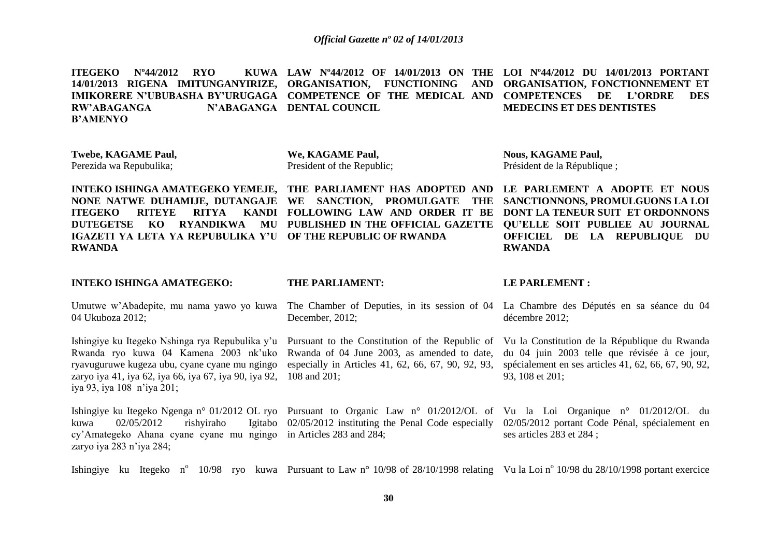**ITEGEKO Nº44/2012 RYO 14/01/2013 RIGENA IMITUNGANYIRIZE, ORGANISATION, FUNCTIONING AND ORGANISATION, FONCTIONNEMENT ET IMIKORERE N'UBUBASHA BY'URUGAGA COMPETENCE OF THE MEDICAL AND COMPETENCES DE L'ORDRE DES RW'ABAGANGA B'AMENYO LAW Nº44/2012 OF 14/01/2013 ON THE LOI Nº44/2012 DU 14/01/2013 PORTANT N'ABAGANGA DENTAL COUNCIL MEDECINS ET DES DENTISTES**

**Twebe, KAGAME Paul,** Perezida wa Repubulika;

04 Ukuboza 2012;

iya 93, iya 108 n'iya 201;

zaryo iya 283 n'iya 284;

kuwa  $02/05/2012$  rishyiraho

**We, KAGAME Paul,** President of the Republic; **Nous, KAGAME Paul,** Président de la République ;

**INTEKO ISHINGA AMATEGEKO YEMEJE, THE PARLIAMENT HAS ADOPTED AND LE PARLEMENT A ADOPTE ET NOUS IGAZETI YA LETA YA REPUBULIKA Y'U OF THE REPUBLIC OF RWANDA RWANDA**

Rwanda ryo kuwa 04 Kamena 2003 nk'uko ryavuguruwe kugeza ubu, cyane cyane mu ngingo

cy'Amategeko Ahana cyane cyane mu ngingo in Articles 283 and 284;

**NONE NATWE DUHAMIJE, DUTANGAJE WE SANCTION, PROMULGATE THE ITEGEKO RITEYE RITYA KANDI FOLLOWING LAW AND ORDER IT BE DONT LA TENEUR SUIT ET ORDONNONS DUTEGETSE KO RYANDIKWA MU PUBLISHED IN THE OFFICIAL GAZETTE QU'ELLE SOIT PUBLIEE AU JOURNAL** 

**SANCTIONNONS, PROMULGUONS LA LOI OFFICIEL DE LA REPUBLIQUE DU RWANDA**

#### **INTEKO ISHINGA AMATEGEKO:**

#### **THE PARLIAMENT:**

Umutwe w'Abadepite, mu nama yawo yo kuwa The Chamber of Deputies, in its session of 04 La Chambre des Députés en sa séance du 04 December, 2012;

zaryo iya 41, iya 62, iya 66, iya 67, iya 90, iya 92, 108 and 201; Rwanda of 04 June 2003, as amended to date, especially in Articles 41, 62, 66, 67, 90, 92, 93,

#### **LE PARLEMENT :**

décembre 2012;

Ishingiye ku Itegeko Nshinga rya Repubulika y'u Pursuant to the Constitution of the Republic of Vu la Constitution de la République du Rwanda du 04 juin 2003 telle que révisée à ce jour, spécialement en ses articles 41, 62, 66, 67, 90, 92, 93, 108 et 201;

Ishingiye ku Itegeko Ngenga n° 01/2012 OL ryo Pursuant to Organic Law n° 01/2012/OL of Vu la Loi Organique n° 01/2012/OL du 02/05/2012 instituting the Penal Code especially 02/05/2012 portant Code Pénal, spécialement en ses articles 283 et 284 ;

Ishingiye ku Itegeko n<sup>o</sup> 10/98 ryo kuwa Pursuant to Law n<sup>o</sup> 10/98 of 28/10/1998 relating Vu la Loi n<sup>o</sup> 10/98 du 28/10/1998 portant exercice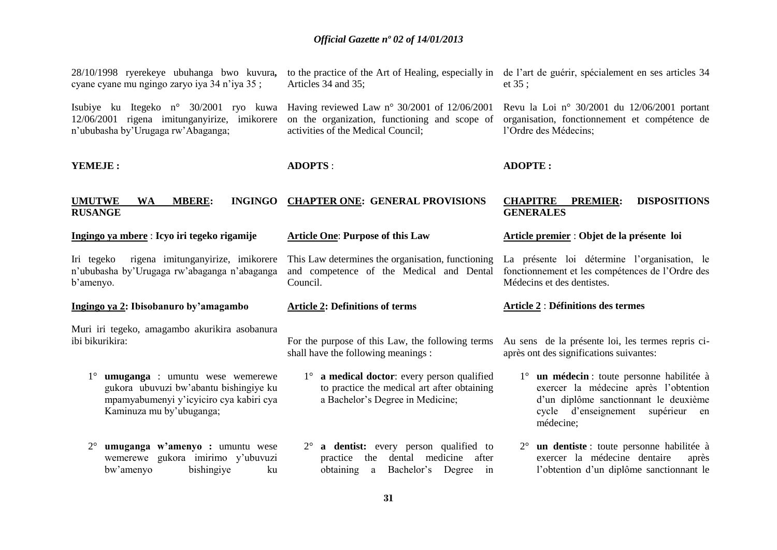| 28/10/1998 ryerekeye ubuhanga bwo kuvura,<br>cyane cyane mu ngingo zaryo iya 34 n'iya 35;                                                                              | to the practice of the Art of Healing, especially in<br>Articles 34 and 35;                                                                  | de l'art de guérir, spécialement en ses articles 34<br>et $35$ ;                                                                                                                  |
|------------------------------------------------------------------------------------------------------------------------------------------------------------------------|----------------------------------------------------------------------------------------------------------------------------------------------|-----------------------------------------------------------------------------------------------------------------------------------------------------------------------------------|
| Isubiye ku Itegeko n° 30/2001 ryo kuwa<br>12/06/2001 rigena imitunganyirize, imikorere<br>n'ububasha by'Urugaga rw'Abaganga;                                           | Having reviewed Law $n^{\circ}$ 30/2001 of 12/06/2001<br>on the organization, functioning and scope of<br>activities of the Medical Council; | Revu la Loi nº 30/2001 du 12/06/2001 portant<br>organisation, fonctionnement et compétence de<br>l'Ordre des Médecins;                                                            |
| YEMEJE:                                                                                                                                                                | <b>ADOPTS:</b>                                                                                                                               | <b>ADOPTE:</b>                                                                                                                                                                    |
| <b>UMUTWE</b><br><b>MBERE:</b><br><b>INGINGO</b><br><b>WA</b><br><b>RUSANGE</b>                                                                                        | <b>CHAPTER ONE: GENERAL PROVISIONS</b>                                                                                                       | <b>CHAPITRE</b><br><b>DISPOSITIONS</b><br><b>PREMIER:</b><br><b>GENERALES</b>                                                                                                     |
| Ingingo ya mbere : Icyo iri tegeko rigamije                                                                                                                            | <b>Article One: Purpose of this Law</b>                                                                                                      | Article premier : Objet de la présente loi                                                                                                                                        |
| rigena imitunganyirize, imikorere<br>Iri tegeko<br>n'ububasha by'Urugaga rw'abaganga n'abaganga<br>b'amenyo.                                                           | This Law determines the organisation, functioning<br>and competence of the Medical and Dental<br>Council.                                    | La présente loi détermine l'organisation, le<br>fonctionnement et les compétences de l'Ordre des<br>Médecins et des dentistes.                                                    |
| Ingingo ya 2: Ibisobanuro by'amagambo                                                                                                                                  | <b>Article 2: Definitions of terms</b>                                                                                                       | <b>Article 2: Définitions des termes</b>                                                                                                                                          |
| Muri iri tegeko, amagambo akurikira asobanura<br>ibi bikurikira:                                                                                                       | For the purpose of this Law, the following terms<br>shall have the following meanings :                                                      | Au sens de la présente loi, les termes repris ci-<br>après ont des significations suivantes:                                                                                      |
| $1^{\circ}$<br><b>umuganga</b> : umuntu wese wemerewe<br>gukora ubuvuzi bw'abantu bishingiye ku<br>mpamyabumenyi y'icyiciro cya kabiri cya<br>Kaminuza mu by'ubuganga; | $1^\circ$ a medical doctor: every person qualified<br>to practice the medical art after obtaining<br>a Bachelor's Degree in Medicine;        | 1° un médecin : toute personne habilitée à<br>exercer la médecine après l'obtention<br>d'un diplôme sanctionnant le deuxième<br>cycle d'enseignement supérieur<br>en<br>médecine; |
| umuganga w'amenyo : umuntu wese<br>$2^{\circ}$<br>wemerewe gukora imirimo y'ubuvuzi<br>bw'amenyo<br>bishingiye<br>ku                                                   | $2^{\circ}$ a dentist: every person qualified to<br>practice the dental medicine after<br>Bachelor's Degree<br>obtaining a<br>in             | 2° un dentiste : toute personne habilitée à<br>exercer la médecine dentaire<br>après<br>l'obtention d'un diplôme sanctionnant le                                                  |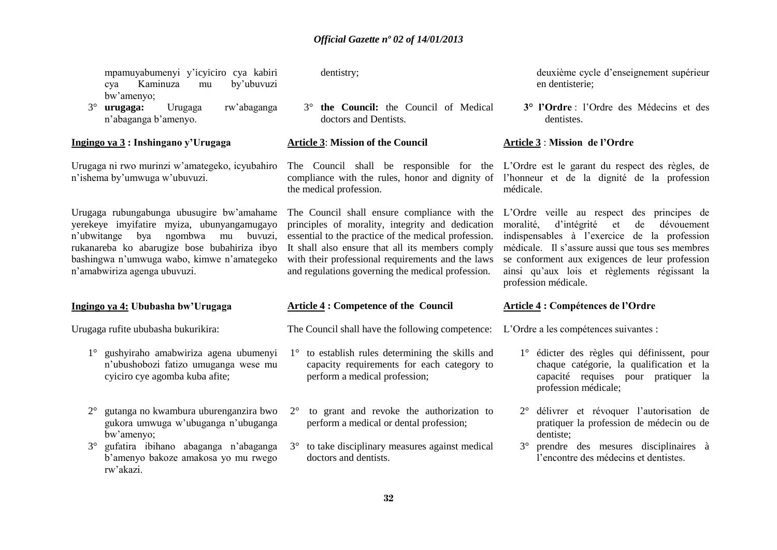mpamuyabumenyi y'icyiciro cya kabiri cya Kaminuza mu by'ubuvuzi bw'amenyo;

3° **urugaga:** Urugaga rw'abaganga n'abaganga b'amenyo.

**Ingingo ya 3 : Inshingano y'Urugaga**

Urugaga ni rwo murinzi w'amategeko, icyubahiro n'ishema by'umwuga w'ubuvuzi.

Urugaga rubungabunga ubusugire bw'amahame yerekeye imyifatire myiza, ubunyangamugayo n'ubwitange bya ngombwa mu buvuzi, rukanareba ko abarugize bose bubahiriza ibyo bashingwa n'umwuga wabo, kimwe n'amategeko n'amabwiriza agenga ubuvuzi.

#### **Ingingo ya 4: Ububasha bw'Urugaga**

Urugaga rufite ububasha bukurikira:

- 1° gushyiraho amabwiriza agena ubumenyi n'ubushobozi fatizo umuganga wese mu cyiciro cye agomba kuba afite;
- 2° gutanga no kwambura uburenganzira bwo gukora umwuga w'ubuganga n'ubuganga bw'amenyo;
- 3° gufatira ibihano abaganga n'abaganga b'amenyo bakoze amakosa yo mu rwego rw'akazi.

dentistry;

3° **the Council:** the Council of Medical doctors and Dentists.

**Article 3**: **Mission of the Council**

The Council shall be responsible for the L'Ordre est le garant du respect des règles, de the medical profession.

principles of morality, integrity and dedication essential to the practice of the medical profession. It shall also ensure that all its members comply with their professional requirements and the laws and regulations governing the medical profession.

#### **Article 4 : Competence of the Council**

The Council shall have the following competence: L'Ordre a les compétences suivantes :

- 1° to establish rules determining the skills and capacity requirements for each category to perform a medical profession;
- 2° to grant and revoke the authorization to perform a medical or dental profession;
- 3° to take disciplinary measures against medical doctors and dentists.

deuxième cycle d'enseignement supérieur en dentisterie;

 **3° l'Ordre** : l'Ordre des Médecins et des dentistes.

#### **Article 3** : **Mission de l'Ordre**

compliance with the rules, honor and dignity of l'honneur et de la dignité de la profession médicale.

The Council shall ensure compliance with the L'Ordre veille au respect des principes de moralité, d'intégrité et de dévouement indispensables à l'exercice de la profession médicale. Il s'assure aussi que tous ses membres se conforment aux exigences de leur profession ainsi qu'aux lois et règlements régissant la profession médicale.

#### **Article 4 : Compétences de l'Ordre**

- 1° édicter des règles qui définissent, pour chaque catégorie, la qualification et la capacité requises pour pratiquer la profession médicale;
- 2° délivrer et révoquer l'autorisation de pratiquer la profession de médecin ou de dentiste;
- 3° prendre des mesures disciplinaires à l'encontre des médecins et dentistes.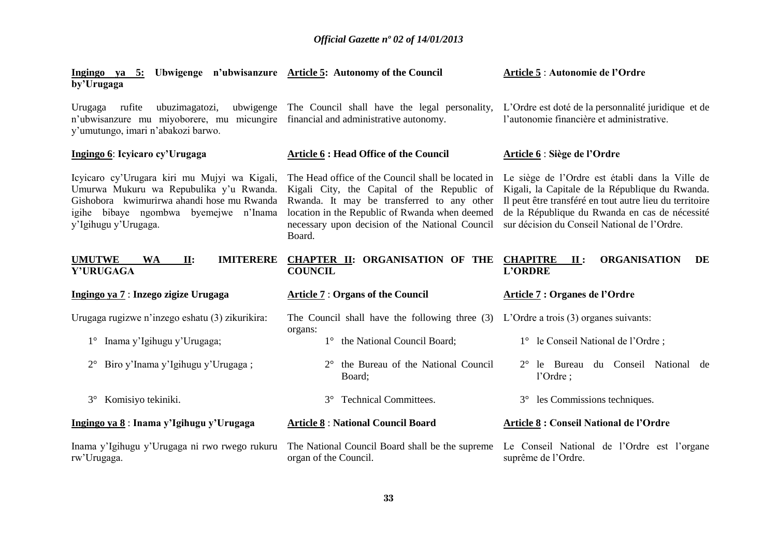| Ingingo ya 5: Ubwigenge n'ubwisanzure Article 5: Autonomy of the Council<br>by'Urugaga                                                                                                                 |                                                                                                                                                                                                                                                                | Article 5 : Autonomie de l'Ordre                                                                                                                                                                                                                                |
|--------------------------------------------------------------------------------------------------------------------------------------------------------------------------------------------------------|----------------------------------------------------------------------------------------------------------------------------------------------------------------------------------------------------------------------------------------------------------------|-----------------------------------------------------------------------------------------------------------------------------------------------------------------------------------------------------------------------------------------------------------------|
| ubuzimagatozi,<br>Urugaga<br>rufite<br>n'ubwisanzure mu miyoborere, mu micungire financial and administrative autonomy.<br>y'umutungo, imari n'abakozi barwo.                                          | ubwigenge The Council shall have the legal personality,                                                                                                                                                                                                        | L'Ordre est doté de la personnalité juridique et de<br>l'autonomie financière et administrative.                                                                                                                                                                |
| Ingingo 6: Icyicaro cy' Urugaga                                                                                                                                                                        | <b>Article 6 : Head Office of the Council</b>                                                                                                                                                                                                                  | Article 6 : Siège de l'Ordre                                                                                                                                                                                                                                    |
| Icyicaro cy'Urugara kiri mu Mujyi wa Kigali,<br>Umurwa Mukuru wa Repubulika y'u Rwanda.<br>Gishobora kwimurirwa ahandi hose mu Rwanda<br>igihe bibaye ngombwa byemejwe n'Inama<br>y'Igihugu y'Urugaga. | The Head office of the Council shall be located in<br>Kigali City, the Capital of the Republic of<br>Rwanda. It may be transferred to any other<br>location in the Republic of Rwanda when deemed<br>necessary upon decision of the National Council<br>Board. | Le siège de l'Ordre est établi dans la Ville de<br>Kigali, la Capitale de la République du Rwanda.<br>Il peut être transféré en tout autre lieu du territoire<br>de la République du Rwanda en cas de nécessité<br>sur décision du Conseil National de l'Ordre. |
| <b>IMITERERE</b><br><b>UMUTWE</b><br><b>WA</b><br>II:<br>Y'URUGAGA                                                                                                                                     | <b>CHAPTER II: ORGANISATION OF THE</b><br><b>COUNCIL</b>                                                                                                                                                                                                       | <b>CHAPITRE</b><br><b>ORGANISATION</b><br>DE<br>$\mathbf{II}$ :<br><b>L'ORDRE</b>                                                                                                                                                                               |
| Ingingo ya 7 : Inzego zigize Urugaga                                                                                                                                                                   | <b>Article 7: Organs of the Council</b>                                                                                                                                                                                                                        | Article 7 : Organes de l'Ordre                                                                                                                                                                                                                                  |
| Urugaga rugizwe n'inzego eshatu (3) zikurikira:                                                                                                                                                        |                                                                                                                                                                                                                                                                |                                                                                                                                                                                                                                                                 |
|                                                                                                                                                                                                        | The Council shall have the following three (3)                                                                                                                                                                                                                 | L'Ordre a trois $(3)$ organes suivants:                                                                                                                                                                                                                         |
| Inama y'Igihugu y'Urugaga;<br>$1^{\circ}$                                                                                                                                                              | organs:<br>the National Council Board;<br>$1^{\circ}$                                                                                                                                                                                                          | 1° le Conseil National de l'Ordre;                                                                                                                                                                                                                              |
| Biro y'Inama y'Igihugu y'Urugaga;<br>$2^{\circ}$                                                                                                                                                       | the Bureau of the National Council<br>$2^{\circ}$<br>Board;                                                                                                                                                                                                    | le Bureau du Conseil National de<br>$2^{\circ}$<br>l'Ordre;                                                                                                                                                                                                     |
| Komisiyo tekiniki.<br>$3^\circ$                                                                                                                                                                        | <b>Technical Committees.</b><br>$3^\circ$                                                                                                                                                                                                                      | les Commissions techniques.<br>$3^\circ$                                                                                                                                                                                                                        |
| Ingingo ya 8 : Inama y'Igihugu y'Urugaga                                                                                                                                                               | <b>Article 8: National Council Board</b>                                                                                                                                                                                                                       | Article 8 : Conseil National de l'Ordre                                                                                                                                                                                                                         |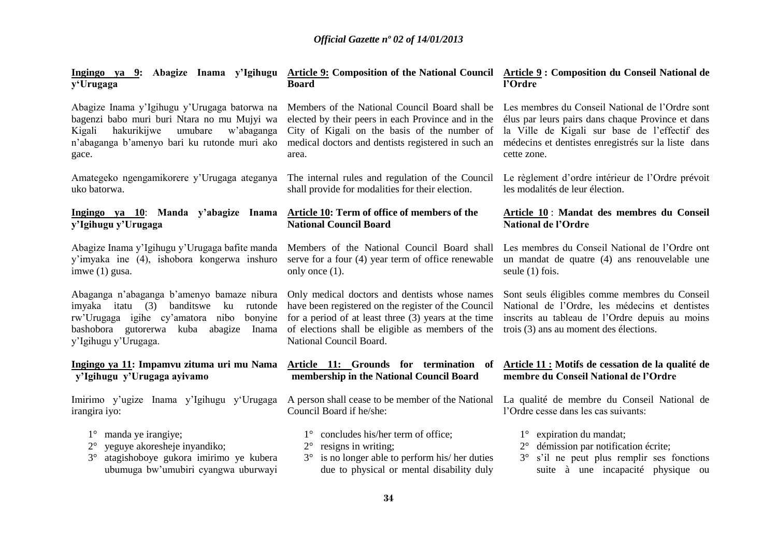| y'Urugaga                                                                                                                                                                                                        | Ingingo ya 9: Abagize Inama y'Igihugu Article 9: Composition of the National Council Article 9: Composition du Conseil National de<br><b>Board</b>                                                                                          | l'Ordre                                                                                                                                                                                                                     |
|------------------------------------------------------------------------------------------------------------------------------------------------------------------------------------------------------------------|---------------------------------------------------------------------------------------------------------------------------------------------------------------------------------------------------------------------------------------------|-----------------------------------------------------------------------------------------------------------------------------------------------------------------------------------------------------------------------------|
| Abagize Inama y'Igihugu y'Urugaga batorwa na<br>bagenzi babo muri buri Ntara no mu Mujyi wa<br>hakurikijwe<br>umubare<br>w'abaganga<br>Kigali<br>n'abaganga b'amenyo bari ku rutonde muri ako<br>gace.           | Members of the National Council Board shall be<br>elected by their peers in each Province and in the<br>City of Kigali on the basis of the number of<br>medical doctors and dentists registered in such an<br>area.                         | Les membres du Conseil National de l'Ordre sont<br>élus par leurs pairs dans chaque Province et dans<br>la Ville de Kigali sur base de l'effectif des<br>médecins et dentistes enregistrés sur la liste dans<br>cette zone. |
| Amategeko ngengamikorere y'Urugaga ateganya                                                                                                                                                                      | The internal rules and regulation of the Council                                                                                                                                                                                            | Le règlement d'ordre intérieur de l'Ordre prévoit                                                                                                                                                                           |
| uko batorwa.                                                                                                                                                                                                     | shall provide for modalities for their election.                                                                                                                                                                                            | les modalités de leur élection.                                                                                                                                                                                             |
| Ingingo ya 10: Manda y'abagize Inama                                                                                                                                                                             | Article 10: Term of office of members of the                                                                                                                                                                                                | Article 10 : Mandat des membres du Conseil                                                                                                                                                                                  |
| y'Igihugu y'Urugaga                                                                                                                                                                                              | <b>National Council Board</b>                                                                                                                                                                                                               | <b>National de l'Ordre</b>                                                                                                                                                                                                  |
| Abagize Inama y'Igihugu y'Urugaga bafite manda                                                                                                                                                                   | Members of the National Council Board shall                                                                                                                                                                                                 | Les membres du Conseil National de l'Ordre ont                                                                                                                                                                              |
| y'imyaka ine (4), ishobora kongerwa inshuro                                                                                                                                                                      | serve for a four (4) year term of office renewable                                                                                                                                                                                          | un mandat de quatre (4) ans renouvelable une                                                                                                                                                                                |
| imwe $(1)$ gusa.                                                                                                                                                                                                 | only once $(1)$ .                                                                                                                                                                                                                           | seule (1) fois.                                                                                                                                                                                                             |
| Abaganga n'abaganga b'amenyo bamaze nibura<br>imyaka itatu (3)<br>banditswe<br>rutonde<br>ku<br>rw'Urugaga igihe cy'amatora nibo<br>bonyine<br>bashobora gutorerwa kuba abagize<br>Inama<br>y'Igihugu y'Urugaga. | Only medical doctors and dentists whose names<br>have been registered on the register of the Council<br>for a period of at least three (3) years at the time<br>of elections shall be eligible as members of the<br>National Council Board. | Sont seuls éligibles comme membres du Conseil<br>National de l'Ordre, les médecins et dentistes<br>inscrits au tableau de l'Ordre depuis au moins<br>trois (3) ans au moment des élections.                                 |
| Ingingo ya 11: Impamvu zituma uri mu Nama                                                                                                                                                                        | Article 11: Grounds for termination of                                                                                                                                                                                                      | Article 11 : Motifs de cessation de la qualité de                                                                                                                                                                           |
| y'Igihugu y'Urugaga ayivamo                                                                                                                                                                                      | membership in the National Council Board                                                                                                                                                                                                    | membre du Conseil National de l'Ordre                                                                                                                                                                                       |
| Imirimo y'ugize Inama y'Igihugu y'Urugaga                                                                                                                                                                        | A person shall cease to be member of the National                                                                                                                                                                                           | La qualité de membre du Conseil National de                                                                                                                                                                                 |
| irangira iyo:                                                                                                                                                                                                    | Council Board if he/she:                                                                                                                                                                                                                    | l'Ordre cesse dans les cas suivants:                                                                                                                                                                                        |
| manda ye irangiye;<br>$1^{\circ}$<br>yeguye akoresheje inyandiko;<br>$2^{\circ}$<br>atagishoboye gukora imirimo ye kubera<br>$3^\circ$<br>ubumuga bw'umubiri cyangwa uburwayi                                    | 1° concludes his/her term of office;<br>resigns in writing;<br>$2^{\circ}$<br>$3^\circ$ is no longer able to perform his/ her duties<br>due to physical or mental disability duly                                                           | expiration du mandat;<br>$1^{\circ}$<br>démission par notification écrite;<br>$2^{\circ}$<br>3° s'il ne peut plus remplir ses fonctions<br>suite à une incapacité physique ou                                               |
|                                                                                                                                                                                                                  |                                                                                                                                                                                                                                             |                                                                                                                                                                                                                             |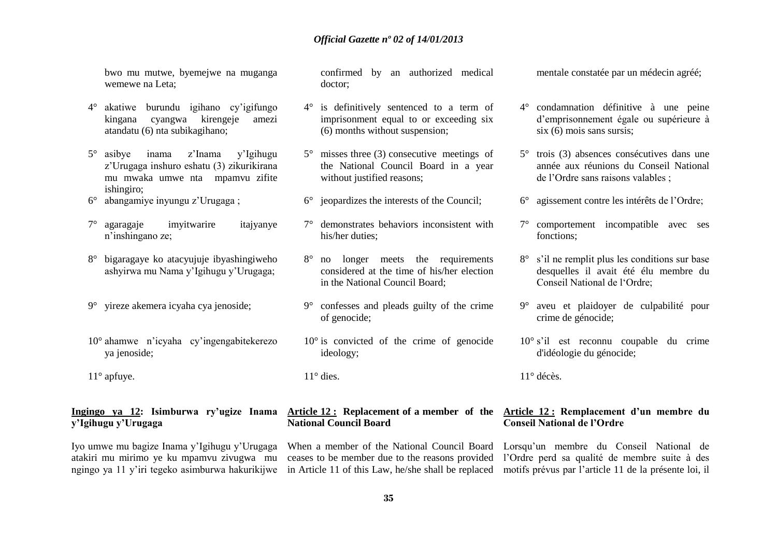bwo mu mutwe, byemejwe na muganga wemewe na Leta;

- 4° akatiwe burundu igihano cy'igifungo kingana cyangwa kirengeje amezi atandatu (6) nta subikagihano;
- 5° asibye inama z'Inama y'Igihugu z'Urugaga inshuro eshatu (3) zikurikirana mu mwaka umwe nta mpamvu zifite ishingiro;
- 6° abangamiye inyungu z'Urugaga ;
- 7° agaragaje imyitwarire itajyanye n'inshingano ze;
- 8° bigaragaye ko atacyujuje ibyashingiweho ashyirwa mu Nama y'Igihugu y'Urugaga;
- 9° yireze akemera icyaha cya jenoside;
- 10° ahamwe n'icyaha cy'ingengabitekerezo ya jenoside;
- 11° apfuye.

## **y'Igihugu y'Urugaga**

Iyo umwe mu bagize Inama y'Igihugu y'Urugaga atakiri mu mirimo ye ku mpamvu zivugwa mu confirmed by an authorized medical doctor;

- 4° is definitively sentenced to a term of imprisonment equal to or exceeding six (6) months without suspension;
- 5° misses three (3) consecutive meetings of the National Council Board in a year without justified reasons:
- 6° jeopardizes the interests of the Council;
- 7° demonstrates behaviors inconsistent with his/her duties;
- 8° no longer meets the requirements considered at the time of his/her election in the National Council Board;
- 9° confesses and pleads guilty of the crime of genocide;
- $10^{\circ}$  is convicted of the crime of genocide ideology;

 $11^\circ$  dies

## **National Council Board**

mentale constatée par un médecin agréé;

- 4° condamnation définitive à une peine d'emprisonnement égale ou supérieure à six (6) mois sans sursis;
- 5° trois (3) absences consécutives dans une année aux réunions du Conseil National de l'Ordre sans raisons valables ;
- 6° agissement contre les intérêts de l'Ordre;
- 7° comportement incompatible avec ses fonctions;
- 8° s'il ne remplit plus les conditions sur base desquelles il avait été élu membre du Conseil National de l'Ordre;
- 9° aveu et plaidoyer de culpabilité pour crime de génocide;
- 10° s'il est reconnu coupable du crime d'idéologie du génocide;

11° décès.

#### **Ingingo ya 12: Isimburwa ry'ugize Inama Article 12 : Replacement of a member of the Article 12 : Remplacement d'un membre du Conseil National de l'Ordre**

ngingo ya 11 y'iri tegeko asimburwa hakurikijwe in Article 11 of this Law, he/she shall be replaced motifs prévus par l'article 11 de la présente loi, il When a member of the National Council Board Lorsqu'un membre du Conseil National de ceases to be member due to the reasons provided l'Ordre perd sa qualité de membre suite à des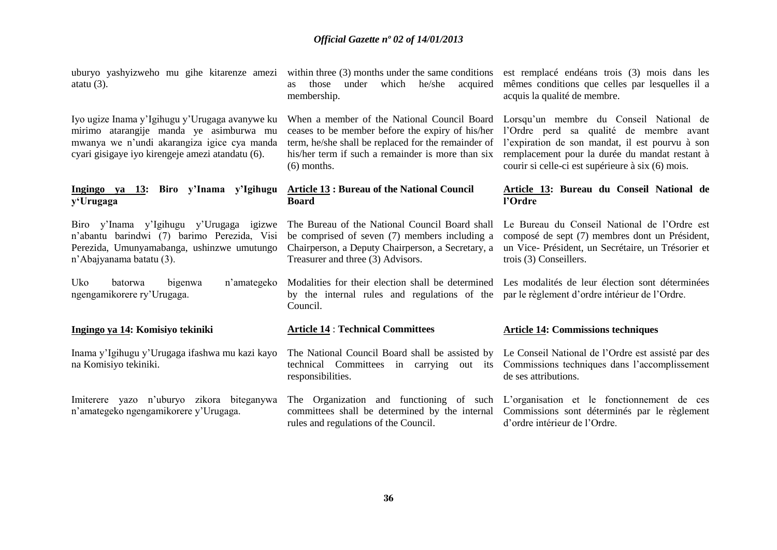uburyo yashyizweho mu gihe kitarenze amezi atatu (3).

Iyo ugize Inama y'Igihugu y'Urugaga avanywe ku mirimo atarangije manda ye asimburwa mu mwanya we n'undi akarangiza igice cya manda cyari gisigaye iyo kirengeje amezi atandatu (6).

#### **Ingingo ya 13: Biro y'Inama y'Igihugu Article 13 : Bureau of the National Council y'Urugaga**

Biro y'Inama y'Igihugu y'Urugaga igizwe The Bureau of the National Council Board shall n'abantu barindwi (7) barimo Perezida, Visi Perezida, Umunyamabanga, ushinzwe umutungo Chairperson, a Deputy Chairperson, a Secretary, a n'Abajyanama batatu (3).

Uko batorwa bigenwa n'amategeko ngengamikorere ry'Urugaga.

#### **Ingingo ya 14: Komisiyo tekiniki**

Inama y'Igihugu y'Urugaga ifashwa mu kazi kayo na Komisiyo tekiniki.

Imiterere yazo n'uburyo zikora biteganywa n'amategeko ngengamikorere y'Urugaga.

within three (3) months under the same conditions est remplacé endéans trois (3) mois dans les as those under which he/she acquired membership.

When a member of the National Council Board Lorsqu'un membre du Conseil National de his/her term if such a remainder is more than six (6) months.

## **Board**

be comprised of seven (7) members including a Treasurer and three (3) Advisors.

mêmes conditions que celles par lesquelles il a acquis la qualité de membre.

ceases to be member before the expiry of his/her l'Ordre perd sa qualité de membre avant term, he/she shall be replaced for the remainder of l'expiration de son mandat, il est pourvu à son remplacement pour la durée du mandat restant à courir si celle-ci est supérieure à six (6) mois.

#### **Article 13: Bureau du Conseil National de l'Ordre**

Le Bureau du Conseil National de l'Ordre est composé de sept (7) membres dont un Président, un Vice- Président, un Secrétaire, un Trésorier et trois (3) Conseillers.

Modalities for their election shall be determined Les modalités de leur élection sont déterminées by the internal rules and regulations of the par le règlement d'ordre intérieur de l'Ordre.

#### **Article 14** : **Technical Committees**

Council.

responsibilities.

# rules and regulations of the Council.

#### **Article 14: Commissions techniques**

The National Council Board shall be assisted by Le Conseil National de l'Ordre est assisté par des technical Committees in carrying out its Commissions techniques dans l'accomplissement de ses attributions.

The Organization and functioning of such L'organisation et le fonctionnement de ces committees shall be determined by the internal Commissions sont déterminés par le règlement d'ordre intérieur de l'Ordre.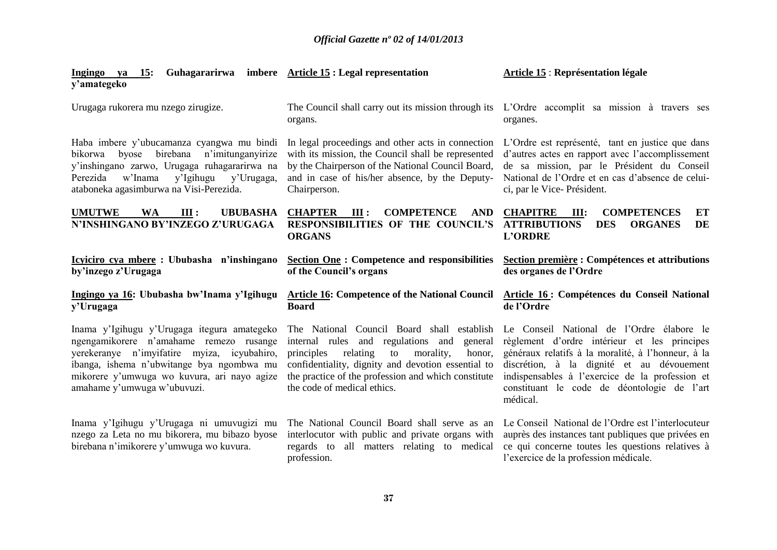| Guhagararirwa<br>15:<br>Ingingo ya<br>y'amategeko                                                                                                                                                                                                                | imbere Article 15 : Legal representation                                                                                                                                                                                                                                                       | <b>Article 15 : Représentation légale</b>                                                                                                                                                                                                                                                                  |
|------------------------------------------------------------------------------------------------------------------------------------------------------------------------------------------------------------------------------------------------------------------|------------------------------------------------------------------------------------------------------------------------------------------------------------------------------------------------------------------------------------------------------------------------------------------------|------------------------------------------------------------------------------------------------------------------------------------------------------------------------------------------------------------------------------------------------------------------------------------------------------------|
| Urugaga rukorera mu nzego zirugize.                                                                                                                                                                                                                              | The Council shall carry out its mission through its<br>organs.                                                                                                                                                                                                                                 | L'Ordre accomplit sa mission à travers ses<br>organes.                                                                                                                                                                                                                                                     |
| Haba imbere y'ubucamanza cyangwa mu bindi<br>birebana<br>n'imitunganyirize<br>bikorwa<br>byose<br>y'inshingano zarwo, Urugaga ruhagararirwa na<br>w'Inama<br>y'Urugaga,<br>Perezida<br>y'Igihugu<br>ataboneka agasimburwa na Visi-Perezida.                      | In legal proceedings and other acts in connection<br>with its mission, the Council shall be represented<br>by the Chairperson of the National Council Board,<br>and in case of his/her absence, by the Deputy-<br>Chairperson.                                                                 | L'Ordre est représenté, tant en justice que dans<br>d'autres actes en rapport avec l'accomplissement<br>de sa mission, par le Président du Conseil<br>National de l'Ordre et en cas d'absence de celui-<br>ci, par le Vice-Président.                                                                      |
| <b>UMUTWE</b><br><b>WA</b><br>III:<br><b>UBUBASHA</b><br>N'INSHINGANO BY'INZEGO Z'URUGAGA                                                                                                                                                                        | <b>CHAPTER</b><br>III:<br><b>COMPETENCE</b><br><b>AND</b><br><b>RESPONSIBILITIES OF THE COUNCIL'S</b><br><b>ORGANS</b>                                                                                                                                                                         | <b>COMPETENCES</b><br><b>CHAPITRE</b><br>ET<br>Ш:<br><b>ATTRIBUTIONS</b><br><b>DES</b><br><b>ORGANES</b><br>DE<br><b>L'ORDRE</b>                                                                                                                                                                           |
| Icyiciro cya mbere: Ububasha n'inshingano<br>by'inzego z'Urugaga                                                                                                                                                                                                 | <b>Section One : Competence and responsibilities</b><br>of the Council's organs                                                                                                                                                                                                                | Section première : Compétences et attributions<br>des organes de l'Ordre                                                                                                                                                                                                                                   |
|                                                                                                                                                                                                                                                                  |                                                                                                                                                                                                                                                                                                |                                                                                                                                                                                                                                                                                                            |
| Ingingo ya 16: Ububasha bw'Inama y'Igihugu<br>y'Urugaga                                                                                                                                                                                                          | <b>Board</b>                                                                                                                                                                                                                                                                                   | Article 16: Competence of the National Council Article 16: Compétences du Conseil National<br>de l'Ordre                                                                                                                                                                                                   |
| Inama y'Igihugu y'Urugaga itegura amategeko<br>ngengamikorere n'amahame remezo rusange<br>yerekeranye n'imyifatire myiza, icyubahiro,<br>ibanga, ishema n'ubwitange bya ngombwa mu<br>mikorere y'umwuga wo kuvura, ari nayo agize<br>amahame y'umwuga w'ubuvuzi. | The National Council Board shall establish<br>internal rules and regulations and<br>general<br>principles<br>relating<br>to<br>morality,<br>honor,<br>confidentiality, dignity and devotion essential to<br>the practice of the profession and which constitute<br>the code of medical ethics. | Le Conseil National de l'Ordre élabore le<br>règlement d'ordre intérieur et les principes<br>généraux relatifs à la moralité, à l'honneur, à la<br>discrétion, à la dignité et au dévouement<br>indispensables à l'exercice de la profession et<br>constituant le code de déontologie de l'art<br>médical. |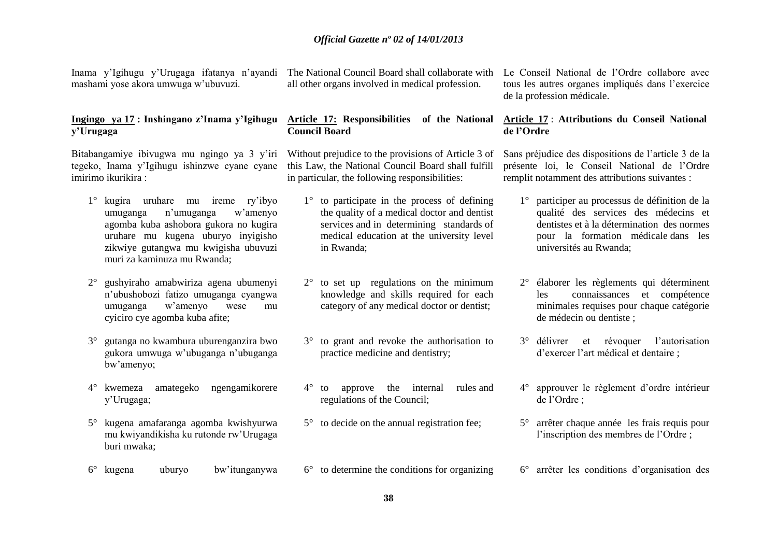Inama y'Igihugu y'Urugaga ifatanya n'ayandi mashami yose akora umwuga w'ubuvuzi.

#### **Ingingo ya 17 : Inshingano z'Inama y'Igihugu y'Urugaga**

Bitabangamiye ibivugwa mu ngingo ya 3 y'iri tegeko, Inama y'Igihugu ishinzwe cyane cyane imirimo ikurikira :

- 1° kugira uruhare mu ireme ry'ibyo umuganga n'umuganga w'amenyo agomba kuba ashobora gukora no kugira uruhare mu kugena uburyo inyigisho zikwiye gutangwa mu kwigisha ubuvuzi muri za kaminuza mu Rwanda;
- 2° gushyiraho amabwiriza agena ubumenyi n'ubushobozi fatizo umuganga cyangwa umuganga w'amenyo wese mu cyiciro cye agomba kuba afite;
- 3° gutanga no kwambura uburenganzira bwo gukora umwuga w'ubuganga n'ubuganga bw'amenyo;
- 4° kwemeza amategeko ngengamikorere y'Urugaga;
- 5° kugena amafaranga agomba kwishyurwa mu kwiyandikisha ku rutonde rw'Urugaga buri mwaka;
- 6° kugena uburyo bw'itunganywa

The National Council Board shall collaborate with all other organs involved in medical profession.

#### **Article 17: Responsibilities of the National Council Board**

Without prejudice to the provisions of Article 3 of this Law, the National Council Board shall fulfill in particular, the following responsibilities:

- 1° to participate in the process of defining the quality of a medical doctor and dentist services and in determining standards of medical education at the university level in Rwanda;
- 2° to set up regulations on the minimum knowledge and skills required for each category of any medical doctor or dentist;
- 3° to grant and revoke the authorisation to practice medicine and dentistry;
- 4° to approve the internal rules and regulations of the Council;
- 5° to decide on the annual registration fee;
- 6° to determine the conditions for organizing

Le Conseil National de l'Ordre collabore avec tous les autres organes impliqués dans l'exercice de la profession médicale.

#### **Article 17** : **Attributions du Conseil National de l'Ordre**

Sans préjudice des dispositions de l'article 3 de la présente loi, le Conseil National de l'Ordre remplit notamment des attributions suivantes :

- 1° participer au processus de définition de la qualité des services des médecins et dentistes et à la détermination des normes pour la formation médicale dans les universités au Rwanda;
- 2° élaborer les règlements qui déterminent les connaissances et compétence minimales requises pour chaque catégorie de médecin ou dentiste ;
- 3° délivrer et révoquer l'autorisation d'exercer l'art médical et dentaire ;
- 4° approuver le règlement d'ordre intérieur de l'Ordre ;
- 5° arrêter chaque année les frais requis pour l'inscription des membres de l'Ordre ;
- 6° arrêter les conditions d'organisation des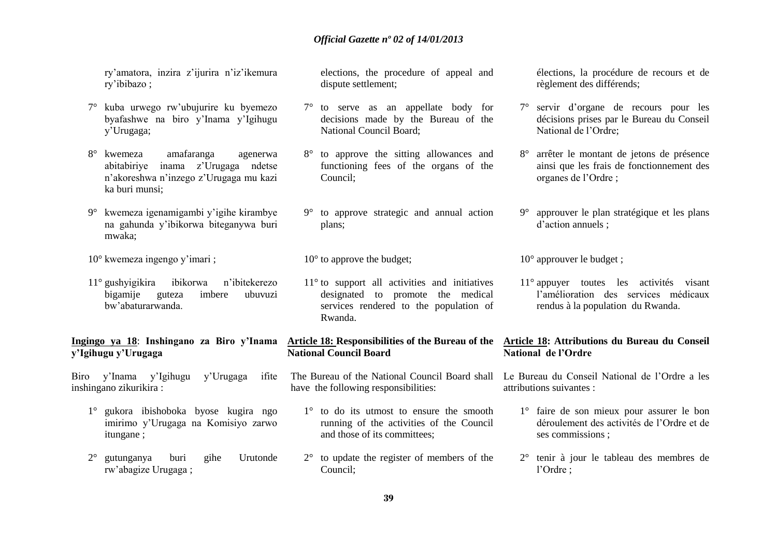ry'amatora, inzira z'ijurira n'iz'ikemura ry'ibibazo ;

- 7° kuba urwego rw'ubujurire ku byemezo byafashwe na biro y'Inama y'Igihugu y'Urugaga;
- 8° kwemeza amafaranga agenerwa abitabiriye inama z'Urugaga ndetse n'akoreshwa n'inzego z'Urugaga mu kazi ka buri munsi;
- 9° kwemeza igenamigambi y'igihe kirambye na gahunda y'ibikorwa biteganywa buri mwaka;
- 10° kwemeza ingengo y'imari ;
- 11° gushyigikira ibikorwa n'ibitekerezo bigamije guteza imbere ubuvuzi bw'abaturarwanda.

**Ingingo ya 18**: **Inshingano za Biro y'Inama y'Igihugu y'Urugaga**

Biro y'Inama y'Igihugu y'Urugaga ifite inshingano zikurikira :

- 1° gukora ibishoboka byose kugira ngo imirimo y'Urugaga na Komisiyo zarwo itungane ;
- 2° gutunganya buri gihe Urutonde rw'abagize Urugaga ;

elections, the procedure of appeal and dispute settlement;

- 7° to serve as an appellate body for decisions made by the Bureau of the National Council Board;
- 8° to approve the sitting allowances and functioning fees of the organs of the Council;
- 9° to approve strategic and annual action plans;

10<sup>°</sup> to approve the budget:

11° to support all activities and initiatives designated to promote the medical services rendered to the population of Rwanda.

#### **Article 18: Responsibilities of the Bureau of the National Council Board**

- The Bureau of the National Council Board shall have the following responsibilities:
	- 1° to do its utmost to ensure the smooth running of the activities of the Council and those of its committees;
	- 2° to update the register of members of the Council;

élections, la procédure de recours et de règlement des différends;

- 7° servir d'organe de recours pour les décisions prises par le Bureau du Conseil National de l'Ordre;
- 8° arrêter le montant de jetons de présence ainsi que les frais de fonctionnement des organes de l'Ordre ;
- 9° approuver le plan stratégique et les plans d'action annuels ;

10° approuver le budget ;

11° appuyer toutes les activités visant l'amélioration des services médicaux rendus à la population du Rwanda.

#### **Article 18: Attributions du Bureau du Conseil National de l'Ordre**

Le Bureau du Conseil National de l'Ordre a les attributions suivantes :

- 1° faire de son mieux pour assurer le bon déroulement des activités de l'Ordre et de ses commissions ;
- 2° tenir à jour le tableau des membres de l'Ordre ;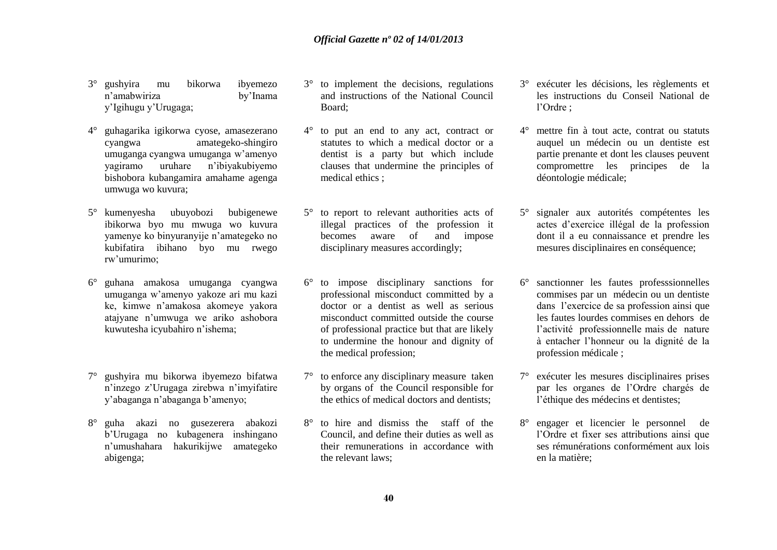- 3° gushyira mu bikorwa ibyemezo n'amabwiriza by'Inama y'Igihugu y'Urugaga;
- 4° guhagarika igikorwa cyose, amasezerano cyangwa amategeko-shingiro umuganga cyangwa umuganga w'amenyo yagiramo uruhare n'ibiyakubiyemo bishobora kubangamira amahame agenga umwuga wo kuvura;
- 5° kumenyesha ubuyobozi bubigenewe ibikorwa byo mu mwuga wo kuvura yamenye ko binyuranyije n'amategeko no kubifatira ibihano byo mu rwego rw'umurimo;
- 6° guhana amakosa umuganga cyangwa umuganga w'amenyo yakoze ari mu kazi ke, kimwe n'amakosa akomeye yakora atajyane n'umwuga we ariko ashobora kuwutesha icyubahiro n'ishema;
- 7° gushyira mu bikorwa ibyemezo bifatwa n'inzego z'Urugaga zirebwa n'imyifatire y'abaganga n'abaganga b'amenyo;
- 8° guha akazi no gusezerera abakozi b'Urugaga no kubagenera inshingano n'umushahara hakurikijwe amategeko abigenga;
- 3° to implement the decisions, regulations and instructions of the National Council Board;
- 4° to put an end to any act, contract or statutes to which a medical doctor or a dentist is a party but which include clauses that undermine the principles of medical ethics :
- 5° to report to relevant authorities acts of illegal practices of the profession it becomes aware of and impose disciplinary measures accordingly;
- 6° to impose disciplinary sanctions for professional misconduct committed by a doctor or a dentist as well as serious misconduct committed outside the course of professional practice but that are likely to undermine the honour and dignity of the medical profession;
- 7° to enforce any disciplinary measure taken by organs of the Council responsible for the ethics of medical doctors and dentists;
- 8° to hire and dismiss the staff of the Council, and define their duties as well as their remunerations in accordance with the relevant laws;
- 3° exécuter les décisions, les règlements et les instructions du Conseil National de l'Ordre ;
- 4° mettre fin à tout acte, contrat ou statuts auquel un médecin ou un dentiste est partie prenante et dont les clauses peuvent compromettre les principes de la déontologie médicale;
- 5° signaler aux autorités compétentes les actes d'exercice illégal de la profession dont il a eu connaissance et prendre les mesures disciplinaires en conséquence;
- 6° sanctionner les fautes professsionnelles commises par un médecin ou un dentiste dans l'exercice de sa profession ainsi que les fautes lourdes commises en dehors de l'activité professionnelle mais de nature à entacher l'honneur ou la dignité de la profession médicale ;
- 7° exécuter les mesures disciplinaires prises par les organes de l'Ordre chargés de l'éthique des médecins et dentistes;
- 8° engager et licencier le personnel de l'Ordre et fixer ses attributions ainsi que ses rémunérations conformément aux lois en la matière;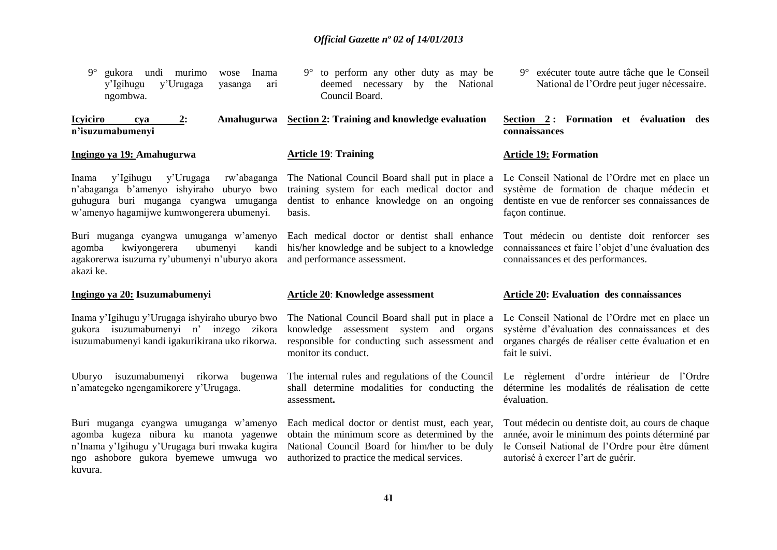| $9^\circ$<br>gukora undi murimo<br>wose Inama<br>y'Igihugu<br>y'Urugaga<br>yasanga<br>ari<br>ngombwa.                                                                             | $9^{\circ}$ to perform any other duty as may be<br>deemed necessary by the National<br>Council Board.                                                               | 9° exécuter toute autre tâche que le Conseil<br>National de l'Ordre peut juger nécessaire.                                                                              |
|-----------------------------------------------------------------------------------------------------------------------------------------------------------------------------------|---------------------------------------------------------------------------------------------------------------------------------------------------------------------|-------------------------------------------------------------------------------------------------------------------------------------------------------------------------|
| <b>Icyiciro</b><br>Amahugurwa<br>2:<br>cya<br>n'isuzumabumenyi                                                                                                                    | Section 2: Training and knowledge evaluation                                                                                                                        | Section 2: Formation et évaluation des<br>connaissances                                                                                                                 |
| Ingingo ya 19: Amahugurwa                                                                                                                                                         | <b>Article 19: Training</b>                                                                                                                                         | <b>Article 19: Formation</b>                                                                                                                                            |
| y'Urugaga<br>y'Igihugu<br>rw'abaganga<br>Inama<br>n'abaganga b'amenyo ishyiraho uburyo bwo<br>guhugura buri muganga cyangwa umuganga<br>w'amenyo hagamijwe kumwongerera ubumenyi. | The National Council Board shall put in place a<br>training system for each medical doctor and<br>dentist to enhance knowledge on an ongoing<br>basis.              | Le Conseil National de l'Ordre met en place un<br>système de formation de chaque médecin et<br>dentiste en vue de renforcer ses connaissances de<br>façon continue.     |
| Buri muganga cyangwa umuganga w'amenyo<br>kwiyongerera<br>ubumenyi<br>agomba<br>kandi<br>agakorerwa isuzuma ry'ubumenyi n'uburyo akora<br>akazi ke.                               | Each medical doctor or dentist shall enhance<br>his/her knowledge and be subject to a knowledge<br>and performance assessment.                                      | Tout médecin ou dentiste doit renforcer ses<br>connaissances et faire l'objet d'une évaluation des<br>connaissances et des performances.                                |
|                                                                                                                                                                                   |                                                                                                                                                                     |                                                                                                                                                                         |
| Ingingo ya 20: Isuzumabumenyi                                                                                                                                                     | <b>Article 20: Knowledge assessment</b>                                                                                                                             | <b>Article 20: Evaluation des connaissances</b>                                                                                                                         |
| Inama y'Igihugu y'Urugaga ishyiraho uburyo bwo<br>gukora isuzumabumenyi n' inzego zikora<br>isuzumabumenyi kandi igakurikirana uko rikorwa.                                       | The National Council Board shall put in place a<br>knowledge assessment system and organs<br>responsible for conducting such assessment and<br>monitor its conduct. | Le Conseil National de l'Ordre met en place un<br>système d'évaluation des connaissances et des<br>organes chargés de réaliser cette évaluation et en<br>fait le suivi. |
| Uburyo isuzumabumenyi rikorwa bugenwa<br>n'amategeko ngengamikorere y'Urugaga.                                                                                                    | The internal rules and regulations of the Council<br>shall determine modalities for conducting the<br>assessment.                                                   | Le règlement d'ordre intérieur de l'Ordre<br>détermine les modalités de réalisation de cette<br>évaluation.                                                             |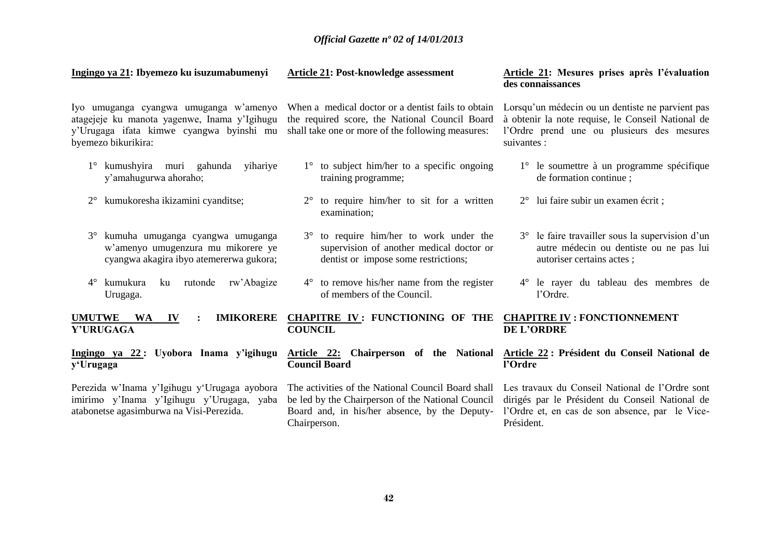#### **Ingingo ya 21: Ibyemezo ku isuzumabumenyi**

#### **Article 21: Post-knowledge assessment**

Iyo umuganga cyangwa umuganga w'amenyo atagejeje ku manota yagenwe, Inama y'Igihugu y'Urugaga ifata kimwe cyangwa byinshi mu shall take one or more of the following measures: byemezo bikurikira:

- 1° kumushyira muri gahunda yihariye y'amahugurwa ahoraho;
- 2° kumukoresha ikizamini cyanditse;
- 3° kumuha umuganga cyangwa umuganga w'amenyo umugenzura mu mikorere ye cyangwa akagira ibyo atemererwa gukora;
- 4° kumukura ku rutonde rw'Abagize Urugaga.

**UMUTWE WA IV : Y'URUGAGA**

**Ingingo ya 22 : Uyobora Inama y'igihugu y'Urugaga**

Perezida w'Inama y'Igihugu y'Urugaga ayobora imirimo y'Inama y'Igihugu y'Urugaga, yaba atabonetse agasimburwa na Visi-Perezida.

When a medical doctor or a dentist fails to obtain the required score, the National Council Board

- 1° to subject him/her to a specific ongoing training programme;
- 2° to require him/her to sit for a written examination;
- 3° to require him/her to work under the supervision of another medical doctor or dentist or impose some restrictions;
- 4° to remove his/her name from the register of members of the Council.
- **CHAPITRE IV : FUNCTIONING OF THE CHAPITRE IV : FONCTIONNEMENT COUNCIL**
- **Council Board**

The activities of the National Council Board shall be led by the Chairperson of the National Council Chairperson.

#### **Article 21: Mesures prises après l'évaluation des connaissances**

Lorsqu'un médecin ou un dentiste ne parvient pas à obtenir la note requise, le Conseil National de l'Ordre prend une ou plusieurs des mesures suivantes :

- 1° le soumettre à un programme spécifique de formation continue ;
- 2° lui faire subir un examen écrit ;
- 3° le faire travailler sous la supervision d'un autre médecin ou dentiste ou ne pas lui autoriser certains actes ;
- 4° le rayer du tableau des membres de l'Ordre.

# **DE L'ORDRE**

#### **Article 22: Chairperson of the National Article 22 : Président du Conseil National de l'Ordre**

Board and, in his/her absence, by the Deputy-l'Ordre et, en cas de son absence, par le Vice-Les travaux du Conseil National de l'Ordre sont dirigés par le Président du Conseil National de Président.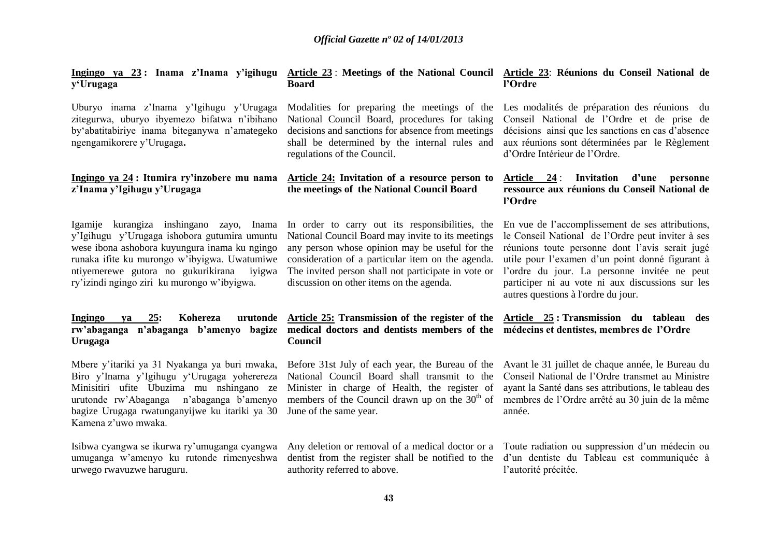**y'Urugaga**

Uburyo inama z'Inama y'Igihugu y'Urugaga zitegurwa, uburyo ibyemezo bifatwa n'ibihano by'abatitabiriye inama biteganywa n'amategeko ngengamikorere y'Urugaga**.**

#### **Ingingo ya 24 : Itumira ry'inzobere mu nama z'Inama y'Igihugu y'Urugaga**

y'Igihugu y'Urugaga ishobora gutumira umuntu wese ibona ashobora kuyungura inama ku ngingo runaka ifite ku murongo w'ibyigwa. Uwatumiwe ntiyemerewe gutora no gukurikirana iyigwa ry'izindi ngingo ziri ku murongo w'ibyigwa.

## **Ingingo ya 25: Kohereza Urugaga**

Mbere y'itariki ya 31 Nyakanga ya buri mwaka, Biro y'Inama y'Igihugu y'Urugaga yoherereza Minisitiri ufite Ubuzima mu nshingano ze urutonde rw'Abaganga n'abaganga b'amenyo bagize Urugaga rwatunganyijwe ku itariki ya 30 Kamena z'uwo mwaka.

Isibwa cyangwa se ikurwa ry'umuganga cyangwa umuganga w'amenyo ku rutonde rimenyeshwa urwego rwavuzwe haruguru.

#### **Ingingo ya 23 : Inama z'Inama y'igihugu Article 23** : **Meetings of the National Council Article 23**: **Réunions du Conseil National de Board l'Ordre**

National Council Board, procedures for taking decisions and sanctions for absence from meetings shall be determined by the internal rules and regulations of the Council.

### **Article 24: Invitation of a resource person to the meetings of the National Council Board**

Igamije kurangiza inshingano zayo, Inama In order to carry out its responsibilities, the National Council Board may invite to its meetings any person whose opinion may be useful for the consideration of a particular item on the agenda. The invited person shall not participate in vote or discussion on other items on the agenda.

### **rw'abaganga n'abaganga b'amenyo bagize medical doctors and dentists members of the médecins et dentistes, membres de l'Ordre Council**

National Council Board shall transmit to the Minister in charge of Health, the register of members of the Council drawn up on the  $30<sup>th</sup>$  of June of the same year.

authority referred to above.

Modalities for preparing the meetings of the Les modalités de préparation des réunions du Conseil National de l'Ordre et de prise de décisions ainsi que les sanctions en cas d'absence aux réunions sont déterminées par le Règlement d'Ordre Intérieur de l'Ordre.

#### **Article 24** : **Invitation d'une personne ressource aux réunions du Conseil National de l'Ordre**

En vue de l'accomplissement de ses attributions, le Conseil National de l'Ordre peut inviter à ses réunions toute personne dont l'avis serait jugé utile pour l'examen d'un point donné figurant à l'ordre du jour. La personne invitée ne peut participer ni au vote ni aux discussions sur les autres questions à l'ordre du jour.

# **Article 25: Transmission of the register of the Article 25 : Transmission du tableau des**

Before 31st July of each year, the Bureau of the Avant le 31 juillet de chaque année, le Bureau du Conseil National de l'Ordre transmet au Ministre ayant la Santé dans ses attributions, le tableau des membres de l'Ordre arrêté au 30 juin de la même année.

Any deletion or removal of a medical doctor or a Toute radiation ou suppression d'un médecin ou dentist from the register shall be notified to the d'un dentiste du Tableau est communiquée à l'autorité précitée.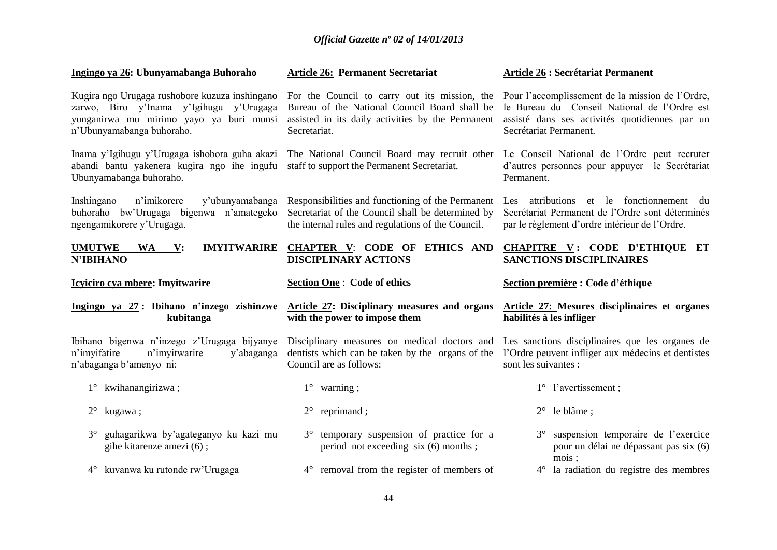| Ingingo ya 26: Ubunyamabanga Buhoraho                                                                                                                             | <b>Article 26: Permanent Secretariat</b>                                                                                                                            | <b>Article 26 : Secrétariat Permanent</b>                                                                                                                                    |
|-------------------------------------------------------------------------------------------------------------------------------------------------------------------|---------------------------------------------------------------------------------------------------------------------------------------------------------------------|------------------------------------------------------------------------------------------------------------------------------------------------------------------------------|
| Kugira ngo Urugaga rushobore kuzuza inshingano<br>zarwo, Biro y'Inama y'Igihugu y'Urugaga<br>yunganirwa mu mirimo yayo ya buri munsi<br>n'Ubunyamabanga buhoraho. | For the Council to carry out its mission, the<br>Bureau of the National Council Board shall be<br>assisted in its daily activities by the Permanent<br>Secretariat. | Pour l'accomplissement de la mission de l'Ordre,<br>le Bureau du Conseil National de l'Ordre est<br>assisté dans ses activités quotidiennes par un<br>Secrétariat Permanent. |
| Inama y'Igihugu y'Urugaga ishobora guha akazi<br>abandi bantu yakenera kugira ngo ihe ingufu<br>Ubunyamabanga buhoraho.                                           | The National Council Board may recruit other<br>staff to support the Permanent Secretariat.                                                                         | Le Conseil National de l'Ordre peut recruter<br>d'autres personnes pour appuyer le Secrétariat<br>Permanent.                                                                 |
| y'ubunyamabanga<br>Inshingano<br>n'imikorere<br>buhoraho bw'Urugaga bigenwa n'amategeko<br>ngengamikorere y'Urugaga.                                              | Responsibilities and functioning of the Permanent<br>Secretariat of the Council shall be determined by<br>the internal rules and regulations of the Council.        | Les attributions et le fonctionnement<br>du<br>Secrétariat Permanent de l'Ordre sont déterminés<br>par le règlement d'ordre intérieur de l'Ordre.                            |
| <b>IMYITWARIRE</b><br><b>UMUTWE</b><br><b>WA</b><br>$\mathbf{V}$ :<br><b>N'IBIHANO</b>                                                                            | <b>CHAPTER V: CODE OF ETHICS AND</b><br><b>DISCIPLINARY ACTIONS</b>                                                                                                 | CHAPITRE V: CODE D'ETHIQUE ET<br><b>SANCTIONS DISCIPLINAIRES</b>                                                                                                             |
|                                                                                                                                                                   |                                                                                                                                                                     |                                                                                                                                                                              |
| Icyiciro cya mbere: Imyitwarire                                                                                                                                   | <b>Section One: Code of ethics</b>                                                                                                                                  | Section première : Code d'éthique                                                                                                                                            |
| Ingingo ya 27: Ibihano n'inzego zishinzwe<br>kubitanga                                                                                                            | <b>Article 27: Disciplinary measures and organs</b><br>with the power to impose them                                                                                | <b>Article 27: Mesures disciplinaires et organes</b><br>habilités à les infliger                                                                                             |
| Ibihano bigenwa n'inzego z'Urugaga bijyanye<br>n'imyifatire<br>n'imyitwarire<br>y'abaganga<br>n'abaganga b'amenyo ni:                                             | Disciplinary measures on medical doctors and<br>dentists which can be taken by the organs of the<br>Council are as follows:                                         | Les sanctions disciplinaires que les organes de<br>l'Ordre peuvent infliger aux médecins et dentistes<br>sont les suivantes :                                                |
| kwihanangirizwa;<br>$1^{\circ}$                                                                                                                                   | $1^{\circ}$ warning;                                                                                                                                                | 1° l'avertissement ;                                                                                                                                                         |
| $2^{\circ}$<br>kugawa;                                                                                                                                            | reprimand;<br>$2^{\circ}$                                                                                                                                           | $2^{\circ}$ le blâme;                                                                                                                                                        |
| guhagarikwa by'agateganyo ku kazi mu<br>$3^\circ$<br>gihe kitarenze amezi (6);                                                                                    | 3° temporary suspension of practice for a<br>period not exceeding six (6) months;                                                                                   | suspension temporaire de l'exercice<br>$3^\circ$<br>pour un délai ne dépassant pas six (6)<br>mois;                                                                          |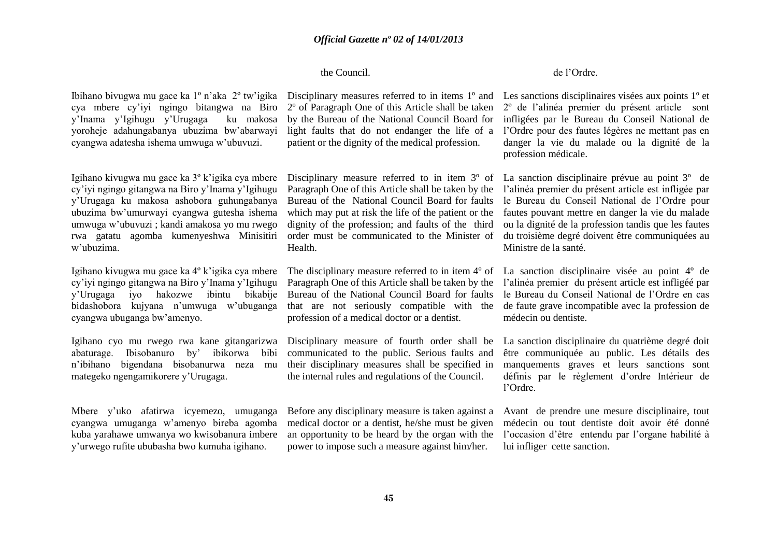#### the Council.

cya mbere cy'iyi ngingo bitangwa na Biro y'Inama y'Igihugu y'Urugaga ku makosa yoroheje adahungabanya ubuzima bw'abarwayi cyangwa adatesha ishema umwuga w'ubuvuzi.

Igihano kivugwa mu gace ka 3º k'igika cya mbere cy'iyi ngingo gitangwa na Biro y'Inama y'Igihugu y'Urugaga ku makosa ashobora guhungabanya ubuzima bw'umurwayi cyangwa gutesha ishema umwuga w'ubuvuzi ; kandi amakosa yo mu rwego rwa gatatu agomba kumenyeshwa Minisitiri w'ubuzima.

cy'iyi ngingo gitangwa na Biro y'Inama y'Igihugu y'Urugaga iyo hakozwe ibintu bikabije bidashobora kujyana n'umwuga w'ubuganga cyangwa ubuganga bw'amenyo.

Igihano cyo mu rwego rwa kane gitangarizwa abaturage. Ibisobanuro by' ibikorwa bibi n'ibihano bigendana bisobanurwa neza mu mategeko ngengamikorere y'Urugaga.

Mbere y'uko afatirwa icyemezo, umuganga cyangwa umuganga w'amenyo bireba agomba kuba yarahawe umwanya wo kwisobanura imbere y'urwego rufite ububasha bwo kumuha igihano.

2º of Paragraph One of this Article shall be taken by the Bureau of the National Council Board for light faults that do not endanger the life of a patient or the dignity of the medical profession.

Paragraph One of this Article shall be taken by the Bureau of the National Council Board for faults which may put at risk the life of the patient or the dignity of the profession; and faults of the third order must be communicated to the Minister of Health.

Paragraph One of this Article shall be taken by the Bureau of the National Council Board for faults that are not seriously compatible with the profession of a medical doctor or a dentist.

Disciplinary measure of fourth order shall be communicated to the public. Serious faults and their disciplinary measures shall be specified in the internal rules and regulations of the Council.

Before any disciplinary measure is taken against a medical doctor or a dentist, he/she must be given an opportunity to be heard by the organ with the power to impose such a measure against him/her.

#### de l'Ordre.

Ibihano bivugwa mu gace ka 1<sup>°</sup> n'aka 2<sup>°</sup> tw'igika Disciplinary measures referred to in items 1<sup>°</sup> and Les sanctions disciplinaires visées aux points 1<sup>°</sup> et 2º de l'alinéa premier du présent article sont infligées par le Bureau du Conseil National de l'Ordre pour des fautes légères ne mettant pas en danger la vie du malade ou la dignité de la profession médicale.

> Disciplinary measure referred to in item 3° of La sanction disciplinaire prévue au point 3° de l'alinéa premier du présent article est infligée par le Bureau du Conseil National de l'Ordre pour fautes pouvant mettre en danger la vie du malade ou la dignité de la profession tandis que les fautes du troisième degré doivent être communiquées au Ministre de la santé.

Igihano kivugwa mu gace ka 4° k'igika cya mbere The disciplinary measure referred to in item 4° of La sanction disciplinaire visée au point 4° de l'alinéa premier du présent article est infligéé par le Bureau du Conseil National de l'Ordre en cas de faute grave incompatible avec la profession de médecin ou dentiste.

> La sanction disciplinaire du quatrième degré doit être communiquée au public. Les détails des manquements graves et leurs sanctions sont définis par le règlement d'ordre Intérieur de l'Ordre.

> Avant de prendre une mesure disciplinaire, tout médecin ou tout dentiste doit avoir été donné l'occasion d'être entendu par l'organe habilité à lui infliger cette sanction.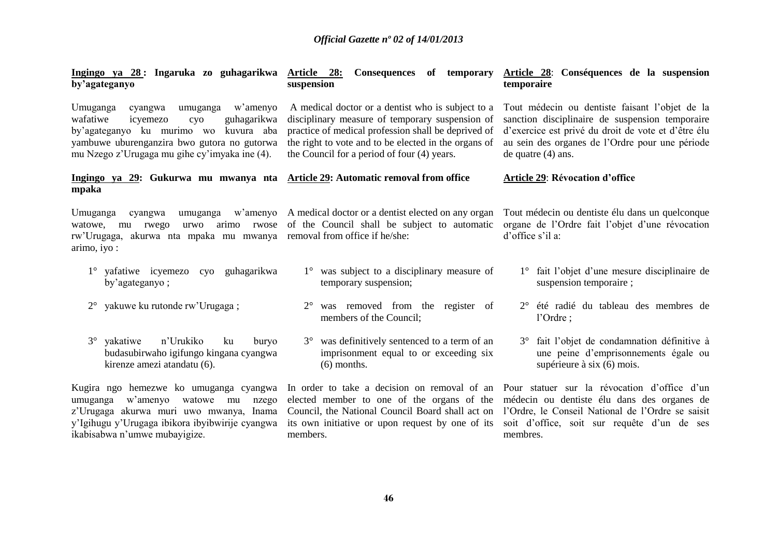| <u>Ingingo ya 28:</u> Ingaruka zo guhagarikwa Article 28:<br>by'agateganyo                                                                                                                                                         | Consequences of temporary<br>suspension                                                                                                                                                                                                                            | Article 28: Conséquences de la suspension<br>temporaire                                                                                                                                                                             |
|------------------------------------------------------------------------------------------------------------------------------------------------------------------------------------------------------------------------------------|--------------------------------------------------------------------------------------------------------------------------------------------------------------------------------------------------------------------------------------------------------------------|-------------------------------------------------------------------------------------------------------------------------------------------------------------------------------------------------------------------------------------|
| Umuganga<br>w'amenyo<br>cyangwa<br>umuganga<br>wafatiwe<br>icyemezo<br>guhagarikwa<br>cyo<br>by'agateganyo ku murimo wo kuvura aba<br>yambuwe uburenganzira bwo gutora no gutorwa<br>mu Nzego z'Urugaga mu gihe cy'imyaka ine (4). | A medical doctor or a dentist who is subject to a<br>disciplinary measure of temporary suspension of<br>practice of medical profession shall be deprived of<br>the right to vote and to be elected in the organs of<br>the Council for a period of four (4) years. | Tout médecin ou dentiste faisant l'objet de la<br>sanction disciplinaire de suspension temporaire<br>d'exercice est privé du droit de vote et d'être élu<br>au sein des organes de l'Ordre pour une période<br>de quatre $(4)$ ans. |
| Ingingo ya 29: Gukurwa mu mwanya nta Article 29: Automatic removal from office<br>mpaka                                                                                                                                            |                                                                                                                                                                                                                                                                    | <b>Article 29: Révocation d'office</b>                                                                                                                                                                                              |
| Umuganga<br>cyangwa<br>umuganga<br>arimo rwose<br>watowe,<br>rwego<br>urwo<br>mu<br>rw'Urugaga, akurwa nta mpaka mu mwanya removal from office if he/she:<br>arimo, iyo :                                                          | w'amenyo A medical doctor or a dentist elected on any organ<br>of the Council shall be subject to automatic                                                                                                                                                        | Tout médecin ou dentiste élu dans un quelconque<br>organe de l'Ordre fait l'objet d'une révocation<br>d'office s'il a:                                                                                                              |
| 1° yafatiwe icyemezo cyo<br>guhagarikwa<br>by'agateganyo;                                                                                                                                                                          | 1° was subject to a disciplinary measure of<br>temporary suspension;                                                                                                                                                                                               | fait l'objet d'une mesure disciplinaire de<br>suspension temporaire;                                                                                                                                                                |
| yakuwe ku rutonde rw'Urugaga;<br>$2^{\circ}$                                                                                                                                                                                       | was removed from the register of<br>members of the Council:                                                                                                                                                                                                        | 2° été radié du tableau des membres de<br>l'Ordre :                                                                                                                                                                                 |
| n'Urukiko<br>$3^\circ$<br>yakatiwe<br>ku<br>buryo<br>budasubirwaho igifungo kingana cyangwa<br>kirenze amezi atandatu (6).                                                                                                         | 3° was definitively sentenced to a term of an<br>imprisonment equal to or exceeding six<br>$(6)$ months.                                                                                                                                                           | fait l'objet de condamnation définitive à<br>$3^\circ$<br>une peine d'emprisonnements égale ou<br>supérieure à six (6) mois.                                                                                                        |
| Kugira ngo hemezwe ko umuganga cyangwa<br>watowe mu<br>w'amenyo<br>umuganga<br>nzego<br>z'Urugaga akurwa muri uwo mwanya, Inama<br>y'Igihugu y'Urugaga ibikora ibyibwirije cyangwa<br>ikabisabwa n'umwe mubayigize.                | In order to take a decision on removal of an<br>elected member to one of the organs of the<br>Council, the National Council Board shall act on<br>its own initiative or upon request by one of its<br>members.                                                     | Pour statuer sur la révocation d'office d'un<br>médecin ou dentiste élu dans des organes de<br>l'Ordre, le Conseil National de l'Ordre se saisit<br>soit d'office, soit sur requête d'un de ses<br>membres.                         |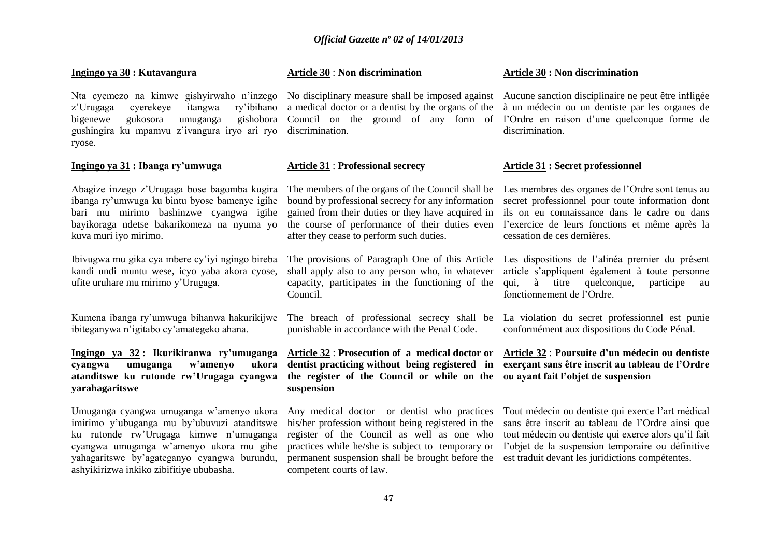#### **Ingingo ya 30 : Kutavangura**

z'Urugaga cyerekeye itangwa ry'ibihano a medical doctor or a dentist by the organs of the à un médecin ou un dentiste par les organes de bigenewe gukosora umuganga gishobora gushingira ku mpamvu z'ivangura iryo ari ryo discrimination. ryose.

#### **Ingingo ya 31 : Ibanga ry'umwuga**

Abagize inzego z'Urugaga bose bagomba kugira ibanga ry'umwuga ku bintu byose bamenye igihe bari mu mirimo bashinzwe cyangwa igihe bayikoraga ndetse bakarikomeza na nyuma yo kuva muri iyo mirimo.

Ibivugwa mu gika cya mbere cy'iyi ngingo bireba kandi undi muntu wese, icyo yaba akora cyose, ufite uruhare mu mirimo y'Urugaga.

Kumena ibanga ry'umwuga bihanwa hakurikijwe ibiteganywa n'igitabo cy'amategeko ahana.

#### **Ingingo ya 32 : Ikurikiranwa ry'umuganga cyangwa umuganga w'amenyo ukora atanditswe ku rutonde rw'Urugaga cyangwa yarahagaritswe**

Umuganga cyangwa umuganga w'amenyo ukora imirimo y'ubuganga mu by'ubuvuzi atanditswe ku rutonde rw'Urugaga kimwe n'umuganga cyangwa umuganga w'amenyo ukora mu gihe yahagaritswe by'agateganyo cyangwa burundu, ashyikirizwa inkiko zibifitiye ububasha.

#### **Article 30** : **Non discrimination**

#### **Article 31** : **Professional secrecy**

The members of the organs of the Council shall be bound by professional secrecy for any information gained from their duties or they have acquired in the course of performance of their duties even after they cease to perform such duties.

The provisions of Paragraph One of this Article shall apply also to any person who, in whatever capacity, participates in the functioning of the Council.

punishable in accordance with the Penal Code.

#### **Article 32** : **Prosecution of a medical doctor or dentist practicing without being registered in the register of the Council or while on the suspension**

Any medical doctor or dentist who practices his/her profession without being registered in the register of the Council as well as one who permanent suspension shall be brought before the est traduit devant les juridictions compétentes. competent courts of law.

#### **Article 30 : Non discrimination**

Nta cyemezo na kimwe gishyirwaho n'inzego No disciplinary measure shall be imposed against Aucune sanction disciplinaire ne peut être infligée Council on the ground of any form of l'Ordre en raison d'une quelconque forme de discrimination.

#### **Article 31 : Secret professionnel**

Les membres des organes de l'Ordre sont tenus au secret professionnel pour toute information dont ils on eu connaissance dans le cadre ou dans l'exercice de leurs fonctions et même après la cessation de ces dernières.

Les dispositions de l'alinéa premier du présent article s'appliquent également à toute personne qui, à titre quelconque, participe au fonctionnement de l'Ordre.

The breach of professional secrecy shall be La violation du secret professionnel est punie conformément aux dispositions du Code Pénal.

#### **Article 32** : **Poursuite d'un médecin ou dentiste exerçant sans être inscrit au tableau de l'Ordre ou ayant fait l'objet de suspension**

practices while he/she is subject to temporary or l'objet de la suspension temporaire ou définitive Tout médecin ou dentiste qui exerce l'art médical sans être inscrit au tableau de l'Ordre ainsi que tout médecin ou dentiste qui exerce alors qu'il fait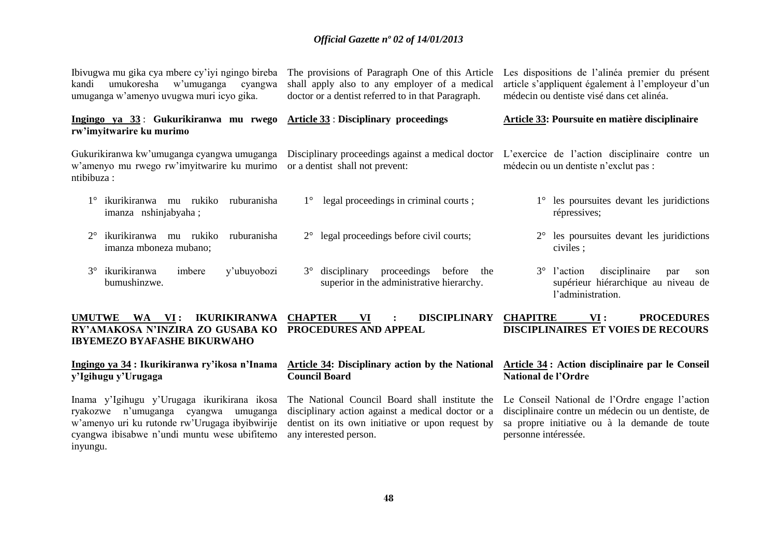| Ibivugwa mu gika cya mbere cy'iyi ngingo bireba<br>umukoresha<br>w'umuganga<br>kandi<br>cyangwa<br>umuganga w'amenyo uvugwa muri icyo gika. | The provisions of Paragraph One of this Article<br>shall apply also to any employer of a medical<br>doctor or a dentist referred to in that Paragraph. | Les dispositions de l'alinéa premier du présent<br>article s'appliquent également à l'employeur d'un<br>médecin ou dentiste visé dans cet alinéa. |
|---------------------------------------------------------------------------------------------------------------------------------------------|--------------------------------------------------------------------------------------------------------------------------------------------------------|---------------------------------------------------------------------------------------------------------------------------------------------------|
| Ingingo ya 33: Gukurikiranwa mu rwego Article 33: Disciplinary proceedings<br>rw'imyitwarire ku murimo                                      |                                                                                                                                                        | Article 33: Poursuite en matière disciplinaire                                                                                                    |
| Gukurikiranwa kw'umuganga cyangwa umuganga<br>w'amenyo mu rwego rw'imyitwarire ku murimo<br>ntibibuza :                                     | or a dentist shall not prevent:                                                                                                                        | Disciplinary proceedings against a medical doctor L'exercice de l'action disciplinaire contre un<br>médecin ou un dentiste n'exclut pas :         |
| ikurikiranwa<br>mu rukiko<br>ruburanisha<br>imanza nshinjabyaha;                                                                            | legal proceedings in criminal courts;<br>$1^{\circ}$                                                                                                   | les poursuites devant les juridictions<br>répressives;                                                                                            |
| ikurikiranwa<br>rukiko<br>ruburanisha<br>$2^{\circ}$<br>mu<br>imanza mboneza mubano;                                                        | legal proceedings before civil courts;<br>$2^{\circ}$                                                                                                  | $2^{\circ}$ les poursuites devant les juridictions<br>civiles;                                                                                    |
| ikurikiranwa<br>$3^\circ$<br>imbere<br>y'ubuyobozi<br>bumushinzwe.                                                                          | proceedings<br>disciplinary<br>before<br>$3^\circ$<br>the<br>superior in the administrative hierarchy.                                                 | disciplinaire<br>$3^{\circ}$ l'action<br>par<br>son<br>supérieur hiérarchique au niveau de<br>l'administration.                                   |
| <b>UMUTWE</b><br><b>WA</b><br>VI:<br><b>IKURIKIRANWA</b><br>RY'AMAKOSA N'INZIRA ZO GUSABA KO<br><b>IBYEMEZO BYAFASHE BIKURWAHO</b>          | <b>CHAPTER</b><br><b>DISCIPLINARY</b><br>VI<br><b>PROCEDURES AND APPEAL</b>                                                                            | <b>CHAPITRE</b><br><b>PROCEDURES</b><br>VI:<br><b>DISCIPLINAIRES ET VOIES DE RECOURS</b>                                                          |

**Ingingo ya 34 : Ikurikiranwa ry'ikosa n'Inama Article 34: Disciplinary action by the National Article 34 : Action disciplinaire par le Conseil y'Igihugu y'Urugaga Council Board National de l'Ordre**

Inama y'Igihugu y'Urugaga ikurikirana ikosa ryakozwe n'umuganga cyangwa umuganga w'amenyo uri ku rutonde rw'Urugaga ibyibwirije cyangwa ibisabwe n'undi muntu wese ubifitemo inyungu.

disciplinary action against a medical doctor or a dentist on its own initiative or upon request by any interested person.

The National Council Board shall institute the Le Conseil National de l'Ordre engage l'action disciplinaire contre un médecin ou un dentiste, de sa propre initiative ou à la demande de toute personne intéressée.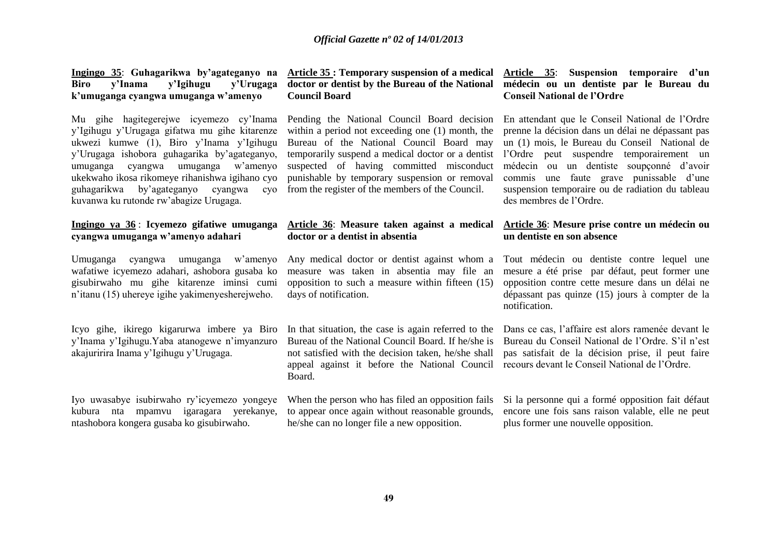### **Biro y'Inama y'Igihugu y'Urugaga k'umuganga cyangwa umuganga w'amenyo**

Mu gihe hagitegerejwe icyemezo cy'Inama y'Igihugu y'Urugaga gifatwa mu gihe kitarenze ukwezi kumwe (1), Biro y'Inama y'Igihugu y'Urugaga ishobora guhagarika by'agateganyo, umuganga cyangwa umuganga w'amenyo ukekwaho ikosa rikomeye rihanishwa igihano cyo guhagarikwa by'agateganyo cyangwa cyo from the register of the members of the Council. kuvanwa ku rutonde rw'abagize Urugaga.

#### **Ingingo ya 36** : **Icyemezo gifatiwe umuganga cyangwa umuganga w'amenyo adahari**

Umuganga cyangwa umuganga w'amenyo wafatiwe icyemezo adahari, ashobora gusaba ko gisubirwaho mu gihe kitarenze iminsi cumi n'itanu (15) uhereye igihe yakimenyesherejweho.

Icyo gihe, ikirego kigarurwa imbere ya Biro y'Inama y'Igihugu.Yaba atanogewe n'imyanzuro akajuririra Inama y'Igihugu y'Urugaga.

Iyo uwasabye isubirwaho ry'icyemezo yongeye kubura nta mpamvu igaragara yerekanye, ntashobora kongera gusaba ko gisubirwaho.

### **doctor or dentist by the Bureau of the National Council Board**

Pending the National Council Board decision within a period not exceeding one (1) month, the Bureau of the National Council Board may suspected of having committed misconduct punishable by temporary suspension or removal

#### **Article 36**: **Measure taken against a medical doctor or a dentist in absentia**

Any medical doctor or dentist against whom a measure was taken in absentia may file an opposition to such a measure within fifteen (15) days of notification.

In that situation, the case is again referred to the Bureau of the National Council Board. If he/she is not satisfied with the decision taken, he/she shall appeal against it before the National Council recours devant le Conseil National de l'Ordre. Board.

When the person who has filed an opposition fails to appear once again without reasonable grounds, he/she can no longer file a new opposition.

#### **Ingingo 35**: **Guhagarikwa by'agateganyo na Article 35 : Temporary suspension of a medical Article 35**: **Suspension temporaire d'un médecin ou un dentiste par le Bureau du Conseil National de l'Ordre**

temporarily suspend a medical doctor or a dentist l'Ordre peut suspendre temporairement un En attendant que le Conseil National de l'Ordre prenne la décision dans un délai ne dépassant pas un (1) mois, le Bureau du Conseil National de médecin ou un dentiste soupçonné d'avoir commis une faute grave punissable d'une suspension temporaire ou de radiation du tableau des membres de l'Ordre.

#### **Article 36**: **Mesure prise contre un médecin ou un dentiste en son absence**

Tout médecin ou dentiste contre lequel une mesure a été prise par défaut, peut former une opposition contre cette mesure dans un délai ne dépassant pas quinze (15) jours à compter de la notification.

Dans ce cas, l'affaire est alors ramenée devant le Bureau du Conseil National de l'Ordre. S'il n'est pas satisfait de la décision prise, il peut faire

Si la personne qui a formé opposition fait défaut encore une fois sans raison valable, elle ne peut plus former une nouvelle opposition.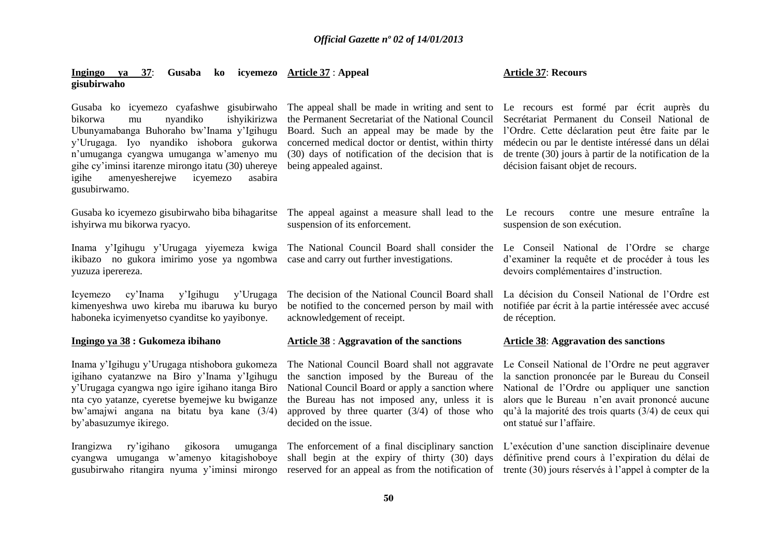#### **Ingingo ya 37**: **Gusaba ko icyemezo Article 37** : **Appeal gisubirwaho**

Irangizwa ry'igihano gikosora umuganga cyangwa umuganga w'amenyo kitagishoboye gusubirwaho ritangira nyuma y'iminsi mirongo

#### **Article 37**: **Recours**

Gusaba ko icyemezo cyafashwe gisubirwaho bikorwa mu nyandiko ishyikirizwa Ubunyamabanga Buhoraho bw'Inama y'Igihugu y'Urugaga. Iyo nyandiko ishobora gukorwa n'umuganga cyangwa umuganga w'amenyo mu gihe cy'iminsi itarenze mirongo itatu (30) uhereye being appealed against. igihe amenyesherejwe icyemezo asabira gusubirwamo. Gusaba ko icyemezo gisubirwaho biba bihagaritse The appeal against a measure shall lead to the ishyirwa mu bikorwa ryacyo. Inama y'Igihugu y'Urugaga yiyemeza kwiga ikibazo no gukora imirimo yose ya ngombwa yuzuza iperereza. Icyemezo cy'Inama y'Igihugu y'Urugaga kimenyeshwa uwo kireba mu ibaruwa ku buryo haboneka icyimenyetso cyanditse ko yayibonye. **Ingingo ya 38 : Gukomeza ibihano**  Inama y'Igihugu y'Urugaga ntishobora gukomeza igihano cyatanzwe na Biro y'Inama y'Igihugu y'Urugaga cyangwa ngo igire igihano itanga Biro nta cyo yatanze, cyeretse byemejwe ku bwiganze bw'amajwi angana na bitatu bya kane (3/4) by'abasuzumye ikirego. The appeal shall be made in writing and sent to Le recours est formé par écrit auprès du the Permanent Secretariat of the National Council Board. Such an appeal may be made by the l'Ordre. Cette déclaration peut être faite par le concerned medical doctor or dentist, within thirty (30) days of notification of the decision that is suspension of its enforcement. The National Council Board shall consider the Le Conseil National de l'Ordre se charge case and carry out further investigations. The decision of the National Council Board shall be notified to the concerned person by mail with acknowledgement of receipt. **Article 38** : **Aggravation of the sanctions** The National Council Board shall not aggravate the sanction imposed by the Bureau of the National Council Board or apply a sanction where the Bureau has not imposed any, unless it is approved by three quarter  $(3/4)$  of those who decided on the issue. Secrétariat Permanent du Conseil National de médecin ou par le dentiste intéressé dans un délai de trente (30) jours à partir de la notification de la décision faisant objet de recours. contre une mesure entraîne la suspension de son exécution. d'examiner la requête et de procéder à tous les devoirs complémentaires d'instruction. La décision du Conseil National de l'Ordre est notifiée par écrit à la partie intéressée avec accusé de réception. **Article 38**: **Aggravation des sanctions** Le Conseil National de l'Ordre ne peut aggraver la sanction prononcée par le Bureau du Conseil National de l'Ordre ou appliquer une sanction alors que le Bureau n'en avait prononcé aucune qu'à la majorité des trois quarts (3/4) de ceux qui ont statué sur l'affaire.

> shall begin at the expiry of thirty (30) days définitive prend cours à l'expiration du délai de reserved for an appeal as from the notification of trente (30) jours réservés à l'appel à compter de la

> The enforcement of a final disciplinary sanction L'exécution d'une sanction disciplinaire devenue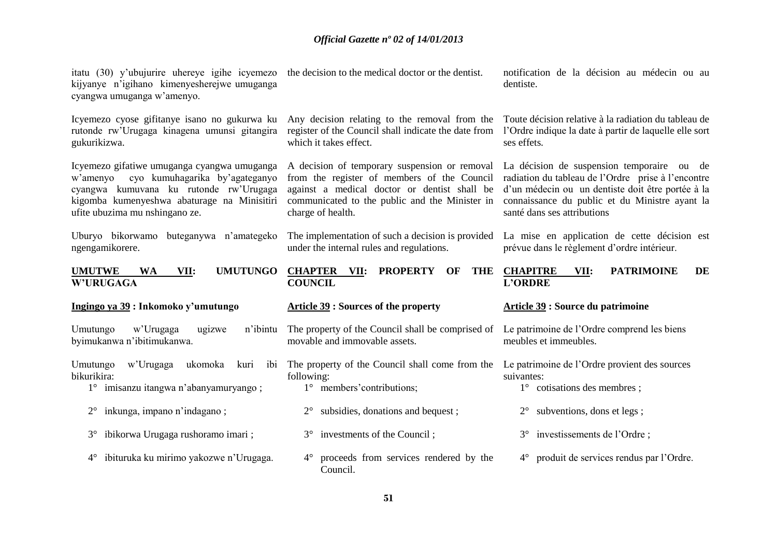| itatu (30) y'ubujurire uhereye igihe icyemezo the decision to the medical doctor or the dentist.<br>kijyanye n'igihano kimenyesherejwe umuganga<br>cyangwa umuganga w'amenyo.                                        |                                                                                                                                                                                                                     | notification de la décision au médecin ou au<br>dentiste.                                                                                                                                                                              |
|----------------------------------------------------------------------------------------------------------------------------------------------------------------------------------------------------------------------|---------------------------------------------------------------------------------------------------------------------------------------------------------------------------------------------------------------------|----------------------------------------------------------------------------------------------------------------------------------------------------------------------------------------------------------------------------------------|
| Icyemezo cyose gifitanye isano no gukurwa ku<br>rutonde rw'Urugaga kinagena umunsi gitangira<br>gukurikizwa.                                                                                                         | Any decision relating to the removal from the<br>register of the Council shall indicate the date from<br>which it takes effect.                                                                                     | Toute décision relative à la radiation du tableau de<br>l'Ordre indique la date à partir de laquelle elle sort<br>ses effets.                                                                                                          |
| Icyemezo gifatiwe umuganga cyangwa umuganga<br>cyo kumuhagarika by'agateganyo<br>w'amenyo<br>cyangwa kumuvana ku rutonde rw'Urugaga<br>kigomba kumenyeshwa abaturage na Minisitiri<br>ufite ubuzima mu nshingano ze. | A decision of temporary suspension or removal<br>from the register of members of the Council<br>against a medical doctor or dentist shall be<br>communicated to the public and the Minister in<br>charge of health. | La décision de suspension temporaire ou de<br>radiation du tableau de l'Ordre prise à l'encontre<br>d'un médecin ou un dentiste doit être portée à la<br>connaissance du public et du Ministre ayant la<br>santé dans ses attributions |
| Uburyo bikorwamo buteganywa n'amategeko<br>ngengamikorere.                                                                                                                                                           | The implementation of such a decision is provided<br>under the internal rules and regulations.                                                                                                                      | La mise en application de cette décision est<br>prévue dans le règlement d'ordre intérieur.                                                                                                                                            |
| <b>UMUTUNGO</b><br><b>UMUTWE</b><br><b>WA</b><br>VII:<br><b>W'URUGAGA</b>                                                                                                                                            | <b>CHAPTER VII:</b><br><b>PROPERTY</b><br><b>THE</b><br>OF<br><b>COUNCIL</b>                                                                                                                                        | <b>PATRIMOINE</b><br><b>CHAPITRE</b><br>VII:<br><b>DE</b><br><b>L'ORDRE</b>                                                                                                                                                            |
| Ingingo ya 39 : Inkomoko y'umutungo                                                                                                                                                                                  | <b>Article 39 : Sources of the property</b>                                                                                                                                                                         | Article 39 : Source du patrimoine                                                                                                                                                                                                      |
|                                                                                                                                                                                                                      |                                                                                                                                                                                                                     |                                                                                                                                                                                                                                        |
| w'Urugaga<br>Umutungo<br>ugizwe<br>n'ibintu<br>byimukanwa n'ibitimukanwa.                                                                                                                                            | The property of the Council shall be comprised of<br>movable and immovable assets.                                                                                                                                  | Le patrimoine de l'Ordre comprend les biens<br>meubles et immeubles.                                                                                                                                                                   |
| Umutungo<br>w'Urugaga<br>ukomoka<br>ibi<br>kuri<br>bikurikira:<br>1° imisanzu itangwa n'abanyamuryango;                                                                                                              | The property of the Council shall come from the<br>following:<br>1° members' contributions;                                                                                                                         | Le patrimoine de l'Ordre provient des sources<br>suivantes:<br>$1^\circ$ cotisations des membres;                                                                                                                                      |
| inkunga, impano n'indagano;                                                                                                                                                                                          | subsidies, donations and bequest;<br>$2^{\circ}$                                                                                                                                                                    | subventions, dons et legs;<br>$2^{\circ}$                                                                                                                                                                                              |
| ibikorwa Urugaga rushoramo imari;<br>$3^\circ$                                                                                                                                                                       | investments of the Council;<br>$3^\circ$                                                                                                                                                                            | 3° investissements de l'Ordre;                                                                                                                                                                                                         |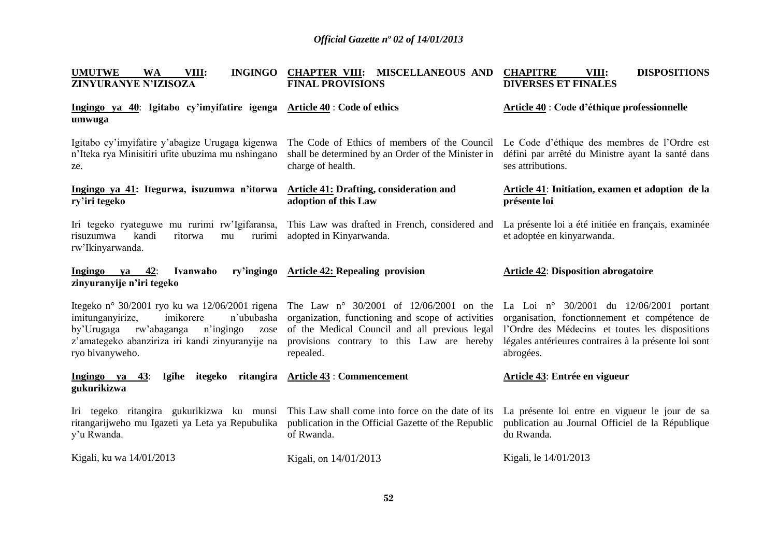| <b>UMUTWE</b><br>VIII:<br><b>INGINGO</b><br><b>WA</b><br>ZINYURANYE N'IZISOZA                                                                                        | CHAPTER VIII: MISCELLANEOUS AND<br><b>FINAL PROVISIONS</b>                                                                                                                                                                                              | <b>CHAPITRE</b><br><b>DISPOSITIONS</b><br>VIII:<br><b>DIVERSES ET FINALES</b>                                                                                                                                       |
|----------------------------------------------------------------------------------------------------------------------------------------------------------------------|---------------------------------------------------------------------------------------------------------------------------------------------------------------------------------------------------------------------------------------------------------|---------------------------------------------------------------------------------------------------------------------------------------------------------------------------------------------------------------------|
| <b>Ingingo</b> ya 40: Igitabo cy'imyifatire igenga Article $40$ : Code of ethics<br>umwuga                                                                           |                                                                                                                                                                                                                                                         | <b>Article 40 : Code d'éthique professionnelle</b>                                                                                                                                                                  |
| Igitabo cy'imyifatire y'abagize Urugaga kigenwa<br>n'Iteka rya Minisitiri ufite ubuzima mu nshingano<br>ze.                                                          | The Code of Ethics of members of the Council Le Code d'éthique des membres de l'Ordre est<br>shall be determined by an Order of the Minister in<br>charge of health.                                                                                    | défini par arrêté du Ministre ayant la santé dans<br>ses attributions.                                                                                                                                              |
| Ingingo ya 41: Itegurwa, isuzumwa n'itorwa<br>ry'iri tegeko                                                                                                          | <b>Article 41: Drafting, consideration and</b><br>adoption of this Law                                                                                                                                                                                  | Article 41: Initiation, examen et adoption de la<br>présente loi                                                                                                                                                    |
| Iri tegeko ryateguwe mu rurimi rw'Igifaransa,<br>kandi<br>risuzumwa<br>ritorwa<br>mu<br>rurimi<br>rw'Ikinyarwanda.                                                   | This Law was drafted in French, considered and<br>adopted in Kinyarwanda.                                                                                                                                                                               | La présente loi a été initiée en français, examinée<br>et adoptée en kinyarwanda.                                                                                                                                   |
| ya $42$ :<br>Ingingo<br>Ivanwaho<br>zinyuranyije n'iri tegeko                                                                                                        | ry'ingingo Article 42: Repealing provision                                                                                                                                                                                                              | <b>Article 42: Disposition abrogatoire</b>                                                                                                                                                                          |
| imitunganyirize,<br>imikorere<br>n'ububasha<br>rw'abaganga<br>n'ingingo<br>by'Urugaga<br>zose<br>z'amategeko abanziriza iri kandi zinyuranyije na<br>ryo bivanyweho. | Itegeko nº 30/2001 ryo ku wa 12/06/2001 rigena The Law nº 30/2001 of 12/06/2001 on the<br>organization, functioning and scope of activities<br>of the Medical Council and all previous legal<br>provisions contrary to this Law are hereby<br>repealed. | La Loi nº 30/2001 du $12/06/2001$ portant<br>organisation, fonctionnement et compétence de<br>l'Ordre des Médecins et toutes les dispositions<br>légales antérieures contraires à la présente loi sont<br>abrogées. |
| itegeko<br>Ingingo ya<br>43:<br>Igihe<br>gukurikizwa                                                                                                                 | ritangira Article 43 : Commencement                                                                                                                                                                                                                     | Article 43: Entrée en vigueur                                                                                                                                                                                       |
| Iri tegeko ritangira gukurikizwa ku munsi This Law shall come into force on the date of its<br>ritangarijweho mu Igazeti ya Leta ya Repubulika<br>y'u Rwanda.        | publication in the Official Gazette of the Republic<br>of Rwanda.                                                                                                                                                                                       | La présente loi entre en vigueur le jour de sa<br>publication au Journal Officiel de la République<br>du Rwanda.                                                                                                    |
| Kigali, ku wa 14/01/2013                                                                                                                                             | Kigali, on $14/01/2013$                                                                                                                                                                                                                                 | Kigali, le 14/01/2013                                                                                                                                                                                               |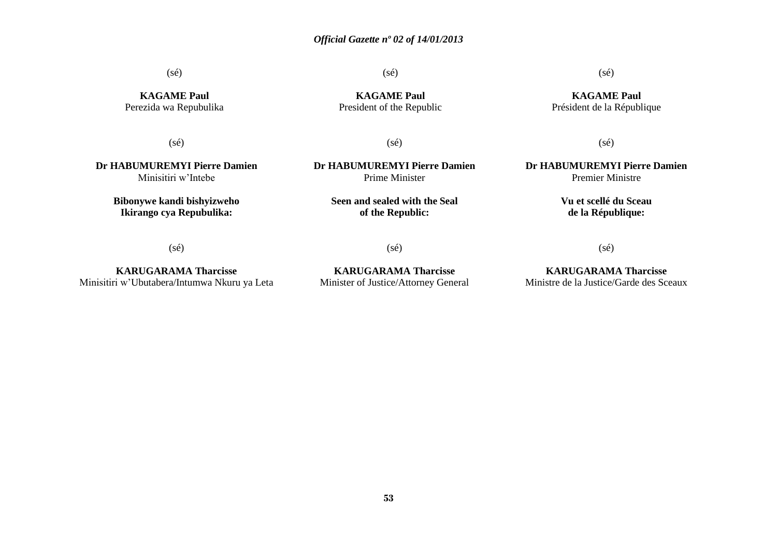(sé)

(sé)

**KAGAME Paul** President of the Republic

**KAGAME Paul** Perezida wa Repubulika

(sé)

**Dr HABUMUREMYI Pierre Damien** Minisitiri w'Intebe

> **Bibonywe kandi bishyizweho Ikirango cya Repubulika:**

(sé)

**Dr HABUMUREMYI Pierre Damien** Prime Minister

> **Seen and sealed with the Seal of the Republic:**

> > $(sé)$

**KARUGARAMA Tharcisse** Minisitiri w'Ubutabera/Intumwa Nkuru ya Leta

(sé)

**KARUGARAMA Tharcisse** Minister of Justice/Attorney General

**KARUGARAMA Tharcisse** Ministre de la Justice/Garde des Sceaux

(sé)

**KAGAME Paul** Président de la République

(sé)

**Dr HABUMUREMYI Pierre Damien** Premier Ministre

> **Vu et scellé du Sceau de la République:**

(sé)

**53**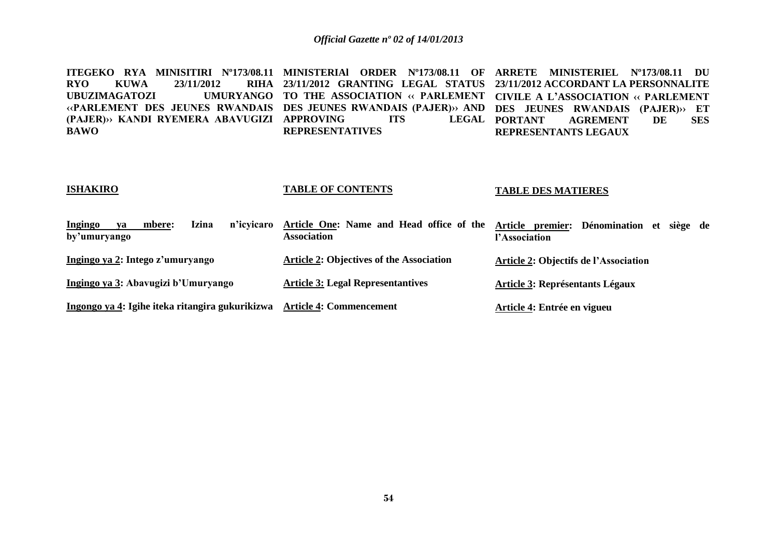**ITEGEKO RYA MINISITIRI Nº173/08.11 MINISTERIAl ORDER Nº173/08.11 OF ARRETE MINISTERIEL Nº173/08.11 DU**  RYO KUWA 23/11/2012<br>UBUZIMAGATOZI UMI **UBUZIMAGATOZI UMURYANGO TO THE ASSOCIATION ‹‹ PARLEMENT CIVILE A L'ASSOCIATION ‹‹ PARLEMENT ‹‹PARLEMENT DES JEUNES RWANDAIS DES JEUNES RWANDAIS (PAJER)›› AND DES JEUNES RWANDAIS (PAJER)›› ET (PAJER)›› KANDI RYEMERA ABAVUGIZI APPROVING ITS LEGAL BAWO 23/11/2012 GRANTING LEGAL STATUS 23/11/2012 ACCORDANT LA PERSONNALITE REPRESENTATIVES PORTANT AGREMENT DE SES REPRESENTANTS LEGAUX**

#### **ISHAKIRO TABLE OF CONTENTS TABLE DES MATIERES**

| Ingingo<br>n'icvicaro<br>Izina<br>mbere:<br>va  | Article One: Name and Head office of the        | Article premier: Dénomination et siège de    |
|-------------------------------------------------|-------------------------------------------------|----------------------------------------------|
| by'umuryango                                    | <b>Association</b>                              | l'Association                                |
| Ingingo ya 2: Intego z'umuryango                | <b>Article 2: Objectives of the Association</b> | <b>Article 2: Objectifs de l'Association</b> |
| Ingingo ya 3: Abavugizi b'Umuryango             | <b>Article 3: Legal Representantives</b>        | <b>Article 3: Représentants Légaux</b>       |
| Ingongo ya 4: Igihe iteka ritangira gukurikizwa | <b>Article 4: Commencement</b>                  | Article 4: Entrée en vigueu                  |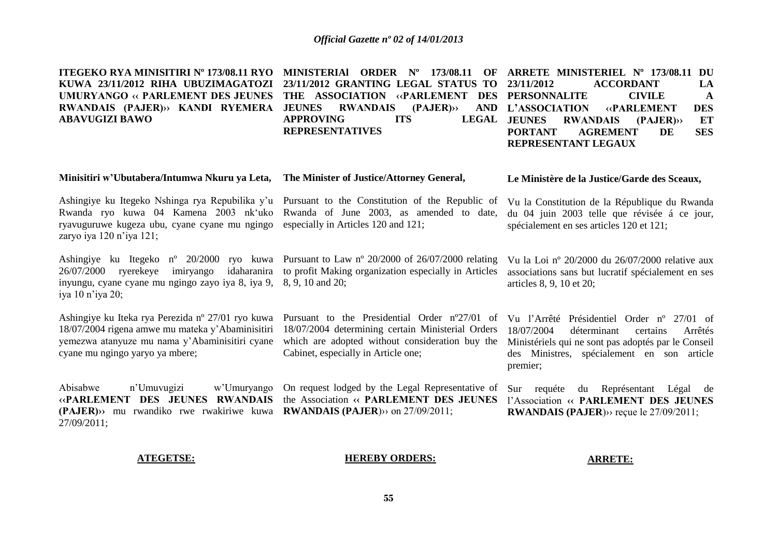| ITEGEKO RYA MINISITIRI Nº 173/08.11 RYO<br>KUWA 23/11/2012 RIHA UBUZIMAGATOZI<br><b>UMURYANGO « PARLEMENT DES JEUNES</b><br>RWANDAIS (PAJER)» KANDI RYEMERA<br><b>ABAVUGIZI BAWO</b>                                       | MINISTERIAI ORDER Nº 173/08.11<br>OF<br>23/11/2012 GRANTING LEGAL STATUS TO<br>THE ASSOCIATION «PARLEMENT<br><b>DES</b><br><b>JEUNES</b><br><b>RWANDAIS</b><br>(PAJER)<br><b>AND</b><br><b>ITS</b><br><b>LEGAL</b><br><b>APPROVING</b><br><b>REPRESENTATIVES</b> | ARRETE MINISTERIEL Nº 173/08.11<br>DU<br>23/11/2012<br><b>ACCORDANT</b><br>LA<br><b>PERSONNALITE</b><br><b>CIVILE</b><br>$\mathbf{A}$<br>L'ASSOCIATION<br><b>DES</b><br><b>«PARLEMENT</b><br><b>JEUNES</b><br><b>RWANDAIS</b><br>ET<br>(PAJER)<br><b>PORTANT</b><br><b>SES</b><br><b>AGREMENT</b><br>DE<br>REPRESENTANT LEGAUX |
|----------------------------------------------------------------------------------------------------------------------------------------------------------------------------------------------------------------------------|------------------------------------------------------------------------------------------------------------------------------------------------------------------------------------------------------------------------------------------------------------------|--------------------------------------------------------------------------------------------------------------------------------------------------------------------------------------------------------------------------------------------------------------------------------------------------------------------------------|
| Minisitiri w'Ubutabera/Intumwa Nkuru ya Leta,                                                                                                                                                                              | The Minister of Justice/Attorney General,                                                                                                                                                                                                                        | Le Ministère de la Justice/Garde des Sceaux,                                                                                                                                                                                                                                                                                   |
| Rwanda ryo kuwa 04 Kamena 2003 nk'uko<br>ryavuguruwe kugeza ubu, cyane cyane mu ngingo<br>zaryo iya 120 n'iya 121;                                                                                                         | Ashingiye ku Itegeko Nshinga rya Repubilika y'u Pursuant to the Constitution of the Republic of<br>Rwanda of June 2003, as amended to date,<br>especially in Articles 120 and 121;                                                                               | Vu la Constitution de la République du Rwanda<br>du 04 juin 2003 telle que révisée á ce jour,<br>spécialement en ses articles 120 et 121;                                                                                                                                                                                      |
| Ashingiye ku Itegeko n° 20/2000 ryo kuwa Pursuant to Law n° 20/2000 of 26/07/2000 relating<br>ryerekeye<br>idaharanira<br>26/07/2000<br>imiryango<br>inyungu, cyane cyane mu ngingo zayo iya 8, iya 9,<br>iya 10 n'iya 20; | to profit Making organization especially in Articles<br>8, 9, 10 and 20;                                                                                                                                                                                         | Vu la Loi nº 20/2000 du 26/07/2000 relative aux<br>associations sans but lucratif spécialement en ses<br>articles 8, 9, 10 et 20;                                                                                                                                                                                              |
| Ashingiye ku Iteka rya Perezida n° 27/01 ryo kuwa<br>18/07/2004 rigena amwe mu mateka y'Abaminisitiri<br>yemezwa atanyuze mu nama y'Abaminisitiri cyane<br>cyane mu ngingo yaryo ya mbere;                                 | Pursuant to the Presidential Order n°27/01 of<br>18/07/2004 determining certain Ministerial Orders<br>which are adopted without consideration buy the<br>Cabinet, especially in Article one;                                                                     | Vu l'Arrêté Présidentiel Order nº 27/01 of<br>18/07/2004<br>déterminant<br>certains<br>Arrêtés<br>Ministériels qui ne sont pas adoptés par le Conseil<br>des Ministres, spécialement en son article<br>premier;                                                                                                                |
| Abisabwe<br>n'Umuvugizi<br>w'Umuryango<br>«PARLEMENT DES JEUNES RWANDAIS<br>(PAJER) >> mu rwandiko rwe rwakiriwe kuwa<br>27/09/2011;                                                                                       | On request lodged by the Legal Representative of<br>the Association « PARLEMENT DES JEUNES<br><b>RWANDAIS (PAJER)</b> $\rightarrow$ on 27/09/2011;                                                                                                               | du Représentant Légal<br>Sur requéte<br>de<br>l'Association « PARLEMENT DES JEUNES<br><b>RWANDAIS (PAJER)</b> $\rightarrow$ reçue le 27/09/2011;                                                                                                                                                                               |
| <b>ATEGETSE:</b>                                                                                                                                                                                                           | <b>HEREBY ORDERS:</b>                                                                                                                                                                                                                                            | <b>ARRETE:</b>                                                                                                                                                                                                                                                                                                                 |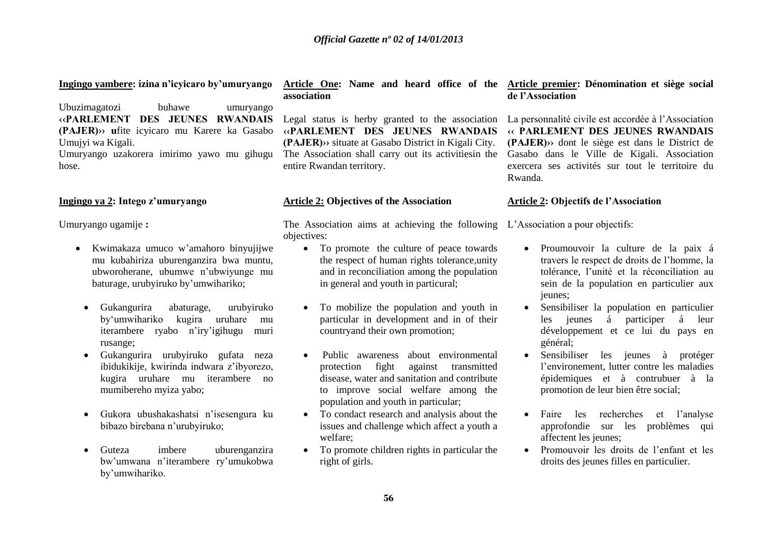#### **Ingingo yambere: izina n'icyicaro by'umuryango**

Ubuzimagatozi buhawe umuryango **‹‹PARLEMENT DES JEUNES RWANDAIS (PAJER)›› u**fite icyicaro mu Karere ka Gasabo Umujyi wa Kigali.

Umuryango uzakorera imirimo yawo mu gihugu hose.

#### **Ingingo ya 2: Intego z'umuryango**

Umuryango ugamije **:**

- Kwimakaza umuco w'amahoro binyujijwe mu kubahiriza uburenganzira bwa muntu, ubworoherane, ubumwe n'ubwiyunge mu baturage, urubyiruko by'umwihariko;
- Gukangurira abaturage, urubyiruko by'umwihariko kugira uruhare mu iterambere ryabo n'iry'igihugu muri rusange;
- Gukangurira urubyiruko gufata neza ibidukikije, kwirinda indwara z'ibyorezo, kugira uruhare mu iterambere no mumibereho myiza yabo;
- Gukora ubushakashatsi n'isesengura ku bibazo birebana n'urubyiruko;
- Guteza imbere uburenganzira bw'umwana n'iterambere ry'umukobwa by'umwihariko.

#### **Article One: Name and heard office of the Article premier: Dénomination et siège social association**

Legal status is herby granted to the association **‹‹PARLEMENT DES JEUNES RWANDAIS (PAJER)››** situate at Gasabo District in Kigali City. The Association shall carry out its activitiesin the entire Rwandan territory.

#### **Article 2: Objectives of the Association**

The Association aims at achieving the following L'Association a pour objectifs: objectives:

- To promote the culture of peace towards the respect of human rights tolerance,unity and in reconciliation among the population in general and youth in particural;
- To mobilize the population and youth in particular in development and in of their countryand their own promotion;
- Public awareness about environmental protection fight against transmitted disease, water and sanitation and contribute to improve social welfare among the population and youth in particular;
- To condact research and analysis about the issues and challenge which affect a youth a welfare;
- To promote children rights in particular the right of girls.

# **de l'Association**

La personnalité civile est accordée à l'Association **‹‹ PARLEMENT DES JEUNES RWANDAIS (PAJER)››** dont le siège est dans le District de Gasabo dans le Ville de Kigali. Association exercera ses activités sur tout le territoire du Rwanda.

#### **Article 2: Objectifs de l'Association**

- Proumouvoir la culture de la paix á travers le respect de droits de l'homme, la tolérance, l'unité et la réconciliation au sein de la population en particulier aux jeunes;
- Sensibiliser la population en particulier les jeunes á participer á leur développement et ce lui du pays en général;
- Sensibiliser les jeunes à protéger l'environement, lutter contre les maladies épidemiques et à contrubuer à la promotion de leur bien être social;
- Faire les recherches et l'analyse approfondie sur les problèmes qui affectent les jeunes;
- Promouvoir les droits de l'enfant et les droits des jeunes filles en particulier.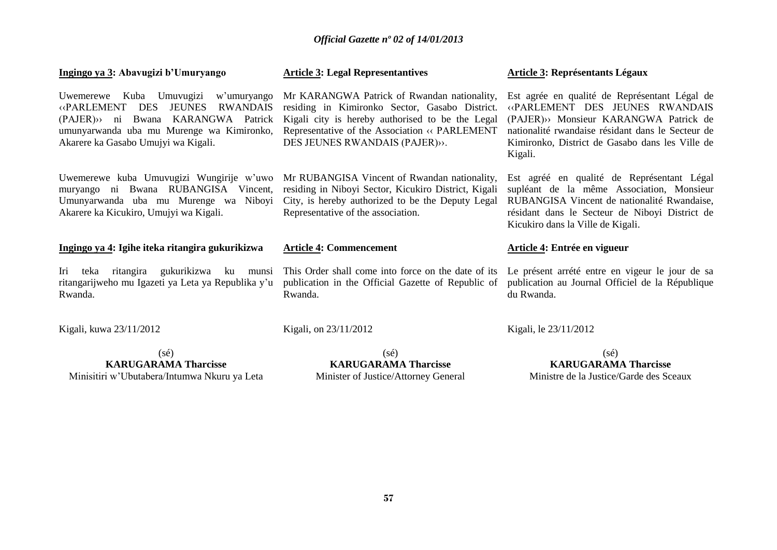| Ingingo ya 3: Abavugizi b'Umuryango                                                                                                                                                                                              | <b>Article 3: Legal Representantives</b>                                                                                                                                                                                                 | <b>Article 3: Représentants Légaux</b>                                                                                                                                                                                                      |
|----------------------------------------------------------------------------------------------------------------------------------------------------------------------------------------------------------------------------------|------------------------------------------------------------------------------------------------------------------------------------------------------------------------------------------------------------------------------------------|---------------------------------------------------------------------------------------------------------------------------------------------------------------------------------------------------------------------------------------------|
| Uwemerewe Kuba Umuvugizi w'umuryango<br>JEUNES<br><b>RWANDAIS</b><br><b>«PARLEMENT</b><br><b>DES</b><br>(PAJER)<br>ni Bwana KARANGWA Patrick<br>umunyarwanda uba mu Murenge wa Kimironko,<br>Akarere ka Gasabo Umujyi wa Kigali. | Mr KARANGWA Patrick of Rwandan nationality,<br>residing in Kimironko Sector, Gasabo District.<br>Kigali city is hereby authorised to be the Legal<br>Representative of the Association « PARLEMENT<br>DES JEUNES RWANDAIS (PAJER)».      | Est agrée en qualité de Représentant Légal de<br>«PARLEMENT DES JEUNES RWANDAIS<br>(PAJER)» Monsieur KARANGWA Patrick de<br>nationalité rwandaise résidant dans le Secteur de<br>Kimironko, District de Gasabo dans les Ville de<br>Kigali. |
| muryango ni Bwana RUBANGISA Vincent,<br>Umunyarwanda uba mu Murenge wa Niboyi<br>Akarere ka Kicukiro, Umujyi wa Kigali.                                                                                                          | Uwemerewe kuba Umuvugizi Wungirije w'uwo Mr RUBANGISA Vincent of Rwandan nationality,<br>residing in Niboyi Sector, Kicukiro District, Kigali<br>City, is hereby authorized to be the Deputy Legal<br>Representative of the association. | Est agréé en qualité de Représentant Légal<br>supléant de la même Association, Monsieur<br>RUBANGISA Vincent de nationalité Rwandaise,<br>résidant dans le Secteur de Niboyi District de<br>Kicukiro dans la Ville de Kigali.               |
| Ingingo ya 4: Igihe iteka ritangira gukurikizwa                                                                                                                                                                                  | <b>Article 4: Commencement</b>                                                                                                                                                                                                           | Article 4: Entrée en vigueur                                                                                                                                                                                                                |
| teka ritangira gukurikizwa ku munsi<br>Iri<br>ritangarijweho mu Igazeti ya Leta ya Republika y'u<br>Rwanda.                                                                                                                      | This Order shall come into force on the date of its<br>publication in the Official Gazette of Republic of<br>Rwanda.                                                                                                                     | Le présent arrété entre en vigeur le jour de sa<br>publication au Journal Officiel de la République<br>du Rwanda.                                                                                                                           |
| Kigali, kuwa 23/11/2012                                                                                                                                                                                                          | Kigali, on 23/11/2012                                                                                                                                                                                                                    | Kigali, le 23/11/2012                                                                                                                                                                                                                       |
| $(s\acute{e})$<br><b>KARUGARAMA Tharcisse</b><br>Minisitiri w'Ubutabera/Intumwa Nkuru ya Leta                                                                                                                                    | $(s\acute{e})$<br><b>KARUGARAMA Tharcisse</b><br>Minister of Justice/Attorney General                                                                                                                                                    | $(s\acute{e})$<br><b>KARUGARAMA Tharcisse</b><br>Ministre de la Justice/Garde des Sceaux                                                                                                                                                    |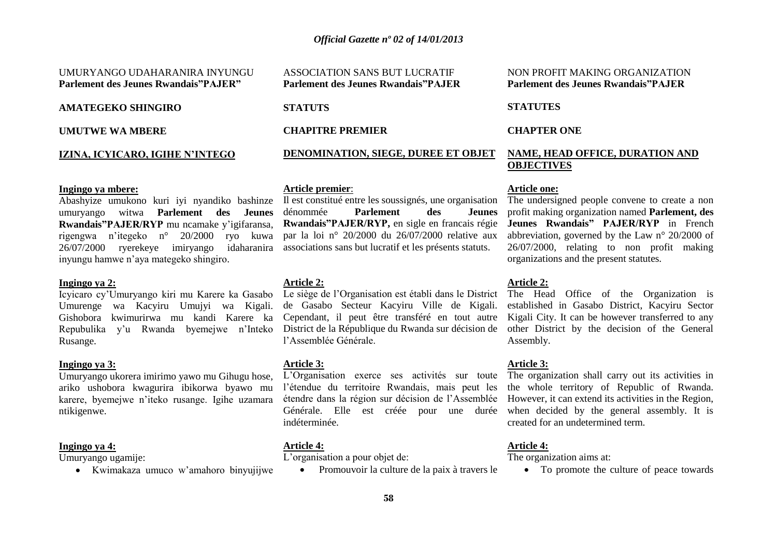#### UMURYANGO UDAHARANIRA INYUNGU **Parlement des Jeunes Rwandais"PAJER"**

#### **AMATEGEKO SHINGIRO**

**UMUTWE WA MBERE**

#### **IZINA, ICYICARO, IGIHE N'INTEGO**

#### **Ingingo ya mbere:**

Abashyize umukono kuri iyi nyandiko bashinze umuryango witwa **Parlement des Jeunes Rwandais"PAJER/RYP** mu ncamake y'igifaransa, rigengwa n'itegeko n° 20/2000 ryo kuwa 26/07/2000 ryerekeye imiryango idaharanira inyungu hamwe n'aya mategeko shingiro.

#### **Ingingo ya 2:**

Icyicaro cy'Umuryango kiri mu Karere ka Gasabo Umurenge wa Kacyiru Umujyi wa Kigali. Gishobora kwimurirwa mu kandi Karere ka Repubulika y'u Rwanda byemejwe n'Inteko District de la République du Rwanda sur décision de Rusange.

#### **Ingingo ya 3:**

Umuryango ukorera imirimo yawo mu Gihugu hose, ariko ushobora kwagurira ibikorwa byawo mu karere, byemejwe n'iteko rusange. Igihe uzamara ntikigenwe.

#### **Ingingo ya 4:**

Umuryango ugamije:

Kwimakaza umuco w'amahoro binyujijwe

ASSOCIATION SANS BUT LUCRATIF **Parlement des Jeunes Rwandais"PAJER**

#### **STATUTS**

**CHAPITRE PREMIER**

### **DENOMINATION, SIEGE, DUREE ET OBJET**

#### **Article premier**:

Il est constitué entre les soussignés, une organisation dénommée **Parlement des Jeunes Rwandais"PAJER/RYP,** en sigle en francais régie par la loi n° 20/2000 du 26/07/2000 relative aux associations sans but lucratif et les présents statuts.

#### **Article 2:**

Le siège de l'Organisation est établi dans le District de Gasabo Secteur Kacyiru Ville de Kigali. Cependant, il peut être transféré en tout autre l'Assemblée Générale.

#### **Article 3:**

L'Organisation exerce ses activités sur toute l'étendue du territoire Rwandais, mais peut les étendre dans la région sur décision de l'Assemblée Générale. Elle est créée pour une durée indéterminée.

#### **Article 4:**

L'organisation a pour objet de:

Promouvoir la culture de la paix à travers le

#### NON PROFIT MAKING ORGANIZATION **Parlement des Jeunes Rwandais"PAJER**

#### **STATUTES**

#### **CHAPTER ONE**

#### **NAME, HEAD OFFICE, DURATION AND OBJECTIVES**

#### **Article one:**

The undersigned people convene to create a non profit making organization named **Parlement, des Jeunes Rwandais" PAJER/RYP** in French abbreviation, governed by the Law n° 20/2000 of 26/07/2000, relating to non profit making organizations and the present statutes.

#### **Article 2:**

The Head Office of the Organization is established in Gasabo District, Kacyiru Sector Kigali City. It can be however transferred to any other District by the decision of the General Assembly.

#### **Article 3:**

The organization shall carry out its activities in the whole territory of Republic of Rwanda. However, it can extend its activities in the Region, when decided by the general assembly. It is created for an undetermined term.

#### **Article 4:**

The organization aims at:

• To promote the culture of peace towards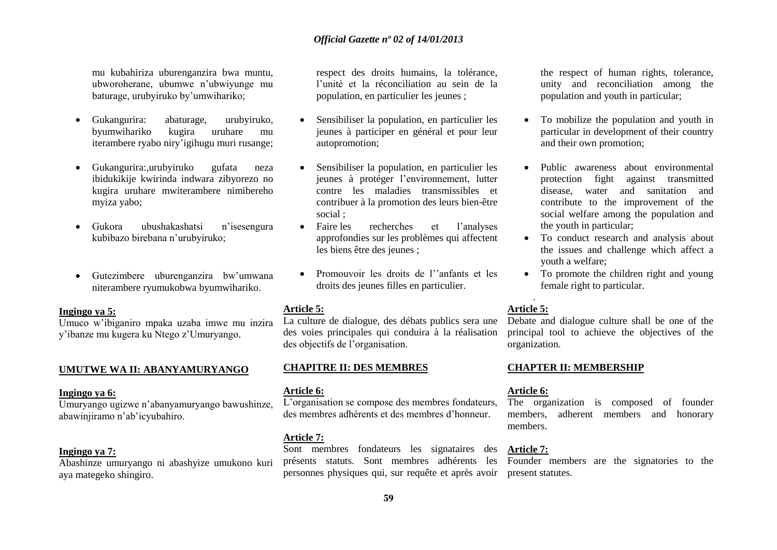mu kubahiriza uburenganzira bwa muntu, ubworoherane, ubumwe n'ubwiyunge mu baturage, urubyiruko by'umwihariko;

- Gukangurira: abaturage, urubyiruko, byumwihariko kugira uruhare mu iterambere ryabo niry'igihugu muri rusange;
- Gukangurira:,urubyiruko gufata neza ibidukikije kwirinda indwara zibyorezo no kugira uruhare mwiterambere nimibereho myiza yabo;
- Gukora ubushakashatsi n'isesengura kubibazo birebana n'urubyiruko;
- Gutezimbere uburenganzira bw'umwana niterambere ryumukobwa byumwihariko.

#### **Ingingo ya 5:**

Umuco w'ibiganiro mpaka uzaba imwe mu inzira y'ibanze mu kugera ku Ntego z'Umuryango.

#### **UMUTWE WA II: ABANYAMURYANGO**

#### **Ingingo ya 6:**

Umuryango ugizwe n'abanyamuryango bawushinze, abawinjiramo n'ab'icyubahiro.

#### **Ingingo ya 7:**

Abashinze umuryango ni abashyize umukono kuri aya mategeko shingiro.

respect des droits humains, la tolérance, l'unité et la réconciliation au sein de la population, en particulier les jeunes ;

- Sensibiliser la population, en particulier les jeunes à participer en général et pour leur autopromotion;
- Sensibiliser la population, en particulier les jeunes à protéger l'environnement, lutter contre les maladies transmissibles et contribuer à la promotion des leurs bien-être social ;
- Faire les recherches et l'analyses approfondies sur les problèmes qui affectent les biens être des jeunes ;
- Promouvoir les droits de l''anfants et les droits des jeunes filles en particulier.

#### **Article 5:**

La culture de dialogue, des débats publics sera une des voies principales qui conduira à la réalisation des objectifs de l'organisation.

#### **CHAPITRE II: DES MEMBRES**

#### **Article 6:**

L'organisation se compose des membres fondateurs, des membres adhérents et des membres d'honneur.

#### **Article 7:**

Sont membres fondateurs les signataires des présents statuts. Sont membres adhérents les personnes physiques qui, sur requête et après avoir

the respect of human rights, tolerance, unity and reconciliation among the population and youth in particular;

- To mobilize the population and youth in particular in development of their country and their own promotion;
- Public awareness about environmental protection fight against transmitted disease, water and sanitation and contribute to the improvement of the social welfare among the population and the youth in particular;
- To conduct research and analysis about the issues and challenge which affect a youth a welfare;
- To promote the children right and young female right to particular.

#### . **Article 5:**

Debate and dialogue culture shall be one of the principal tool to achieve the objectives of the organization.

#### **CHAPTER II: MEMBERSHIP**

#### **Article 6:**

The organization is composed of founder members, adherent members and honorary members.

#### **Article 7:**

Founder members are the signatories to the present statutes.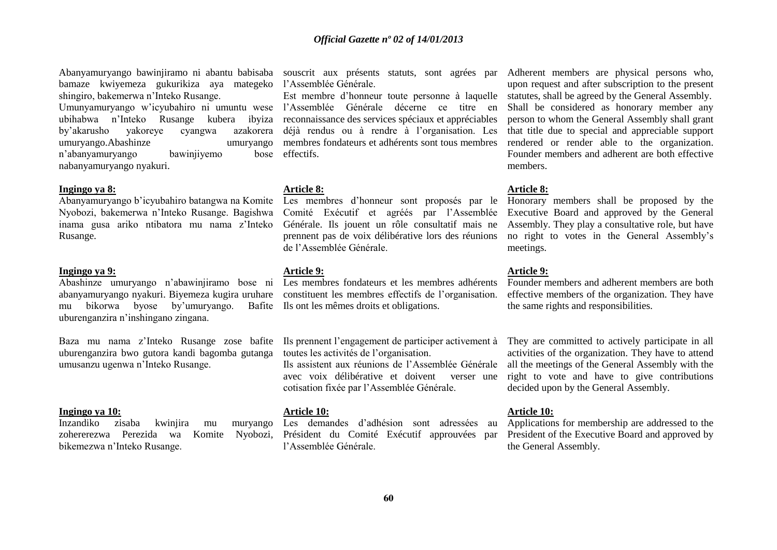Abanyamuryango bawinjiramo ni abantu babisaba souscrit aux présents statuts, sont agrées par bamaze kwiyemeza gukurikiza aya mategeko l'Assemblée Générale. shingiro, bakemerwa n'Inteko Rusange. Umunyamuryango w'icyubahiro ni umuntu wese l'Assemblée Générale décerne ce titre en ubihabwa n'Inteko Rusange kubera ibyiza by'akarusho yakoreye cyangwa umuryango.Abashinze umuryango n'abanyamuryango bawinjiyemo nabanyamuryango nyakuri.

#### **Ingingo ya 8:**

Nyobozi, bakemerwa n'Inteko Rusange. Bagishwa inama gusa ariko ntibatora mu nama z'Inteko Rusange.

#### **Ingingo ya 9:**

mu bikorwa byose by'umuryango. uburenganzira n'inshingano zingana.

Baza mu nama z'Inteko Rusange zose bafite uburenganzira bwo gutora kandi bagomba gutanga umusanzu ugenwa n'Inteko Rusange.

#### **Ingingo ya 10:**

Inzandiko zisaba kwinjira mu muryango zohererezwa Perezida wa Komite Nyobozi, bikemezwa n'Inteko Rusange.

Est membre d'honneur toute personne à laquelle reconnaissance des services spéciaux et appréciables azakorera déjà rendus ou à rendre à l'organisation. Les membres fondateurs et adhérents sont tous membres hose effectifs

#### **Article 8:**

Abanyamuryango b'icyubahiro batangwa na Komite Les membres d'honneur sont proposés par le Comité Exécutif et agréés par l'Assemblée Générale. Ils jouent un rôle consultatif mais ne prennent pas de voix délibérative lors des réunions de l'Assemblée Générale.

#### **Article 9:**

Abashinze umuryango n'abawinjiramo bose ni Les membres fondateurs et les membres adhérents abanyamuryango nyakuri. Biyemeza kugira uruhare constituent les membres effectifs de l'organisation. Bafite Ils ont les mêmes droits et obligations.

> Ils prennent l'engagement de participer activement à toutes les activités de l'organisation.

> Ils assistent aux réunions de l'Assemblée Générale avec voix délibérative et doivent verser une cotisation fixée par l'Assemblée Générale.

#### **Article 10:**

Les demandes d'adhésion sont adressées au Président du Comité Exécutif approuvées par l'Assemblée Générale.

Adherent members are physical persons who, upon request and after subscription to the present statutes, shall be agreed by the General Assembly. Shall be considered as honorary member any person to whom the General Assembly shall grant that title due to special and appreciable support rendered or render able to the organization. Founder members and adherent are both effective members.

#### **Article 8:**

Honorary members shall be proposed by the Executive Board and approved by the General Assembly. They play a consultative role, but have no right to votes in the General Assembly's meetings.

#### **Article 9:**

Founder members and adherent members are both effective members of the organization. They have the same rights and responsibilities.

They are committed to actively participate in all activities of the organization. They have to attend all the meetings of the General Assembly with the right to vote and have to give contributions decided upon by the General Assembly.

#### **Article 10:**

Applications for membership are addressed to the President of the Executive Board and approved by the General Assembly.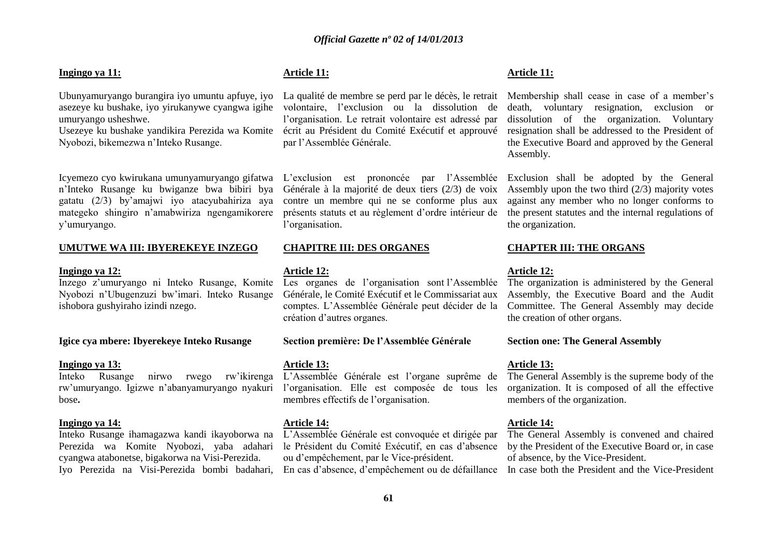#### **Ingingo ya 11:**

Ubunyamuryango burangira iyo umuntu apfuye, iyo La qualité de membre se perd par le décès, le retrait asezeye ku bushake, iyo yirukanywe cyangwa igihe volontaire, l'exclusion ou la dissolution de umuryango usheshwe.

Nyobozi, bikemezwa n'Inteko Rusange.

Icyemezo cyo kwirukana umunyamuryango gifatwa n'Inteko Rusange ku bwiganze bwa bibiri bya gatatu (2/3) by'amajwi iyo atacyubahiriza aya mategeko shingiro n'amabwiriza ngengamikorere y'umuryango.

#### **UMUTWE WA III: IBYEREKEYE INZEGO**

#### **Ingingo ya 12:**

Inzego z'umuryango ni Inteko Rusange, Komite Nyobozi n'Ubugenzuzi bw'imari. Inteko Rusange ishobora gushyiraho izindi nzego.

#### **Igice cya mbere: Ibyerekeye Inteko Rusange**

#### **Ingingo ya 13:**

Inteko Rusange nirwo rwego rw'ikirenga rw'umuryango. Igizwe n'abanyamuryango nyakuri l'organisation. Elle est composée de tous les bose**.**

#### **Ingingo ya 14:**

Inteko Rusange ihamagazwa kandi ikayoborwa na Perezida wa Komite Nyobozi, yaba adahari cyangwa atabonetse, bigakorwa na Visi-Perezida. Iyo Perezida na Visi-Perezida bombi badahari,

#### **Article 11:**

Usezeye ku bushake yandikira Perezida wa Komite écrit au Président du Comité Exécutif et approuvé l'organisation. Le retrait volontaire est adressé par par l'Assemblée Générale.

> L'exclusion est prononcée par l'Assemblée Générale à la majorité de deux tiers (2/3) de voix contre un membre qui ne se conforme plus aux présents statuts et au règlement d'ordre intérieur de l'organisation.

#### **CHAPITRE III: DES ORGANES**

#### **Article 12:**

Les organes de l'organisation sont l'Assemblée Générale, le Comité Exécutif et le Commissariat aux comptes. L'Assemblée Générale peut décider de la création d'autres organes.

#### **Section première: De l'Assemblée Générale**

#### **Article 13:**

L'Assemblée Générale est l'organe suprême de membres effectifs de l'organisation.

#### **Article 14:**

L'Assemblée Générale est convoquée et dirigée par le Président du Comité Exécutif, en cas d'absence ou d'empêchement, par le Vice-président.

#### **Article 11:**

Membership shall cease in case of a member's death, voluntary resignation, exclusion or dissolution of the organization. Voluntary resignation shall be addressed to the President of the Executive Board and approved by the General Assembly.

Exclusion shall be adopted by the General Assembly upon the two third (2/3) majority votes against any member who no longer conforms to the present statutes and the internal regulations of the organization.

#### **CHAPTER III: THE ORGANS**

#### **Article 12:**

The organization is administered by the General Assembly, the Executive Board and the Audit Committee. The General Assembly may decide the creation of other organs.

#### **Section one: The General Assembly**

#### **Article 13:**

The General Assembly is the supreme body of the organization. It is composed of all the effective members of the organization.

#### **Article 14:**

The General Assembly is convened and chaired by the President of the Executive Board or, in case of absence, by the Vice-President.

En cas d'absence, d'empêchement ou de défaillance In case both the President and the Vice-President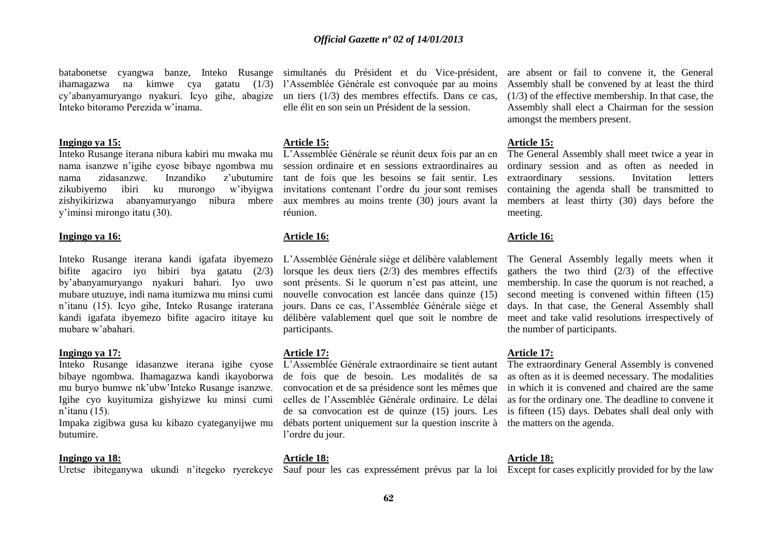batabonetse cyangwa banze, Inteko Rusange simultanés du Président et du Vice-président, ihamagazwa na kimwe cya cy'abanyamuryango nyakuri. Icyo gihe, abagize un tiers (1/3) des membres effectifs. Dans ce cas, Inteko bitoramo Perezida w'inama.

#### **Ingingo ya 15:**

Inteko Rusange iterana nibura kabiri mu mwaka mu nama isanzwe n'igihe cyose bibaye ngombwa mu nama zidasanzwe. Inzandiko z'ubutumire zikubiyemo ibiri ku murongo w'ibyigwa zishyikirizwa abanyamuryango nibura mbere y'iminsi mirongo itatu (30).

#### **Ingingo ya 16:**

Inteko Rusange iterana kandi igafata ibyemezo bifite agaciro iyo bibiri bya gatatu (2/3) by'abanyamuryango nyakuri bahari. Iyo uwo mubare utuzuye, indi nama itumizwa mu minsi cumi n'itanu (15). Icyo gihe, Inteko Rusange iraterana kandi igafata ibyemezo bifite agaciro ititaye ku mubare w'abahari.

#### **Ingingo ya 17:**

Inteko Rusange idasanzwe iterana igihe cyose bibaye ngombwa. Ihamagazwa kandi ikayoborwa mu buryo bumwe nk'ubw'Inteko Rusange isanzwe. Igihe cyo kuyitumiza gishyizwe ku minsi cumi n'itanu (15).

Impaka zigibwa gusa ku kibazo cyateganyijwe mu butumire.

#### **Ingingo ya 18:**

Uretse ibiteganywa ukundi n'itegeko ryerekeye Sauf pour les cas expressément prévus par la loi Except for cases explicitly provided for by the law

l'Assemblée Générale est convoquée par au moins elle élit en son sein un Président de la session.

#### **Article 15:**

L'Assemblée Générale se réunit deux fois par an en session ordinaire et en sessions extraordinaires au tant de fois que les besoins se fait sentir. Les invitations contenant l'ordre du jour sont remises aux membres au moins trente (30) jours avant la réunion.

#### **Article 16:**

L'Assemblée Générale siège et délibère valablement lorsque les deux tiers (2/3) des membres effectifs sont présents. Si le quorum n'est pas atteint, une nouvelle convocation est lancée dans quinze (15) jours. Dans ce cas, l'Assemblée Générale siège et délibère valablement quel que soit le nombre de participants.

#### **Article 17:**

L'Assemblée Générale extraordinaire se tient autant de fois que de besoin. Les modalités de sa convocation et de sa présidence sont les mêmes que celles de l'Assemblée Générale ordinaire. Le délai de sa convocation est de quinze (15) jours. Les débats portent uniquement sur la question inscrite à l'ordre du jour.

#### **Article 18:**

are absent or fail to convene it, the General Assembly shall be convened by at least the third (1/3) of the effective membership. In that case, the Assembly shall elect a Chairman for the session amongst the members present.

#### **Article 15:**

The General Assembly shall meet twice a year in ordinary session and as often as needed in extraordinary sessions. Invitation letters containing the agenda shall be transmitted to members at least thirty (30) days before the meeting.

#### **Article 16:**

The General Assembly legally meets when it gathers the two third  $(2/3)$  of the effective membership. In case the quorum is not reached, a second meeting is convened within fifteen (15) days. In that case, the General Assembly shall meet and take valid resolutions irrespectively of the number of participants.

#### **Article 17:**

The extraordinary General Assembly is convened as often as it is deemed necessary. The modalities in which it is convened and chaired are the same as for the ordinary one. The deadline to convene it is fifteen (15) days. Debates shall deal only with the matters on the agenda.

#### **Article 18:**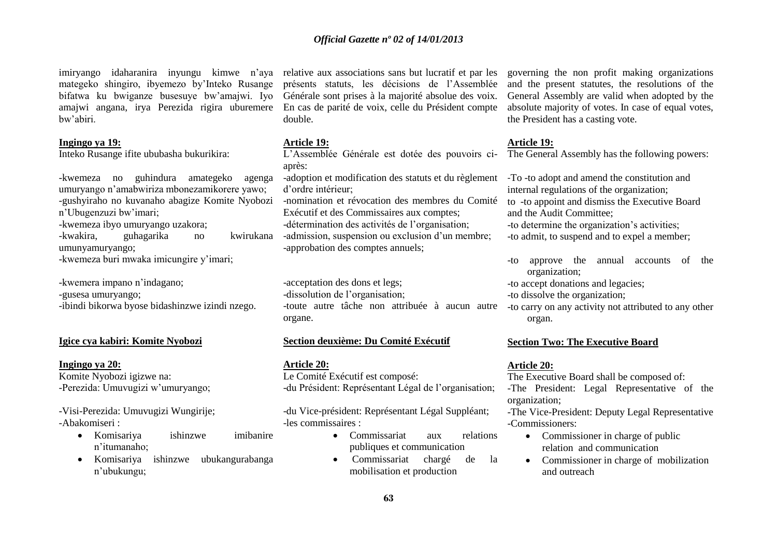imiryango idaharanira inyungu kimwe n'aya relative aux associations sans but lucratif et par les mategeko shingiro, ibyemezo by'Inteko Rusange bifatwa ku bwiganze busesuye bw'amajwi. Iyo amajwi angana, irya Perezida rigira uburemere bw'abiri.

#### **Ingingo ya 19:**

Inteko Rusange ifite ububasha bukurikira:

-kwemeza no guhindura amategeko agenga umuryango n'amabwiriza mbonezamikorere yawo; -gushyiraho no kuvanaho abagize Komite Nyobozi n'Ubugenzuzi bw'imari;

-kwemeza ibyo umuryango uzakora;

-kwakira, guhagarika no kwirukana umunyamuryango; -kwemeza buri mwaka imicungire y'imari;

-kwemera impano n'indagano;

-gusesa umuryango;

-ibindi bikorwa byose bidashinzwe izindi nzego.

#### **Igice cya kabiri: Komite Nyobozi**

#### **Ingingo ya 20:**

Komite Nyobozi igizwe na: -Perezida: Umuvugizi w'umuryango;

-Visi-Perezida: Umuvugizi Wungirije; -Abakomiseri :

- Komisariya ishinzwe imibanire n'itumanaho;
- Komisariya ishinzwe ubukangurabanga n'ubukungu;

présents statuts, les décisions de l'Assemblée Générale sont prises à la majorité absolue des voix. En cas de parité de voix, celle du Président compte double.

#### **Article 19:**

L'Assemblée Générale est dotée des pouvoirs ciaprès:

-adoption et modification des statuts et du règlement d'ordre intérieur;

-nomination et révocation des membres du Comité Exécutif et des Commissaires aux comptes; -détermination des activités de l'organisation; -admission, suspension ou exclusion d'un membre;

-approbation des comptes annuels;

-acceptation des dons et legs; -dissolution de l'organisation; -toute autre tâche non attribuée à aucun autre organe.

#### **Section deuxième: Du Comité Exécutif**

**Article 20:**

Le Comité Exécutif est composé: -du Président: Représentant Légal de l'organisation;

-du Vice-président: Représentant Légal Suppléant; -les commissaires :

- Commissariat aux relations publiques et communication
- Commissariat chargé de la mobilisation et production

governing the non profit making organizations and the present statutes, the resolutions of the General Assembly are valid when adopted by the absolute majority of votes. In case of equal votes, the President has a casting vote.

#### **Article 19:**

The General Assembly has the following powers:

-To -to adopt and amend the constitution and internal regulations of the organization; to -to appoint and dismiss the Executive Board and the Audit Committee;

-to determine the organization's activities;

-to admit, to suspend and to expel a member;

-to approve the annual accounts of the organization;

-to accept donations and legacies;

- -to dissolve the organization;
- -to carry on any activity not attributed to any other organ.

#### **Section Two: The Executive Board**

#### **Article 20:**

The Executive Board shall be composed of: -The President: Legal Representative of the organization;

-The Vice-President: Deputy Legal Representative -Commissioners:

- Commissioner in charge of public relation and communication
- Commissioner in charge of mobilization and outreach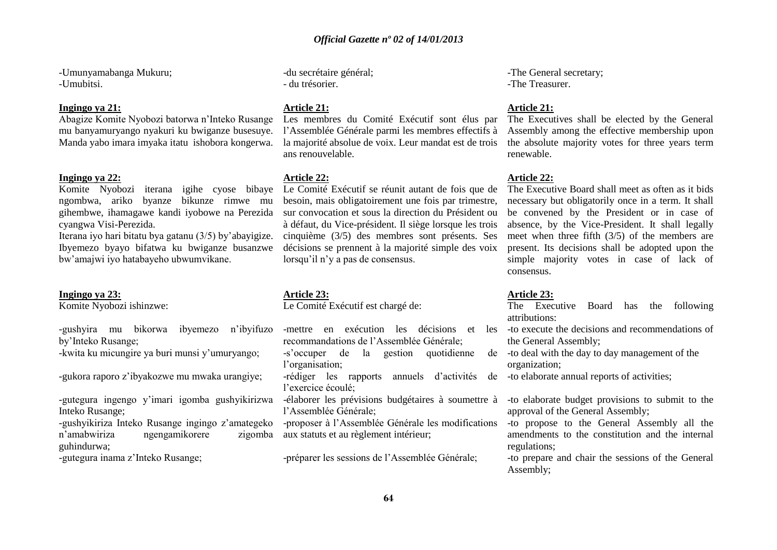-Umunyamabanga Mukuru; -Umubitsi.

#### **Ingingo ya 21:**

Abagize Komite Nyobozi batorwa n'Inteko Rusange mu banyamuryango nyakuri ku bwiganze busesuye. Manda yabo imara imyaka itatu ishobora kongerwa.

#### **Ingingo ya 22:**

Komite Nyobozi iterana igihe cyose bibaye ngombwa, ariko byanze bikunze rimwe mu gihembwe, ihamagawe kandi iyobowe na Perezida sur convocation et sous la direction du Président ou cyangwa Visi-Perezida.

Iterana iyo hari bitatu bya gatanu (3/5) by'abayigize. Ibyemezo byayo bifatwa ku bwiganze busanzwe bw'amajwi iyo hatabayeho ubwumvikane.

#### **Ingingo ya 23:**

Komite Nyobozi ishinzwe:

-gushyira mu bikorwa ibyemezo n'ibyifuzo by'Inteko Rusange;

-kwita ku micungire ya buri munsi y'umuryango;

-gukora raporo z'ibyakozwe mu mwaka urangiye;

-gutegura ingengo y'imari igomba gushyikirizwa Inteko Rusange;

-gushyikiriza Inteko Rusange ingingo z'amategeko n'amabwiriza ngengamikorere zigomba guhindurwa;

-gutegura inama z'Inteko Rusange;

-du secrétaire général; - du trésorier.

#### **Article 21:**

Les membres du Comité Exécutif sont élus par l'Assemblée Générale parmi les membres effectifs à la majorité absolue de voix. Leur mandat est de trois ans renouvelable.

#### **Article 22:**

Le Comité Exécutif se réunit autant de fois que de besoin, mais obligatoirement une fois par trimestre, à défaut, du Vice-président. Il siège lorsque les trois cinquième (3/5) des membres sont présents. Ses décisions se prennent à la majorité simple des voix lorsqu'il n'v a pas de consensus.

#### **Article 23:**

Le Comité Exécutif est chargé de:

recommandations de l'Assemblée Générale; -s'occuper de la gestion quotidienne

l'organisation;

-rédiger les rapports annuels d'activités de -to elaborate annual reports of activities; l'exercice écoulé;

-élaborer les prévisions budgétaires à soumettre à l'Assemblée Générale;

-proposer à l'Assemblée Générale les modifications aux statuts et au règlement intérieur;

-préparer les sessions de l'Assemblée Générale;

-The General secretary; -The Treasurer.

#### **Article 21:**

The Executives shall be elected by the General Assembly among the effective membership upon the absolute majority votes for three years term renewable.

#### **Article 22:**

The Executive Board shall meet as often as it bids necessary but obligatorily once in a term. It shall be convened by the President or in case of absence, by the Vice-President. It shall legally meet when three fifth (3/5) of the members are present. Its decisions shall be adopted upon the simple majority votes in case of lack of consensus.

#### **Article 23:**

The Executive Board has the following attributions:

-mettre en exécution les décisions et les -to execute the decisions and recommendations of the General Assembly;

> -to deal with the day to day management of the organization;

-to elaborate budget provisions to submit to the approval of the General Assembly;

-to propose to the General Assembly all the amendments to the constitution and the internal regulations;

-to prepare and chair the sessions of the General Assembly;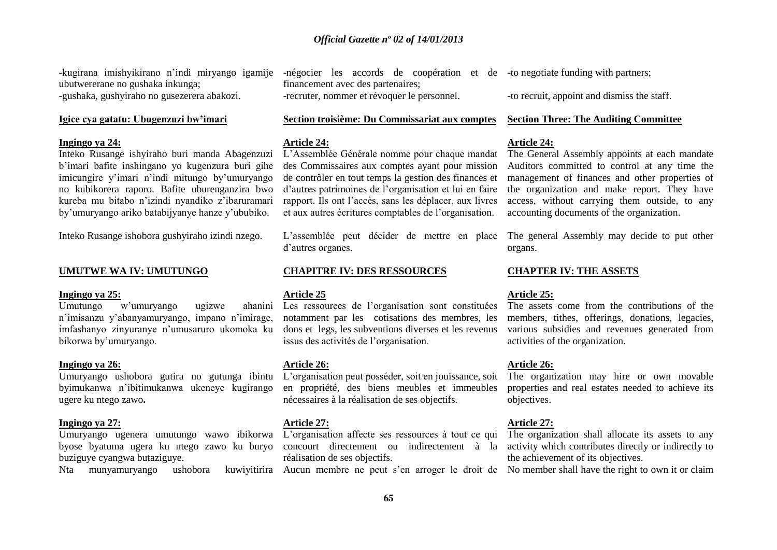-kugirana imishyikirano n'indi miryango igamije ubutwererane no gushaka inkunga; -gushaka, gushyiraho no gusezerera abakozi.

#### **Igice cya gatatu: Ubugenzuzi bw'imari**

#### **Ingingo ya 24:**

Inteko Rusange ishyiraho buri manda Abagenzuzi b'imari bafite inshingano yo kugenzura buri gihe imicungire y'imari n'indi mitungo by'umuryango no kubikorera raporo. Bafite uburenganzira bwo kureba mu bitabo n'izindi nyandiko z'ibaruramari by'umuryango ariko batabijyanye hanze y'ububiko.

Inteko Rusange ishobora gushyiraho izindi nzego.

#### **UMUTWE WA IV: UMUTUNGO**

#### **Ingingo ya 25:**

 $U$ mutungo w'umuryango ugizwe n'imisanzu y'abanyamuryango, impano n'imirage, imfashanyo zinyuranye n'umusaruro ukomoka ku bikorwa by'umuryango.

#### **Ingingo ya 26:**

Umuryango ushobora gutira no gutunga ibintu byimukanwa n'ibitimukanwa ukeneye kugirango ugere ku ntego zawo**.**

#### **Ingingo ya 27:**

Umuryango ugenera umutungo wawo ibikorwa byose byatuma ugera ku ntego zawo ku buryo buziguye cyangwa butaziguye.

-négocier les accords de coopération et de -to negotiate funding with partners; financement avec des partenaires; -recruter, nommer et révoquer le personnel.

#### **Section troisième: Du Commissariat aux comptes**

#### **Article 24:**

L'Assemblée Générale nomme pour chaque mandat des Commissaires aux comptes ayant pour mission de contrôler en tout temps la gestion des finances et d'autres patrimoines de l'organisation et lui en faire rapport. Ils ont l'accès, sans les déplacer, aux livres et aux autres écritures comptables de l'organisation.

L'assemblée peut décider de mettre en place d'autres organes.

#### **CHAPITRE IV: DES RESSOURCES**

#### **Article 25**

Les ressources de l'organisation sont constituées notamment par les cotisations des membres, les dons et legs, les subventions diverses et les revenus issus des activités de l'organisation.

#### **Article 26:**

L'organisation peut posséder, soit en jouissance, soit en propriété, des biens meubles et immeubles nécessaires à la réalisation de ses objectifs.

#### **Article 27:**

L'organisation affecte ses ressources à tout ce qui concourt directement ou indirectement à la activity which contributes directly or indirectly to réalisation de ses objectifs.

-to recruit, appoint and dismiss the staff.

#### **Section Three: The Auditing Committee**

#### **Article 24:**

The General Assembly appoints at each mandate Auditors committed to control at any time the management of finances and other properties of the organization and make report. They have access, without carrying them outside, to any accounting documents of the organization.

The general Assembly may decide to put other organs.

#### **CHAPTER IV: THE ASSETS**

#### **Article 25:**

The assets come from the contributions of the members, tithes, offerings, donations, legacies, various subsidies and revenues generated from activities of the organization.

#### **Article 26:**

The organization may hire or own movable properties and real estates needed to achieve its objectives.

#### **Article 27:**

The organization shall allocate its assets to any the achievement of its objectives.

Nta munyamuryango ushobora kuwiyitirira Aucun membre ne peut s'en arroger le droit de Nomember shall have the right to own it or claim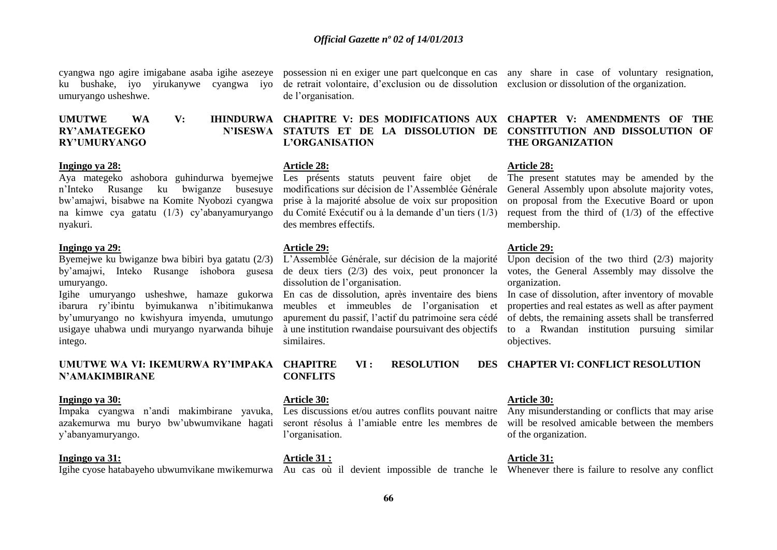cyangwa ngo agire imigabane asaba igihe asezeye possession ni en exiger une part quelconque en cas any share in case of voluntary resignation, ku bushake, iyo yirukanywe cyangwa iyo umuryango usheshwe.

### **RY'AMATEGEKO RY'UMURYANGO**

#### **Ingingo ya 28:**

Aya mategeko ashobora guhindurwa byemejwe Les présents statuts peuvent faire objet de n'Inteko Rusange ku bwiganze busesuye bw'amajwi, bisabwe na Komite Nyobozi cyangwa na kimwe cya gatatu (1/3) cy'abanyamuryango nyakuri.

#### **Ingingo ya 29:**

Byemejwe ku bwiganze bwa bibiri bya gatatu (2/3) by'amajwi, Inteko Rusange ishobora gusesa umuryango.

Igihe umuryango usheshwe, hamaze gukorwa En cas de dissolution, après inventaire des biens ibarura ry'ibintu byimukanwa n'ibitimukanwa by'umuryango no kwishyura imyenda, umutungo usigaye uhabwa undi muryango nyarwanda bihuje intego.

#### **UMUTWE WA VI: IKEMURWA RY'IMPAKA N'AMAKIMBIRANE**

#### **Ingingo ya 30:**

Impaka cyangwa n'andi makimbirane yavuka, azakemurwa mu buryo bw'ubwumvikane hagati y'abanyamuryango.

#### **Ingingo ya 31:**

Igihe cyose hatabayeho ubwumvikane mwikemurwa Au cas où il devient impossible de tranche le Whenever there is failure to resolve any conflict

de retrait volontaire, d'exclusion ou de dissolution exclusion or dissolution of the organization. de l'organisation.

**UMUTWE WA V: IHINDURWA CHAPITRE V: DES MODIFICATIONS AUX CHAPTER V: AMENDMENTS OF THE STATUTS ET DE LA DISSOLUTION DE L'ORGANISATION**

#### **Article 28:**

modifications sur décision de l'Assemblée Générale prise à la majorité absolue de voix sur proposition du Comité Exécutif ou à la demande d'un tiers (1/3) des membres effectifs.

#### **Article 29:**

L'Assemblée Générale, sur décision de la majorité de deux tiers (2/3) des voix, peut prononcer la dissolution de l'organisation.

meubles et immeubles de l'organisation et apurement du passif, l'actif du patrimoine sera cédé à une institution rwandaise poursuivant des objectifs similaires.

 $VI:$  **RESOLUTION CONFLITS**

#### **Article 30:**

seront résolus à l'amiable entre les membres de l'organisation.

**Article 31 :** 

### **CONSTITUTION AND DISSOLUTION OF THE ORGANIZATION**

#### **Article 28:**

The present statutes may be amended by the General Assembly upon absolute majority votes, on proposal from the Executive Board or upon request from the third of (1/3) of the effective membership.

#### **Article 29:**

Upon decision of the two third  $(2/3)$  majority votes, the General Assembly may dissolve the organization.

In case of dissolution, after inventory of movable properties and real estates as well as after payment of debts, the remaining assets shall be transferred to a Rwandan institution pursuing similar objectives.

**CHAPTER VI: CONFLICT RESOLUTION**

#### **Article 30:**

Les discussions et/ou autres conflits pouvant naitre Any misunderstanding or conflicts that may arise will be resolved amicable between the members of the organization.

**Article 31:**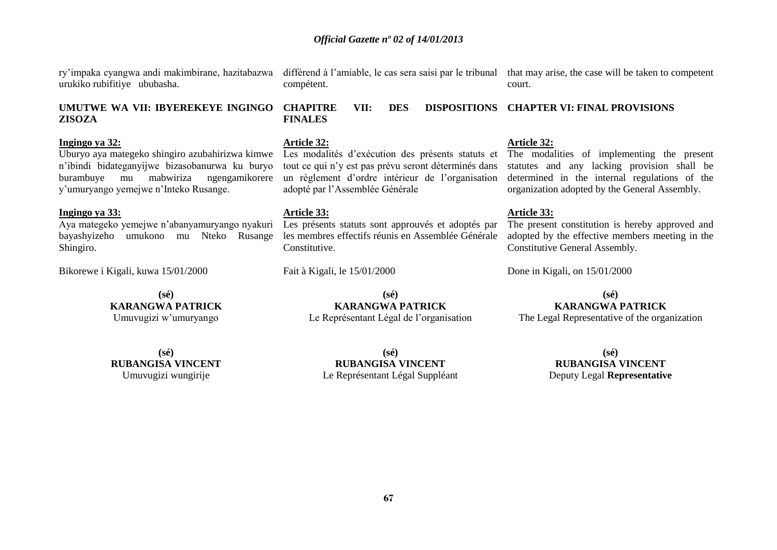**67**

#### *Official Gazette nº 02 of 14/01/2013*

ry'impaka cyangwa andi makimbirane, hazitabazwa urukiko rubifitiye ububasha.

#### **UMUTWE WA VII: IBYEREKEYE INGINGO ZISOZA**

#### **Ingingo ya 32:**

Uburyo aya mategeko shingiro azubahirizwa kimwe n'ibindi bidateganyijwe bizasobanurwa ku buryo burambuye mu mabwiriza ngengamikorere y'umuryango yemejwe n'Inteko Rusange.

#### **Ingingo ya 33:**

Aya mategeko yemejwe n'abanyamuryango nyakuri bayashyizeho umukono mu Nteko Rusange Shingiro.

Bikorewe i Kigali, kuwa 15/01/2000

**(sé) KARANGWA PATRICK** Umuvugizi w'umuryango

**(sé) RUBANGISA VINCENT** Umuvugizi wungirije

différend à l'amiable, le cas sera saisi par le tribunal that may arise, the case will be taken to competent compétent.

court.

#### **CHAPITRE VII: DES DISPOSITIONS CHAPTER VI: FINAL PROVISIONS FINALES**

#### **Article 32:**

Les modalités d'exécution des présents statuts et tout ce qui n'y est pas prévu seront déterminés dans un règlement d'ordre intérieur de l'organisation adopté par l'Assemblée Générale

#### **Article 33:**

Les présents statuts sont approuvés et adoptés par les membres effectifs réunis en Assemblée Générale **Constitutive** 

> **(sé) KARANGWA PATRICK** Le Représentant Légal de l'organisation

Fait à Kigali, le 15/01/2000

#### **Article 32:**

The modalities of implementing the present statutes and any lacking provision shall be determined in the internal regulations of the organization adopted by the General Assembly.

#### **Article 33:**

The present constitution is hereby approved and adopted by the effective members meeting in the Constitutive General Assembly.

Done in Kigali, on 15/01/2000

#### **(sé) KARANGWA PATRICK**

The Legal Representative of the organization

**(sé) RUBANGISA VINCENT** Le Représentant Légal Suppléant

**(sé) RUBANGISA VINCENT** Deputy Legal **Representative**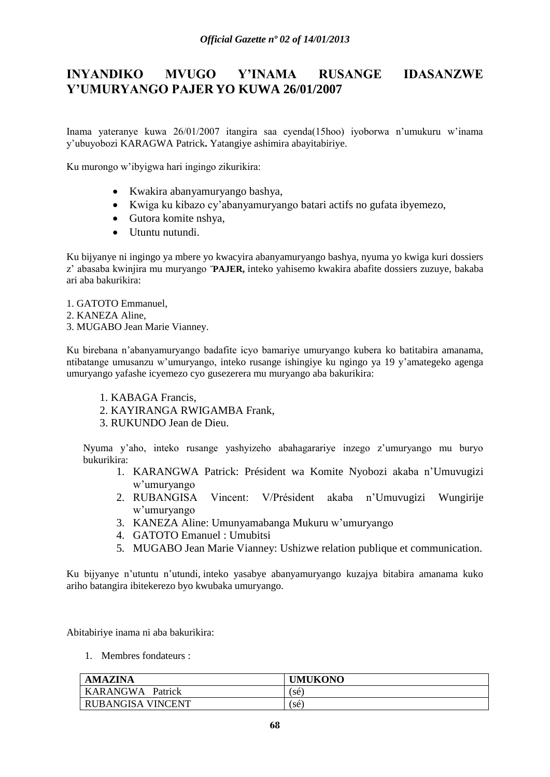### **INYANDIKO MVUGO Y'INAMA RUSANGE IDASANZWE Y'UMURYANGO PAJER YO KUWA 26/01/2007**

Inama yateranye kuwa 26/01/2007 itangira saa cyenda(15hoo) iyoborwa n'umukuru w'inama y'ubuyobozi KARAGWA Patrick**.** Yatangiye ashimira abayitabiriye.

Ku murongo w'ibyigwa hari ingingo zikurikira:

- Kwakira abanyamuryango bashya,
- Kwiga ku kibazo cy'abanyamuryango batari actifs no gufata ibyemezo,
- Gutora komite nshya,
- Utuntu nutundi.

Ku bijyanye ni ingingo ya mbere yo kwacyira abanyamuryango bashya, nyuma yo kwiga kuri dossiers z' abasaba kwinjira mu muryango **˝PAJER,** inteko yahisemo kwakira abafite dossiers zuzuye, bakaba ari aba bakurikira:

- 1. GATOTO Emmanuel,
- 2. KANEZA Aline,
- 3. MUGABO Jean Marie Vianney.

Ku birebana n'abanyamuryango badafite icyo bamariye umuryango kubera ko batitabira amanama, ntibatange umusanzu w'umuryango, inteko rusange ishingiye ku ngingo ya 19 y'amategeko agenga umuryango yafashe icyemezo cyo gusezerera mu muryango aba bakurikira:

- 1. KABAGA Francis,
- 2. KAYIRANGA RWIGAMBA Frank,
- 3. RUKUNDO Jean de Dieu.

Nyuma y'aho, inteko rusange yashyizeho abahagarariye inzego z'umuryango mu buryo bukurikira:

- 1. KARANGWA Patrick: Président wa Komite Nyobozi akaba n'Umuvugizi w'umuryango
- 2. RUBANGISA Vincent: V/Président akaba n'Umuvugizi Wungirije w'umuryango
- 3. KANEZA Aline: Umunyamabanga Mukuru w'umuryango
- 4. GATOTO Emanuel : Umubitsi
- 5. MUGABO Jean Marie Vianney: Ushizwe relation publique et communication.

Ku bijyanye n'utuntu n'utundi, inteko yasabye abanyamuryango kuzajya bitabira amanama kuko ariho batangira ibitekerezo byo kwubaka umuryango.

Abitabiriye inama ni aba bakurikira:

1. Membres fondateurs :

| <b>AMAZINA</b>      | <b>UMUKONO</b> |
|---------------------|----------------|
| KARANGWA<br>Patrick | (sé`           |
| RUBANGISA VINCENT   | sé.            |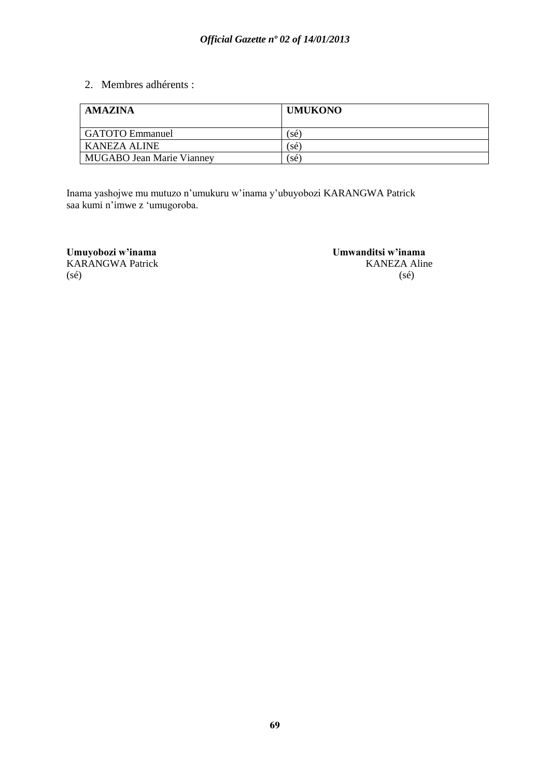2. Membres adhérents :

| <b>AMAZINA</b>                   | <b>UMUKONO</b> |
|----------------------------------|----------------|
| <b>GATOTO</b> Emmanuel           | sé             |
| KANEZA ALINE                     | sé.            |
| <b>MUGABO Jean Marie Vianney</b> | sé.            |

Inama yashojwe mu mutuzo n'umukuru w'inama y'ubuyobozi KARANGWA Patrick saa kumi n'imwe z 'umugoroba.

KARANGWA Patrick  $(s\acute{e})$  (sé)

**Umuyobozi w'inama Umwanditsi w'inama**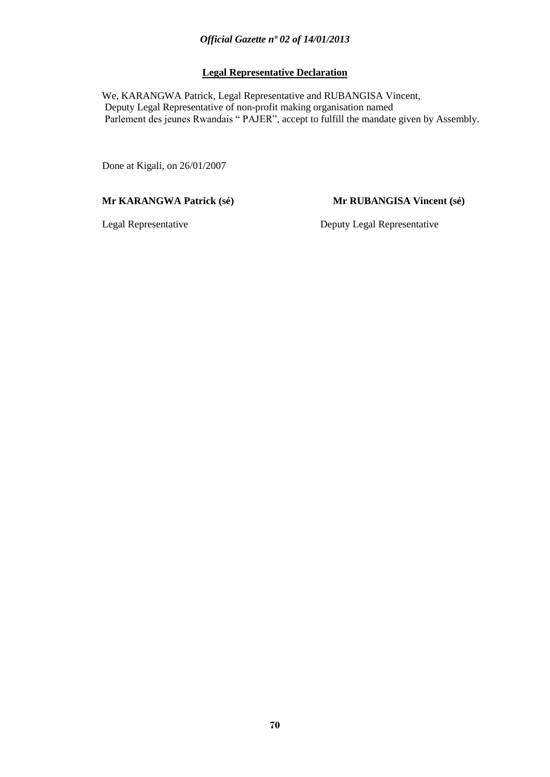### **Legal Representative Declaration**

 We, KARANGWA Patrick, Legal Representative and RUBANGISA Vincent, Deputy Legal Representative of non-profit making organisation named Parlement des jeunes Rwandais " PAJER", accept to fulfill the mandate given by Assembly.

Done at Kigali, on 26/01/2007

#### **Mr KARANGWA Patrick (sé) Mr RUBANGISA Vincent (sé)**

Legal Representative Deputy Legal Representative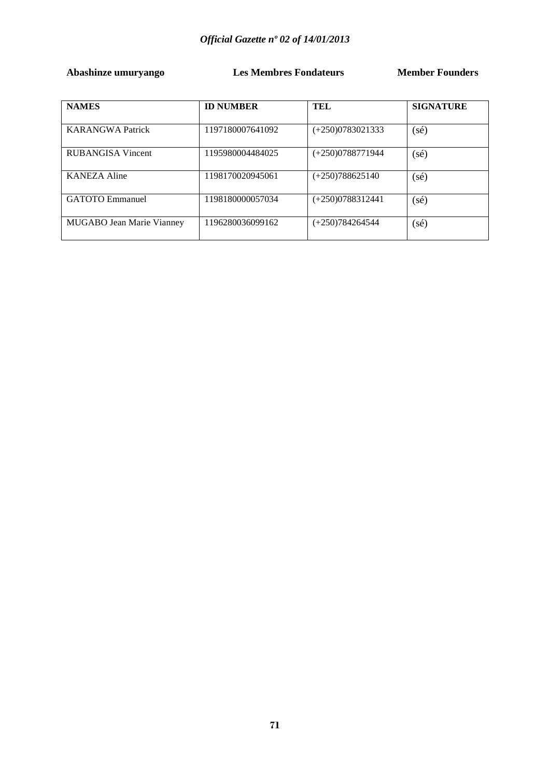**Abashinze umuryango Les Membres Fondateurs Member Founders** 

| <b>NAMES</b>                     | <b>ID NUMBER</b> | TEL                | <b>SIGNATURE</b> |
|----------------------------------|------------------|--------------------|------------------|
|                                  |                  |                    |                  |
| <b>KARANGWA Patrick</b>          | 1197180007641092 | $(+250)0783021333$ | $(s\acute{e})$   |
| RUBANGISA Vincent                | 1195980004484025 | $(+250)0788771944$ | $(s\acute{e})$   |
| KANEZA Aline                     | 1198170020945061 | $(+250)788625140$  | $(s\acute{e})$   |
| <b>GATOTO</b> Emmanuel           | 1198180000057034 | $(+250)0788312441$ | $(s\acute{e})$   |
| <b>MUGABO Jean Marie Vianney</b> | 1196280036099162 | $(+250)784264544$  | $(s\acute{e})$   |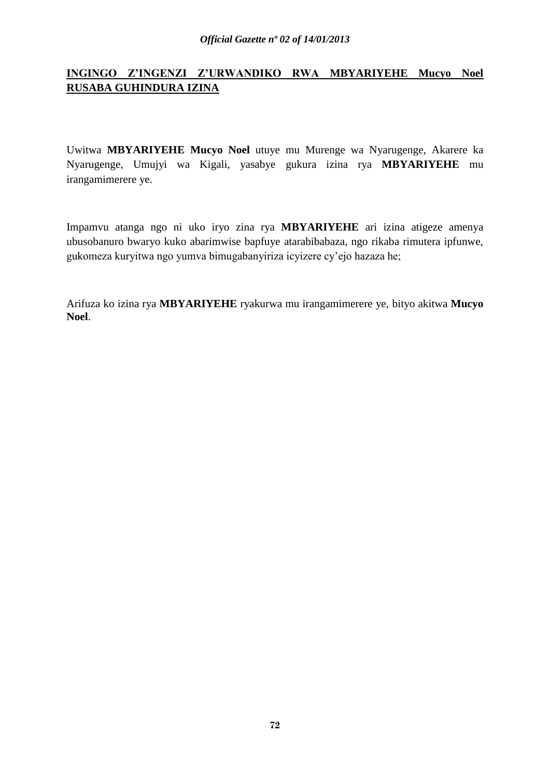### **INGINGO Z'INGENZI Z'URWANDIKO RWA MBYARIYEHE Mucyo Noel RUSABA GUHINDURA IZINA**

Uwitwa **MBYARIYEHE Mucyo Noel** utuye mu Murenge wa Nyarugenge, Akarere ka Nyarugenge, Umujyi wa Kigali, yasabye gukura izina rya **MBYARIYEHE** mu irangamimerere ye.

Impamvu atanga ngo ni uko iryo zina rya **MBYARIYEHE** ari izina atigeze amenya ubusobanuro bwaryo kuko abarimwise bapfuye atarabibabaza, ngo rikaba rimutera ipfunwe, gukomeza kuryitwa ngo yumva bimugabanyiriza icyizere cy'ejo hazaza he;

Arifuza ko izina rya **MBYARIYEHE** ryakurwa mu irangamimerere ye, bityo akitwa **Mucyo Noel**.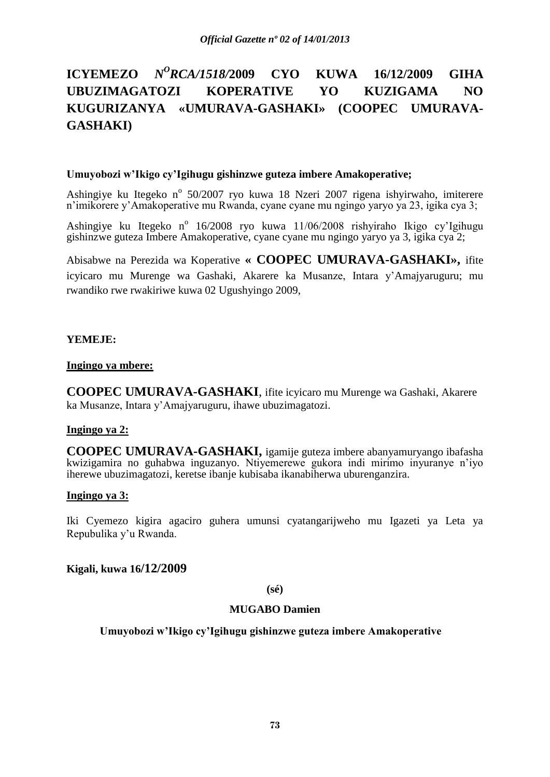# **ICYEMEZO** *<sup>O</sup>RCA/1518/***2009 CYO KUWA 16/12/2009 GIHA UBUZIMAGATOZI KOPERATIVE YO KUZIGAMA NO KUGURIZANYA «UMURAVA-GASHAKI» (COOPEC UMURAVA-GASHAKI)**

#### **Umuyobozi w'Ikigo cy'Igihugu gishinzwe guteza imbere Amakoperative;**

Ashingiye ku Itegeko nº 50/2007 ryo kuwa 18 Nzeri 2007 rigena ishyirwaho, imiterere n'imikorere y'Amakoperative mu Rwanda, cyane cyane mu ngingo yaryo ya 23, igika cya 3;

Ashingiye ku Itegeko nº 16/2008 ryo kuwa 11/06/2008 rishyiraho Ikigo cy'Igihugu gishinzwe guteza Imbere Amakoperative, cyane cyane mu ngingo yaryo ya 3, igika cya 2;

Abisabwe na Perezida wa Koperative **« COOPEC UMURAVA-GASHAKI»,** ifite icyicaro mu Murenge wa Gashaki, Akarere ka Musanze, Intara y'Amajyaruguru; mu rwandiko rwe rwakiriwe kuwa 02 Ugushyingo 2009,

# **YEMEJE:**

#### **Ingingo ya mbere:**

**COOPEC UMURAVA-GASHAKI**, ifite icyicaro mu Murenge wa Gashaki, Akarere ka Musanze, Intara y'Amajyaruguru, ihawe ubuzimagatozi.

# **Ingingo ya 2:**

**COOPEC UMURAVA-GASHAKI,** igamije guteza imbere abanyamuryango ibafasha kwizigamira no guhabwa inguzanyo. Ntiyemerewe gukora indi mirimo inyuranye n'iyo iherewe ubuzimagatozi, keretse ibanje kubisaba ikanabiherwa uburenganzira.

#### **Ingingo ya 3:**

Iki Cyemezo kigira agaciro guhera umunsi cyatangarijweho mu Igazeti ya Leta ya Repubulika y'u Rwanda.

**Kigali, kuwa 16/12/2009**

**(sé)**

#### **MUGABO Damien**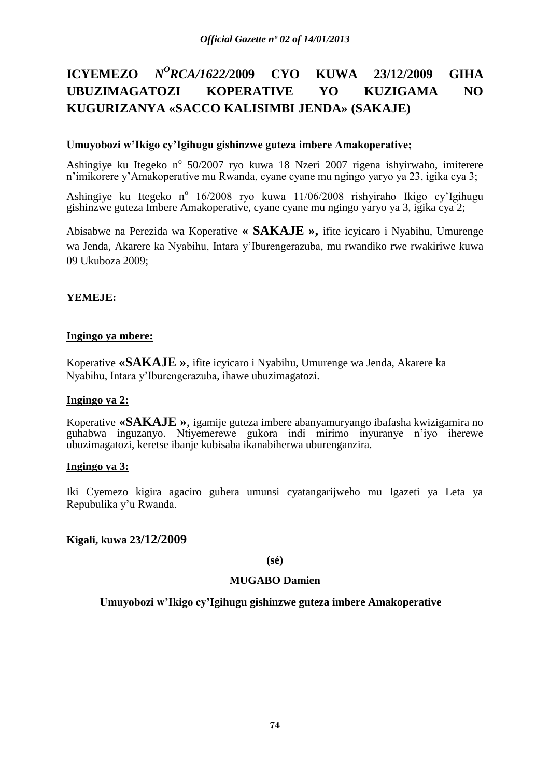# **ICYEMEZO** *<sup>O</sup>RCA/1622/***2009 CYO KUWA 23/12/2009 GIHA UBUZIMAGATOZI KOPERATIVE YO KUZIGAMA NO KUGURIZANYA «SACCO KALISIMBI JENDA» (SAKAJE)**

# **Umuyobozi w'Ikigo cy'Igihugu gishinzwe guteza imbere Amakoperative;**

Ashingiye ku Itegeko nº 50/2007 ryo kuwa 18 Nzeri 2007 rigena ishyirwaho, imiterere n'imikorere y'Amakoperative mu Rwanda, cyane cyane mu ngingo yaryo ya 23, igika cya 3;

Ashingiye ku Itegeko nº 16/2008 ryo kuwa 11/06/2008 rishyiraho Ikigo cy'Igihugu gishinzwe guteza Imbere Amakoperative, cyane cyane mu ngingo yaryo ya 3, igika cya 2;

Abisabwe na Perezida wa Koperative **« SAKAJE »,** ifite icyicaro i Nyabihu, Umurenge wa Jenda, Akarere ka Nyabihu, Intara y'Iburengerazuba, mu rwandiko rwe rwakiriwe kuwa 09 Ukuboza 2009;

# **YEMEJE:**

# **Ingingo ya mbere:**

Koperative **«SAKAJE »**, ifite icyicaro i Nyabihu, Umurenge wa Jenda, Akarere ka Nyabihu, Intara y'Iburengerazuba, ihawe ubuzimagatozi.

# **Ingingo ya 2:**

Koperative **«SAKAJE »**, igamije guteza imbere abanyamuryango ibafasha kwizigamira no guhabwa inguzanyo. Ntiyemerewe gukora indi mirimo inyuranye n'iyo iherewe ubuzimagatozi, keretse ibanje kubisaba ikanabiherwa uburenganzira.

# **Ingingo ya 3:**

Iki Cyemezo kigira agaciro guhera umunsi cyatangarijweho mu Igazeti ya Leta ya Repubulika y'u Rwanda.

# **Kigali, kuwa 23/12/2009**

**(sé)**

# **MUGABO Damien**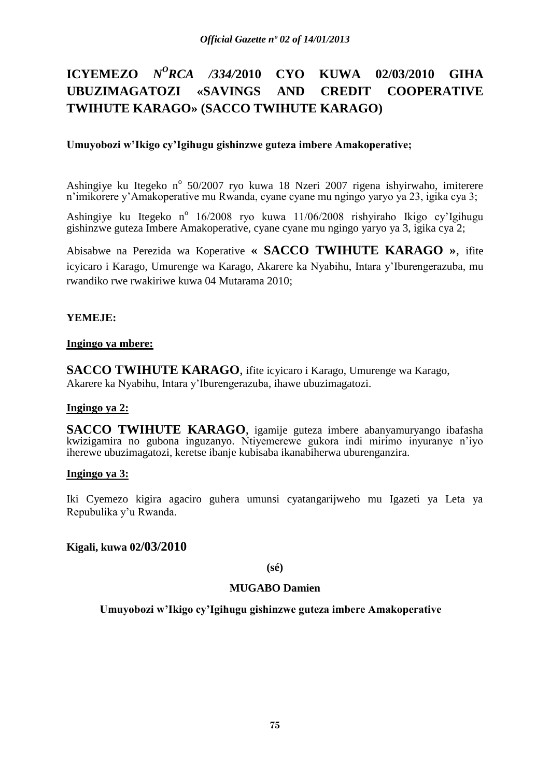# **ICYEMEZO** *N <sup>O</sup>RCA /334/***2010 CYO KUWA 02/03/2010 GIHA UBUZIMAGATOZI «SAVINGS AND CREDIT COOPERATIVE TWIHUTE KARAGO» (SACCO TWIHUTE KARAGO)**

# **Umuyobozi w'Ikigo cy'Igihugu gishinzwe guteza imbere Amakoperative;**

Ashingiye ku Itegeko nº 50/2007 ryo kuwa 18 Nzeri 2007 rigena ishyirwaho, imiterere n'imikorere y'Amakoperative mu Rwanda, cyane cyane mu ngingo yaryo ya 23, igika cya 3;

Ashingiye ku Itegeko nº 16/2008 ryo kuwa 11/06/2008 rishyiraho Ikigo cy'Igihugu gishinzwe guteza Imbere Amakoperative, cyane cyane mu ngingo yaryo ya 3, igika cya 2;

Abisabwe na Perezida wa Koperative **« SACCO TWIHUTE KARAGO »**, ifite icyicaro i Karago, Umurenge wa Karago, Akarere ka Nyabihu, Intara y'Iburengerazuba, mu rwandiko rwe rwakiriwe kuwa 04 Mutarama 2010;

# **YEMEJE:**

# **Ingingo ya mbere:**

**SACCO TWIHUTE KARAGO**, ifite icyicaro i Karago, Umurenge wa Karago, Akarere ka Nyabihu, Intara y'Iburengerazuba, ihawe ubuzimagatozi.

# **Ingingo ya 2:**

**SACCO TWIHUTE KARAGO**, igamije guteza imbere abanyamuryango ibafasha kwizigamira no gubona inguzanyo. Ntiyemerewe gukora indi mirimo inyuranye n'iyo iherewe ubuzimagatozi, keretse ibanje kubisaba ikanabiherwa uburenganzira.

# **Ingingo ya 3:**

Iki Cyemezo kigira agaciro guhera umunsi cyatangarijweho mu Igazeti ya Leta ya Repubulika y'u Rwanda.

# **Kigali, kuwa 02/03/2010**

**(sé)**

# **MUGABO Damien**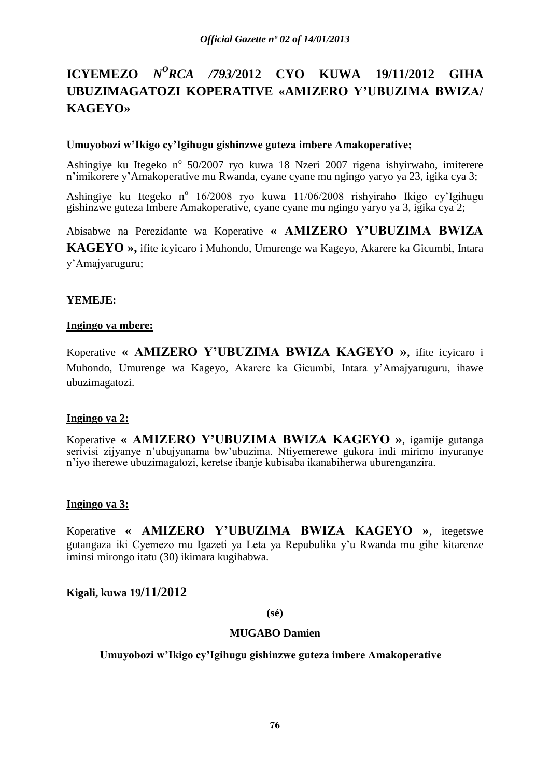# **ICYEMEZO** *N<sup>O</sup>RCA /793/2012* **CYO KUWA 19/11/2012 GIHA UBUZIMAGATOZI KOPERATIVE «AMIZERO Y'UBUZIMA BWIZA/ KAGEYO»**

# **Umuyobozi w'Ikigo cy'Igihugu gishinzwe guteza imbere Amakoperative;**

Ashingiye ku Itegeko nº 50/2007 ryo kuwa 18 Nzeri 2007 rigena ishyirwaho, imiterere n'imikorere y'Amakoperative mu Rwanda, cyane cyane mu ngingo yaryo ya 23, igika cya 3;

Ashingiye ku Itegeko nº 16/2008 ryo kuwa 11/06/2008 rishyiraho Ikigo cy'Igihugu gishinzwe guteza Imbere Amakoperative, cyane cyane mu ngingo yaryo ya 3, igika cya 2;

Abisabwe na Perezidante wa Koperative **« AMIZERO Y'UBUZIMA BWIZA** 

**KAGEYO »,** ifite icyicaro i Muhondo, Umurenge wa Kageyo, Akarere ka Gicumbi, Intara y'Amajyaruguru;

# **YEMEJE:**

#### **Ingingo ya mbere:**

Koperative **« AMIZERO Y'UBUZIMA BWIZA KAGEYO »**, ifite icyicaro i Muhondo, Umurenge wa Kageyo, Akarere ka Gicumbi, Intara y'Amajyaruguru, ihawe ubuzimagatozi.

# **Ingingo ya 2:**

Koperative **« AMIZERO Y'UBUZIMA BWIZA KAGEYO »**, igamije gutanga serivisi zijyanye n'ubujyanama bw'ubuzima. Ntiyemerewe gukora indi mirimo inyuranye n'iyo iherewe ubuzimagatozi, keretse ibanje kubisaba ikanabiherwa uburenganzira.

# **Ingingo ya 3:**

Koperative **« AMIZERO Y'UBUZIMA BWIZA KAGEYO »**, itegetswe gutangaza iki Cyemezo mu Igazeti ya Leta ya Repubulika y'u Rwanda mu gihe kitarenze iminsi mirongo itatu (30) ikimara kugihabwa.

# **Kigali, kuwa 19/11/2012**

# **(sé)**

#### **MUGABO Damien**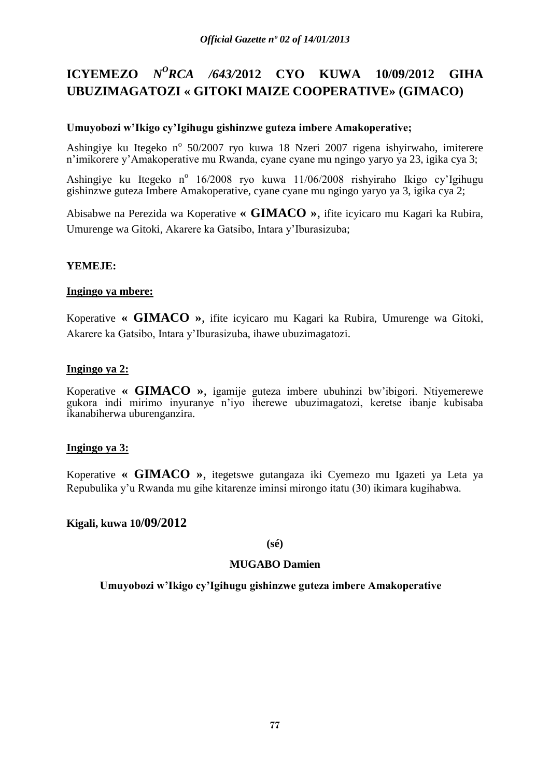# **ICYEMEZO** *N<sup>O</sup>RCA /643/2012* **CYO KUWA 10/09/2012 GIHA UBUZIMAGATOZI « GITOKI MAIZE COOPERATIVE» (GIMACO)**

# **Umuyobozi w'Ikigo cy'Igihugu gishinzwe guteza imbere Amakoperative;**

Ashingiye ku Itegeko nº 50/2007 ryo kuwa 18 Nzeri 2007 rigena ishyirwaho, imiterere n'imikorere y'Amakoperative mu Rwanda, cyane cyane mu ngingo yaryo ya 23, igika cya 3;

Ashingiye ku Itegeko n<sup>o</sup> 16/2008 ryo kuwa 11/06/2008 rishyiraho Ikigo cy'Igihugu gishinzwe guteza Imbere Amakoperative, cyane cyane mu ngingo yaryo ya 3, igika cya 2;

Abisabwe na Perezida wa Koperative **« GIMACO »**, ifite icyicaro mu Kagari ka Rubira, Umurenge wa Gitoki, Akarere ka Gatsibo, Intara y'Iburasizuba;

# **YEMEJE:**

# **Ingingo ya mbere:**

Koperative **« GIMACO »**, ifite icyicaro mu Kagari ka Rubira, Umurenge wa Gitoki, Akarere ka Gatsibo, Intara y'Iburasizuba, ihawe ubuzimagatozi.

# **Ingingo ya 2:**

Koperative **« GIMACO »**, igamije guteza imbere ubuhinzi bw'ibigori. Ntiyemerewe gukora indi mirimo inyuranye n'iyo iherewe ubuzimagatozi, keretse ibanje kubisaba ikanabiherwa uburenganzira.

# **Ingingo ya 3:**

Koperative **« GIMACO »**, itegetswe gutangaza iki Cyemezo mu Igazeti ya Leta ya Repubulika y'u Rwanda mu gihe kitarenze iminsi mirongo itatu (30) ikimara kugihabwa.

# **Kigali, kuwa 10/09/2012**

#### **(sé)**

# **MUGABO Damien**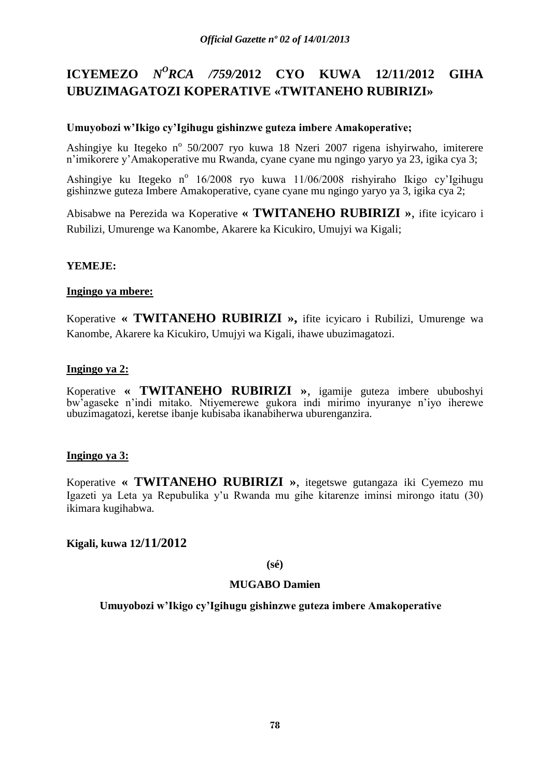# **ICYEMEZO** *N<sup>O</sup>RCA /759/2012* **CYO KUWA 12/11/2012 GIHA UBUZIMAGATOZI KOPERATIVE «TWITANEHO RUBIRIZI»**

# **Umuyobozi w'Ikigo cy'Igihugu gishinzwe guteza imbere Amakoperative;**

Ashingiye ku Itegeko nº 50/2007 ryo kuwa 18 Nzeri 2007 rigena ishyirwaho, imiterere n'imikorere y'Amakoperative mu Rwanda, cyane cyane mu ngingo yaryo ya 23, igika cya 3;

Ashingiye ku Itegeko n<sup>o</sup> 16/2008 ryo kuwa 11/06/2008 rishyiraho Ikigo cy'Igihugu gishinzwe guteza Imbere Amakoperative, cyane cyane mu ngingo yaryo ya 3, igika cya 2;

Abisabwe na Perezida wa Koperative **« TWITANEHO RUBIRIZI »**, ifite icyicaro i Rubilizi, Umurenge wa Kanombe, Akarere ka Kicukiro, Umujyi wa Kigali;

# **YEMEJE:**

# **Ingingo ya mbere:**

Koperative **« TWITANEHO RUBIRIZI »,** ifite icyicaro i Rubilizi, Umurenge wa Kanombe, Akarere ka Kicukiro, Umujyi wa Kigali, ihawe ubuzimagatozi.

# **Ingingo ya 2:**

Koperative **« TWITANEHO RUBIRIZI »**, igamije guteza imbere ububoshyi bw'agaseke n'indi mitako. Ntiyemerewe gukora indi mirimo inyuranye n'iyo iherewe ubuzimagatozi, keretse ibanje kubisaba ikanabiherwa uburenganzira.

# **Ingingo ya 3:**

Koperative **« TWITANEHO RUBIRIZI »**, itegetswe gutangaza iki Cyemezo mu Igazeti ya Leta ya Repubulika y'u Rwanda mu gihe kitarenze iminsi mirongo itatu (30) ikimara kugihabwa.

# **Kigali, kuwa 12/11/2012**

**(sé)**

# **MUGABO Damien**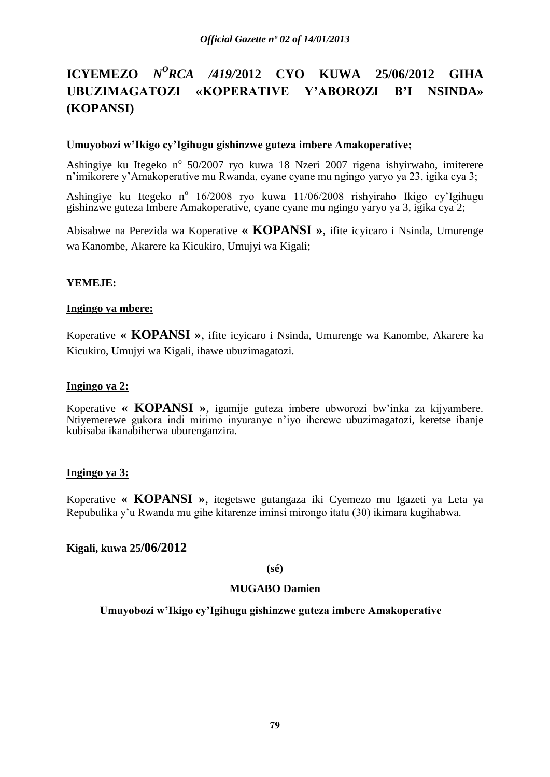# **ICYEMEZO** *N<sup>O</sup>RCA /419/2012* **CYO KUWA 25/06/2012 GIHA UBUZIMAGATOZI «KOPERATIVE Y'ABOROZI B'I NSINDA» (KOPANSI)**

#### **Umuyobozi w'Ikigo cy'Igihugu gishinzwe guteza imbere Amakoperative;**

Ashingiye ku Itegeko nº 50/2007 ryo kuwa 18 Nzeri 2007 rigena ishyirwaho, imiterere n'imikorere y'Amakoperative mu Rwanda, cyane cyane mu ngingo yaryo ya 23, igika cya 3;

Ashingiye ku Itegeko nº 16/2008 ryo kuwa 11/06/2008 rishyiraho Ikigo cy'Igihugu gishinzwe guteza Imbere Amakoperative, cyane cyane mu ngingo yaryo ya 3, igika cya 2;

Abisabwe na Perezida wa Koperative **« KOPANSI »**, ifite icyicaro i Nsinda, Umurenge wa Kanombe, Akarere ka Kicukiro, Umujyi wa Kigali;

#### **YEMEJE:**

#### **Ingingo ya mbere:**

Koperative **« KOPANSI »**, ifite icyicaro i Nsinda, Umurenge wa Kanombe, Akarere ka Kicukiro, Umujyi wa Kigali, ihawe ubuzimagatozi.

#### **Ingingo ya 2:**

Koperative **« KOPANSI »**, igamije guteza imbere ubworozi bw'inka za kijyambere. Ntiyemerewe gukora indi mirimo inyuranye n'iyo iherewe ubuzimagatozi, keretse ibanje kubisaba ikanabiherwa uburenganzira.

#### **Ingingo ya 3:**

Koperative **« KOPANSI »**, itegetswe gutangaza iki Cyemezo mu Igazeti ya Leta ya Repubulika y'u Rwanda mu gihe kitarenze iminsi mirongo itatu (30) ikimara kugihabwa.

# **Kigali, kuwa 25/06/2012**

#### **(sé)**

#### **MUGABO Damien**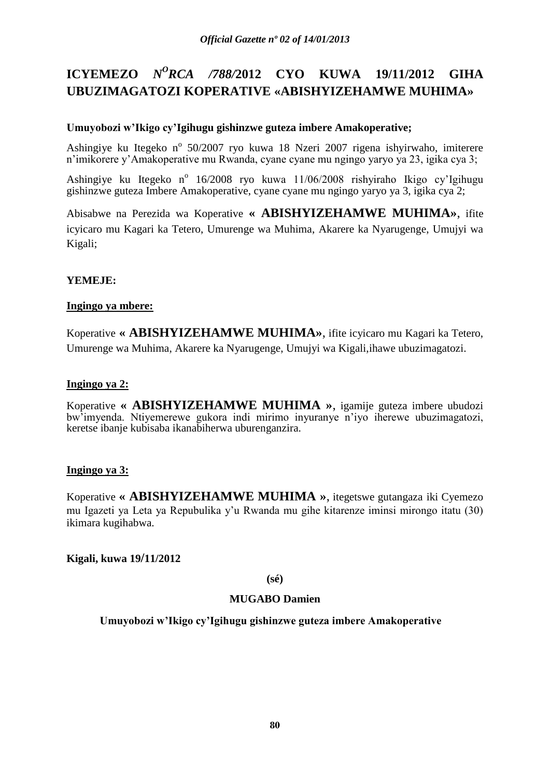# **ICYEMEZO** *N<sup>O</sup>RCA /788/2012* **CYO KUWA 19/11/2012 GIHA UBUZIMAGATOZI KOPERATIVE «ABISHYIZEHAMWE MUHIMA»**

# **Umuyobozi w'Ikigo cy'Igihugu gishinzwe guteza imbere Amakoperative;**

Ashingiye ku Itegeko nº 50/2007 ryo kuwa 18 Nzeri 2007 rigena ishyirwaho, imiterere n'imikorere y'Amakoperative mu Rwanda, cyane cyane mu ngingo yaryo ya 23, igika cya 3;

Ashingiye ku Itegeko n<sup>o</sup> 16/2008 ryo kuwa 11/06/2008 rishyiraho Ikigo cy'Igihugu gishinzwe guteza Imbere Amakoperative, cyane cyane mu ngingo yaryo ya 3, igika cya 2;

Abisabwe na Perezida wa Koperative **« ABISHYIZEHAMWE MUHIMA»**, ifite icyicaro mu Kagari ka Tetero, Umurenge wa Muhima, Akarere ka Nyarugenge, Umujyi wa Kigali;

# **YEMEJE:**

# **Ingingo ya mbere:**

Koperative **« ABISHYIZEHAMWE MUHIMA»**, ifite icyicaro mu Kagari ka Tetero, Umurenge wa Muhima, Akarere ka Nyarugenge, Umujyi wa Kigali,ihawe ubuzimagatozi.

# **Ingingo ya 2:**

Koperative **« ABISHYIZEHAMWE MUHIMA »**, igamije guteza imbere ubudozi bw'imyenda. Ntiyemerewe gukora indi mirimo inyuranye n'iyo iherewe ubuzimagatozi, keretse ibanje kubisaba ikanabiherwa uburenganzira.

# **Ingingo ya 3:**

Koperative **« ABISHYIZEHAMWE MUHIMA »**, itegetswe gutangaza iki Cyemezo mu Igazeti ya Leta ya Repubulika y'u Rwanda mu gihe kitarenze iminsi mirongo itatu (30) ikimara kugihabwa.

# **Kigali, kuwa 19/11/2012**

# **(sé)**

# **MUGABO Damien**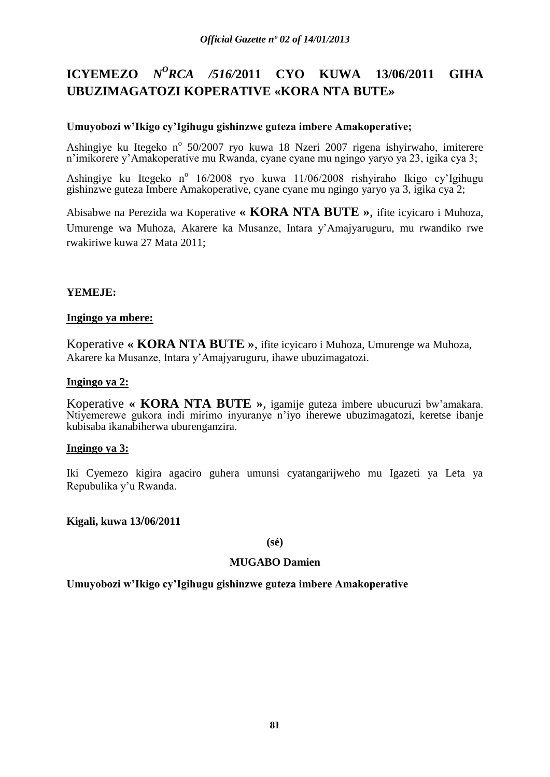# **ICYEMEZO** *N<sup>O</sup>RCA /516/2011* **CYO KUWA 13/06/2011 GIHA UBUZIMAGATOZI KOPERATIVE «KORA NTA BUTE»**

# **Umuyobozi w'Ikigo cy'Igihugu gishinzwe guteza imbere Amakoperative;**

Ashingiye ku Itegeko nº 50/2007 ryo kuwa 18 Nzeri 2007 rigena ishyirwaho, imiterere n'imikorere y'Amakoperative mu Rwanda, cyane cyane mu ngingo yaryo ya 23, igika cya 3;

Ashingiye ku Itegeko nº 16/2008 ryo kuwa 11/06/2008 rishyiraho Ikigo cy'Igihugu gishinzwe guteza Imbere Amakoperative, cyane cyane mu ngingo yaryo ya 3, igika cya 2;

Abisabwe na Perezida wa Koperative **« KORA NTA BUTE »**, ifite icyicaro i Muhoza, Umurenge wa Muhoza, Akarere ka Musanze, Intara y'Amajyaruguru, mu rwandiko rwe rwakiriwe kuwa 27 Mata 2011;

# **YEMEJE:**

# **Ingingo ya mbere:**

Koperative **« KORA NTA BUTE »**, ifite icyicaro i Muhoza, Umurenge wa Muhoza, Akarere ka Musanze, Intara y'Amajyaruguru, ihawe ubuzimagatozi.

# **Ingingo ya 2:**

Koperative **« KORA NTA BUTE »**, igamije guteza imbere ubucuruzi bw'amakara. Ntiyemerewe gukora indi mirimo inyuranye n'iyo iherewe ubuzimagatozi, keretse ibanje kubisaba ikanabiherwa uburenganzira.

#### **Ingingo ya 3:**

Iki Cyemezo kigira agaciro guhera umunsi cyatangarijweho mu Igazeti ya Leta ya Repubulika y'u Rwanda.

# **Kigali, kuwa 13/06/2011**

#### **(sé)**

# **MUGABO Damien**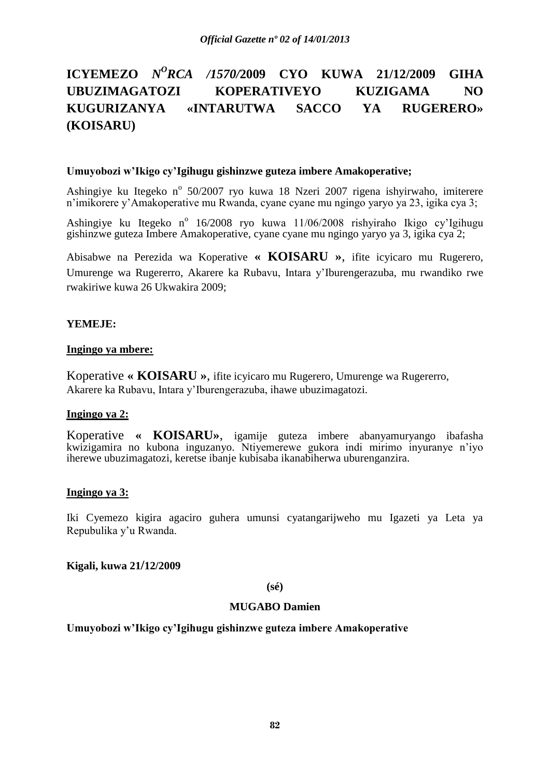# **ICYEMEZO** *N <sup>O</sup>RCA /1570/***2009 CYO KUWA 21/12/2009 GIHA UBUZIMAGATOZI KOPERATIVEYO KUZIGAMA NO KUGURIZANYA «INTARUTWA SACCO YA RUGERERO» (KOISARU)**

#### **Umuyobozi w'Ikigo cy'Igihugu gishinzwe guteza imbere Amakoperative;**

Ashingiye ku Itegeko nº 50/2007 ryo kuwa 18 Nzeri 2007 rigena ishyirwaho, imiterere n'imikorere y'Amakoperative mu Rwanda, cyane cyane mu ngingo yaryo ya 23, igika cya 3;

Ashingiye ku Itegeko nº 16/2008 ryo kuwa 11/06/2008 rishyiraho Ikigo cy'Igihugu gishinzwe guteza Imbere Amakoperative, cyane cyane mu ngingo yaryo ya 3, igika cya 2;

Abisabwe na Perezida wa Koperative **« KOISARU »**, ifite icyicaro mu Rugerero, Umurenge wa Rugererro, Akarere ka Rubavu, Intara y'Iburengerazuba, mu rwandiko rwe rwakiriwe kuwa 26 Ukwakira 2009;

# **YEMEJE:**

#### **Ingingo ya mbere:**

Koperative **« KOISARU »**, ifite icyicaro mu Rugerero, Umurenge wa Rugererro, Akarere ka Rubavu, Intara y'Iburengerazuba, ihawe ubuzimagatozi.

# **Ingingo ya 2:**

Koperative **« KOISARU»**, igamije guteza imbere abanyamuryango ibafasha kwizigamira no kubona inguzanyo. Ntiyemerewe gukora indi mirimo inyuranye n'iyo iherewe ubuzimagatozi, keretse ibanje kubisaba ikanabiherwa uburenganzira.

#### **Ingingo ya 3:**

Iki Cyemezo kigira agaciro guhera umunsi cyatangarijweho mu Igazeti ya Leta ya Repubulika y'u Rwanda.

# **Kigali, kuwa 21/12/2009**

**(sé)**

#### **MUGABO Damien**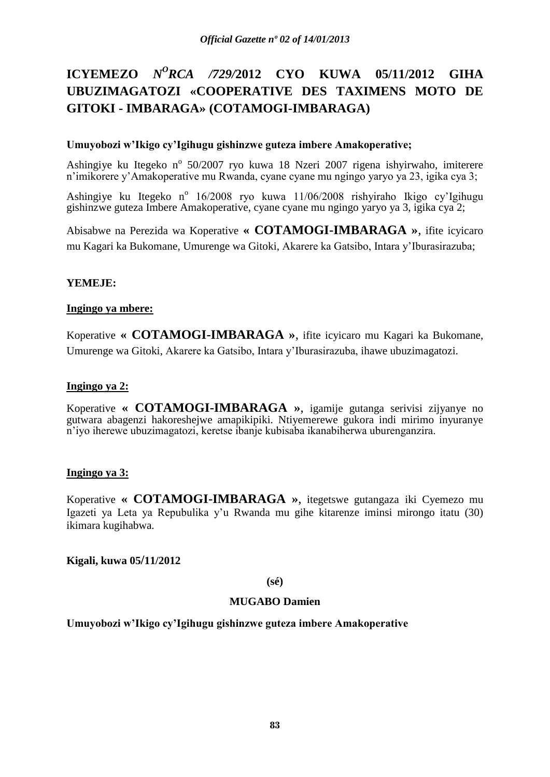# **ICYEMEZO** *N<sup>O</sup>RCA /729/2*012 **CYO KUWA 05/11/2012 GIHA UBUZIMAGATOZI «COOPERATIVE DES TAXIMENS MOTO DE GITOKI - IMBARAGA» (COTAMOGI-IMBARAGA)**

# **Umuyobozi w'Ikigo cy'Igihugu gishinzwe guteza imbere Amakoperative;**

Ashingiye ku Itegeko nº 50/2007 ryo kuwa 18 Nzeri 2007 rigena ishyirwaho, imiterere n'imikorere y'Amakoperative mu Rwanda, cyane cyane mu ngingo yaryo ya 23, igika cya 3;

Ashingiye ku Itegeko nº 16/2008 ryo kuwa 11/06/2008 rishyiraho Ikigo cy'Igihugu gishinzwe guteza Imbere Amakoperative, cyane cyane mu ngingo yaryo ya 3, igika cya 2;

Abisabwe na Perezida wa Koperative **« COTAMOGI-IMBARAGA »**, ifite icyicaro mu Kagari ka Bukomane, Umurenge wa Gitoki, Akarere ka Gatsibo, Intara y'Iburasirazuba;

# **YEMEJE:**

# **Ingingo ya mbere:**

Koperative **« COTAMOGI-IMBARAGA »**, ifite icyicaro mu Kagari ka Bukomane, Umurenge wa Gitoki, Akarere ka Gatsibo, Intara y'Iburasirazuba, ihawe ubuzimagatozi.

# **Ingingo ya 2:**

Koperative **« COTAMOGI-IMBARAGA »**, igamije gutanga serivisi zijyanye no gutwara abagenzi hakoreshejwe amapikipiki. Ntiyemerewe gukora indi mirimo inyuranye n'iyo iherewe ubuzimagatozi, keretse ibanje kubisaba ikanabiherwa uburenganzira.

# **Ingingo ya 3:**

Koperative **« COTAMOGI-IMBARAGA »**, itegetswe gutangaza iki Cyemezo mu Igazeti ya Leta ya Repubulika y'u Rwanda mu gihe kitarenze iminsi mirongo itatu (30) ikimara kugihabwa.

# **Kigali, kuwa 05/11/2012**

**(sé)**

# **MUGABO Damien**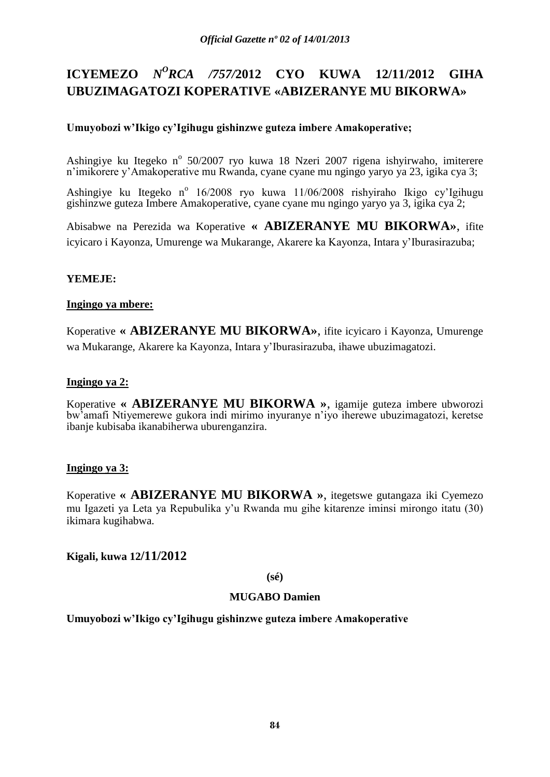# **ICYEMEZO** *N<sup>O</sup>RCA /757/2012* **CYO KUWA 12/11/2012 GIHA UBUZIMAGATOZI KOPERATIVE «ABIZERANYE MU BIKORWA»**

# **Umuyobozi w'Ikigo cy'Igihugu gishinzwe guteza imbere Amakoperative;**

Ashingiye ku Itegeko nº 50/2007 ryo kuwa 18 Nzeri 2007 rigena ishyirwaho, imiterere n'imikorere y'Amakoperative mu Rwanda, cyane cyane mu ngingo yaryo ya 23, igika cya 3;

Ashingiye ku Itegeko nº 16/2008 ryo kuwa 11/06/2008 rishyiraho Ikigo cy'Igihugu gishinzwe guteza Imbere Amakoperative, cyane cyane mu ngingo yaryo ya 3, igika cya 2;

Abisabwe na Perezida wa Koperative **« ABIZERANYE MU BIKORWA»**, ifite icyicaro i Kayonza, Umurenge wa Mukarange, Akarere ka Kayonza, Intara y'Iburasirazuba;

# **YEMEJE:**

# **Ingingo ya mbere:**

Koperative **« ABIZERANYE MU BIKORWA»**, ifite icyicaro i Kayonza, Umurenge wa Mukarange, Akarere ka Kayonza, Intara y'Iburasirazuba, ihawe ubuzimagatozi.

# **Ingingo ya 2:**

Koperative **« ABIZERANYE MU BIKORWA »**, igamije guteza imbere ubworozi bw'amafi Ntiyemerewe gukora indi mirimo inyuranye n'iyo iherewe ubuzimagatozi, keretse ibanje kubisaba ikanabiherwa uburenganzira.

# **Ingingo ya 3:**

Koperative **« ABIZERANYE MU BIKORWA »**, itegetswe gutangaza iki Cyemezo mu Igazeti ya Leta ya Repubulika y'u Rwanda mu gihe kitarenze iminsi mirongo itatu (30) ikimara kugihabwa.

# **Kigali, kuwa 12/11/2012**

#### **(sé)**

# **MUGABO Damien**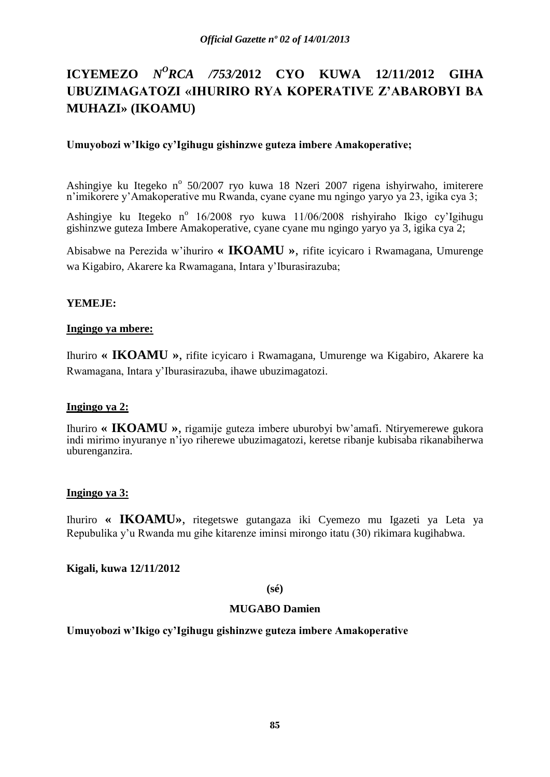# **ICYEMEZO** *N<sup>O</sup>RCA /753/2012* **CYO KUWA 12/11/2012 GIHA UBUZIMAGATOZI «IHURIRO RYA KOPERATIVE Z'ABAROBYI BA MUHAZI» (IKOAMU)**

# **Umuyobozi w'Ikigo cy'Igihugu gishinzwe guteza imbere Amakoperative;**

Ashingiye ku Itegeko nº 50/2007 ryo kuwa 18 Nzeri 2007 rigena ishyirwaho, imiterere n'imikorere y'Amakoperative mu Rwanda, cyane cyane mu ngingo yaryo ya 23, igika cya 3;

Ashingiye ku Itegeko nº 16/2008 ryo kuwa 11/06/2008 rishyiraho Ikigo cy'Igihugu gishinzwe guteza Imbere Amakoperative, cyane cyane mu ngingo yaryo ya 3, igika cya 2;

Abisabwe na Perezida w'ihuriro **« IKOAMU »**, rifite icyicaro i Rwamagana, Umurenge wa Kigabiro, Akarere ka Rwamagana, Intara y'Iburasirazuba;

# **YEMEJE:**

# **Ingingo ya mbere:**

Ihuriro **« IKOAMU »**, rifite icyicaro i Rwamagana, Umurenge wa Kigabiro, Akarere ka Rwamagana, Intara y'Iburasirazuba, ihawe ubuzimagatozi.

# **Ingingo ya 2:**

Ihuriro **« IKOAMU »**, rigamije guteza imbere uburobyi bw'amafi. Ntiryemerewe gukora indi mirimo inyuranye n'iyo riherewe ubuzimagatozi, keretse ribanje kubisaba rikanabiherwa uburenganzira.

# **Ingingo ya 3:**

Ihuriro **« IKOAMU»**, ritegetswe gutangaza iki Cyemezo mu Igazeti ya Leta ya Repubulika y'u Rwanda mu gihe kitarenze iminsi mirongo itatu (30) rikimara kugihabwa.

# **Kigali, kuwa 12/11/2012**

# **(sé)**

# **MUGABO Damien**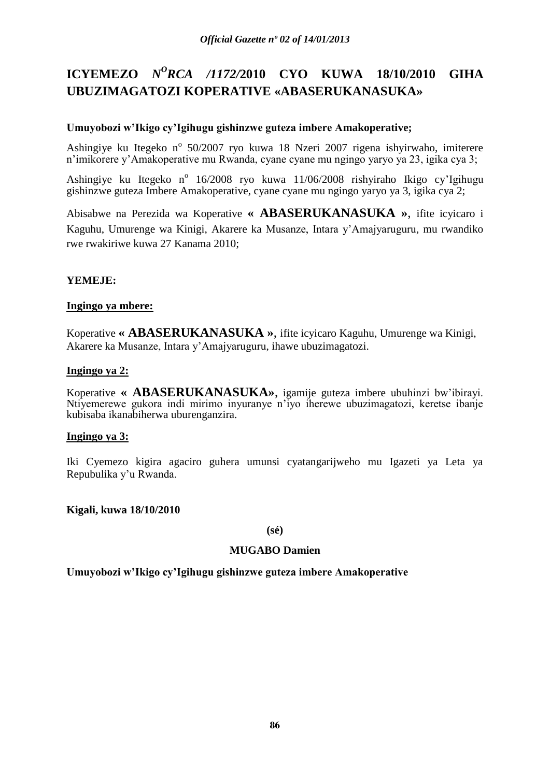# **ICYEMEZO** *N<sup>O</sup>RCA /1172/2010* **CYO KUWA 18/10/2010 GIHA UBUZIMAGATOZI KOPERATIVE «ABASERUKANASUKA»**

# **Umuyobozi w'Ikigo cy'Igihugu gishinzwe guteza imbere Amakoperative;**

Ashingiye ku Itegeko nº 50/2007 ryo kuwa 18 Nzeri 2007 rigena ishyirwaho, imiterere n'imikorere y'Amakoperative mu Rwanda, cyane cyane mu ngingo yaryo ya 23, igika cya 3;

Ashingiye ku Itegeko n<sup>o</sup> 16/2008 ryo kuwa 11/06/2008 rishyiraho Ikigo cy'Igihugu gishinzwe guteza Imbere Amakoperative, cyane cyane mu ngingo yaryo ya 3, igika cya 2;

Abisabwe na Perezida wa Koperative **« ABASERUKANASUKA »**, ifite icyicaro i Kaguhu, Umurenge wa Kinigi, Akarere ka Musanze, Intara y'Amajyaruguru, mu rwandiko rwe rwakiriwe kuwa 27 Kanama 2010;

# **YEMEJE:**

# **Ingingo ya mbere:**

Koperative **« ABASERUKANASUKA »**, ifite icyicaro Kaguhu, Umurenge wa Kinigi, Akarere ka Musanze, Intara y'Amajyaruguru, ihawe ubuzimagatozi.

# **Ingingo ya 2:**

Koperative **« ABASERUKANASUKA»**, igamije guteza imbere ubuhinzi bw'ibirayi. Ntiyemerewe gukora indi mirimo inyuranye n'iyo iherewe ubuzimagatozi, keretse ibanje kubisaba ikanabiherwa uburenganzira.

# **Ingingo ya 3:**

Iki Cyemezo kigira agaciro guhera umunsi cyatangarijweho mu Igazeti ya Leta ya Repubulika y'u Rwanda.

# **Kigali, kuwa 18/10/2010**

#### **(sé)**

# **MUGABO Damien**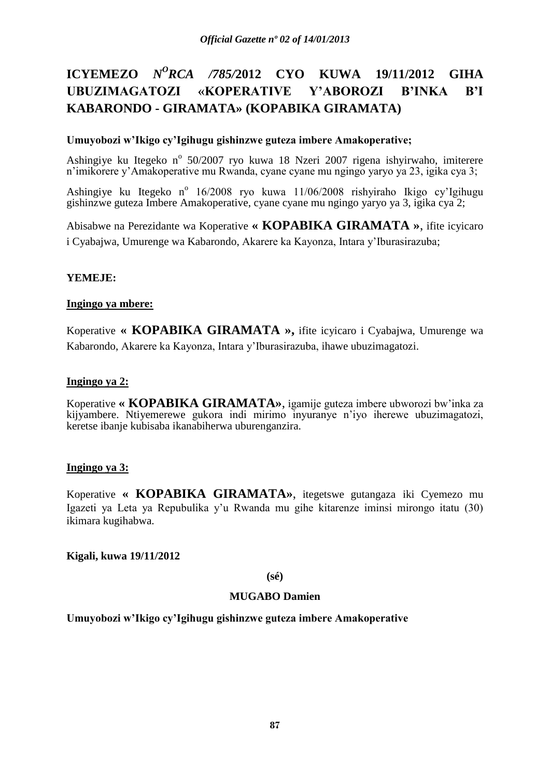# **ICYEMEZO** *N<sup>O</sup>RCA /785/2012* **CYO KUWA 19/11/2012 GIHA UBUZIMAGATOZI «KOPERATIVE Y'ABOROZI B'INKA B'I KABARONDO - GIRAMATA» (KOPABIKA GIRAMATA)**

# **Umuyobozi w'Ikigo cy'Igihugu gishinzwe guteza imbere Amakoperative;**

Ashingiye ku Itegeko nº 50/2007 ryo kuwa 18 Nzeri 2007 rigena ishyirwaho, imiterere n'imikorere y'Amakoperative mu Rwanda, cyane cyane mu ngingo yaryo ya 23, igika cya 3;

Ashingiye ku Itegeko nº 16/2008 ryo kuwa 11/06/2008 rishyiraho Ikigo cy'Igihugu gishinzwe guteza Imbere Amakoperative, cyane cyane mu ngingo yaryo ya 3, igika cya 2;

Abisabwe na Perezidante wa Koperative **« KOPABIKA GIRAMATA »**, ifite icyicaro i Cyabajwa, Umurenge wa Kabarondo, Akarere ka Kayonza, Intara y'Iburasirazuba;

# **YEMEJE:**

# **Ingingo ya mbere:**

Koperative **« KOPABIKA GIRAMATA »,** ifite icyicaro i Cyabajwa, Umurenge wa Kabarondo, Akarere ka Kayonza, Intara y'Iburasirazuba, ihawe ubuzimagatozi.

# **Ingingo ya 2:**

Koperative **« KOPABIKA GIRAMATA»**, igamije guteza imbere ubworozi bw'inka za kijyambere. Ntiyemerewe gukora indi mirimo inyuranye n'iyo iherewe ubuzimagatozi, keretse ibanje kubisaba ikanabiherwa uburenganzira.

# **Ingingo ya 3:**

Koperative **« KOPABIKA GIRAMATA»**, itegetswe gutangaza iki Cyemezo mu Igazeti ya Leta ya Repubulika y'u Rwanda mu gihe kitarenze iminsi mirongo itatu (30) ikimara kugihabwa.

# **Kigali, kuwa 19/11/2012**

# **(sé)**

# **MUGABO Damien**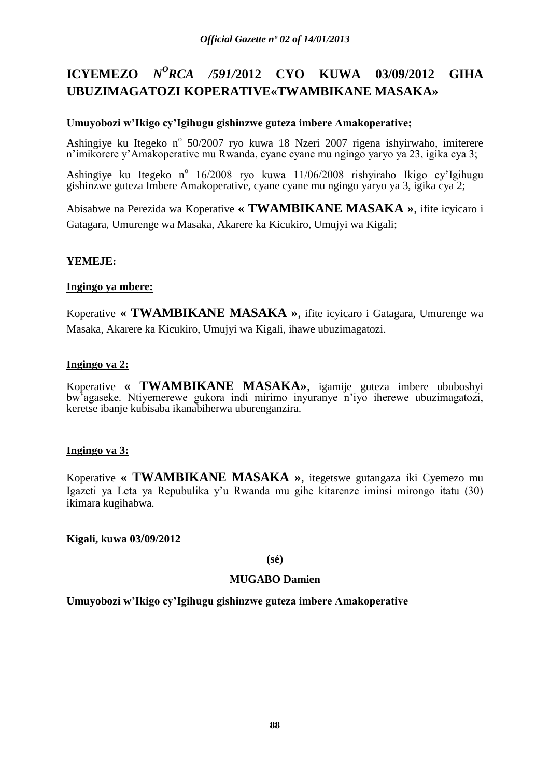# **ICYEMEZO** *N<sup>O</sup>RCA /591/2012* CYO KUWA 03/09/2012 GIHA **UBUZIMAGATOZI KOPERATIVE«TWAMBIKANE MASAKA»**

# **Umuyobozi w'Ikigo cy'Igihugu gishinzwe guteza imbere Amakoperative;**

Ashingiye ku Itegeko nº 50/2007 ryo kuwa 18 Nzeri 2007 rigena ishyirwaho, imiterere n'imikorere y'Amakoperative mu Rwanda, cyane cyane mu ngingo yaryo ya 23, igika cya 3;

Ashingiye ku Itegeko nº 16/2008 ryo kuwa 11/06/2008 rishyiraho Ikigo cy'Igihugu gishinzwe guteza Imbere Amakoperative, cyane cyane mu ngingo yaryo ya 3, igika cya 2;

Abisabwe na Perezida wa Koperative **« TWAMBIKANE MASAKA »**, ifite icyicaro i Gatagara, Umurenge wa Masaka, Akarere ka Kicukiro, Umujyi wa Kigali;

# **YEMEJE:**

# **Ingingo ya mbere:**

Koperative **« TWAMBIKANE MASAKA »**, ifite icyicaro i Gatagara, Umurenge wa Masaka, Akarere ka Kicukiro, Umujyi wa Kigali, ihawe ubuzimagatozi.

# **Ingingo ya 2:**

Koperative **« TWAMBIKANE MASAKA»**, igamije guteza imbere ububoshyi bw'agaseke. Ntiyemerewe gukora indi mirimo inyuranye n'iyo iherewe ubuzimagatozi, keretse ibanje kubisaba ikanabiherwa uburenganzira.

# **Ingingo ya 3:**

Koperative **« TWAMBIKANE MASAKA »**, itegetswe gutangaza iki Cyemezo mu Igazeti ya Leta ya Repubulika y'u Rwanda mu gihe kitarenze iminsi mirongo itatu (30) ikimara kugihabwa.

**Kigali, kuwa 03/09/2012**

**(sé)**

# **MUGABO Damien**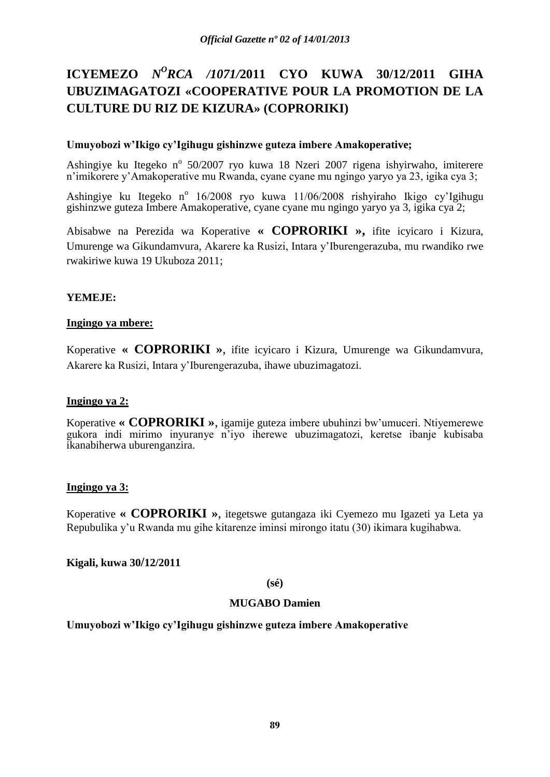# **ICYEMEZO** *N<sup>O</sup>RCA /1071/2011* **CYO KUWA 30/12/2011 GIHA UBUZIMAGATOZI «COOPERATIVE POUR LA PROMOTION DE LA CULTURE DU RIZ DE KIZURA» (COPRORIKI)**

# **Umuyobozi w'Ikigo cy'Igihugu gishinzwe guteza imbere Amakoperative;**

Ashingiye ku Itegeko nº 50/2007 ryo kuwa 18 Nzeri 2007 rigena ishyirwaho, imiterere n'imikorere y'Amakoperative mu Rwanda, cyane cyane mu ngingo yaryo ya 23, igika cya 3;

Ashingiye ku Itegeko nº 16/2008 ryo kuwa 11/06/2008 rishyiraho Ikigo cy'Igihugu gishinzwe guteza Imbere Amakoperative, cyane cyane mu ngingo yaryo ya 3, igika cya 2;

Abisabwe na Perezida wa Koperative **« COPRORIKI »,** ifite icyicaro i Kizura, Umurenge wa Gikundamvura, Akarere ka Rusizi, Intara y'Iburengerazuba, mu rwandiko rwe rwakiriwe kuwa 19 Ukuboza 2011;

# **YEMEJE:**

# **Ingingo ya mbere:**

Koperative **« COPRORIKI »**, ifite icyicaro i Kizura, Umurenge wa Gikundamvura, Akarere ka Rusizi, Intara y'Iburengerazuba, ihawe ubuzimagatozi.

# **Ingingo ya 2:**

Koperative **« COPRORIKI »**, igamije guteza imbere ubuhinzi bw'umuceri. Ntiyemerewe gukora indi mirimo inyuranye n'iyo iherewe ubuzimagatozi, keretse ibanje kubisaba ikanabiherwa uburenganzira.

# **Ingingo ya 3:**

Koperative **« COPRORIKI »**, itegetswe gutangaza iki Cyemezo mu Igazeti ya Leta ya Repubulika y'u Rwanda mu gihe kitarenze iminsi mirongo itatu (30) ikimara kugihabwa.

# **Kigali, kuwa 30/12/2011**

# **(sé)**

# **MUGABO Damien**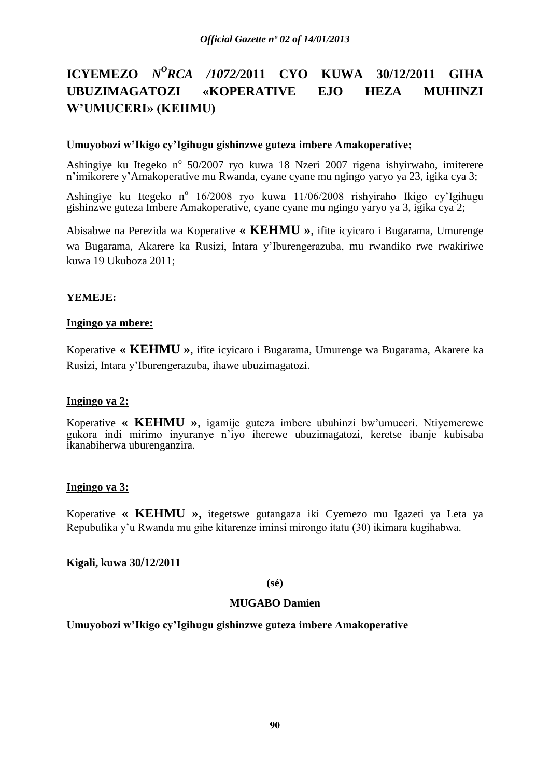# **ICYEMEZO** *N<sup>O</sup>RCA /1072/2011* **CYO KUWA 30/12/2011 GIHA UBUZIMAGATOZI «KOPERATIVE EJO HEZA MUHINZI W'UMUCERI» (KEHMU)**

# **Umuyobozi w'Ikigo cy'Igihugu gishinzwe guteza imbere Amakoperative;**

Ashingiye ku Itegeko nº 50/2007 ryo kuwa 18 Nzeri 2007 rigena ishyirwaho, imiterere n'imikorere y'Amakoperative mu Rwanda, cyane cyane mu ngingo yaryo ya 23, igika cya 3;

Ashingiye ku Itegeko nº 16/2008 ryo kuwa 11/06/2008 rishyiraho Ikigo cy'Igihugu gishinzwe guteza Imbere Amakoperative, cyane cyane mu ngingo yaryo ya 3, igika cya 2;

Abisabwe na Perezida wa Koperative **« KEHMU »**, ifite icyicaro i Bugarama, Umurenge wa Bugarama, Akarere ka Rusizi, Intara y'Iburengerazuba, mu rwandiko rwe rwakiriwe kuwa 19 Ukuboza 2011;

# **YEMEJE:**

# **Ingingo ya mbere:**

Koperative **« KEHMU »**, ifite icyicaro i Bugarama, Umurenge wa Bugarama, Akarere ka Rusizi, Intara y'Iburengerazuba, ihawe ubuzimagatozi.

#### **Ingingo ya 2:**

Koperative **« KEHMU »**, igamije guteza imbere ubuhinzi bw'umuceri. Ntiyemerewe gukora indi mirimo inyuranye n'iyo iherewe ubuzimagatozi, keretse ibanje kubisaba ikanabiherwa uburenganzira.

# **Ingingo ya 3:**

Koperative **« KEHMU »**, itegetswe gutangaza iki Cyemezo mu Igazeti ya Leta ya Repubulika y'u Rwanda mu gihe kitarenze iminsi mirongo itatu (30) ikimara kugihabwa.

# **Kigali, kuwa 30/12/2011**

#### **(sé)**

# **MUGABO Damien**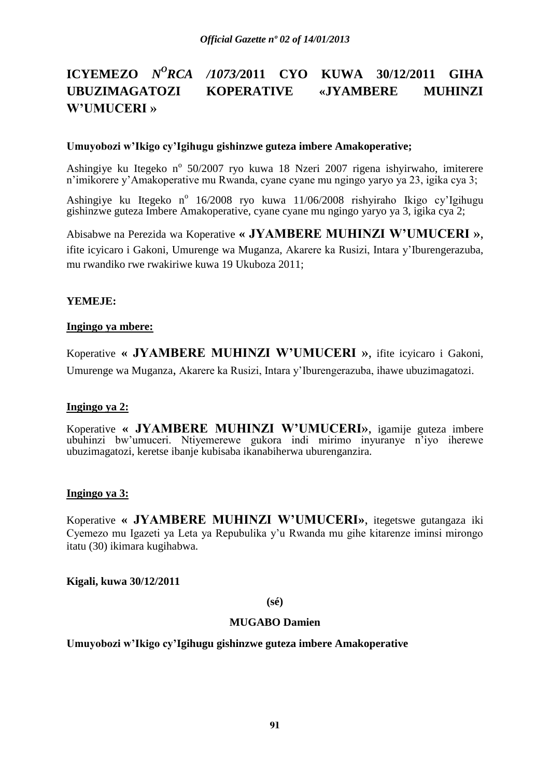# **ICYEMEZO** *N <sup>O</sup>RCA /1073/***2011 CYO KUWA 30/12/2011 GIHA UBUZIMAGATOZI KOPERATIVE «JYAMBERE MUHINZI W'UMUCERI »**

#### **Umuyobozi w'Ikigo cy'Igihugu gishinzwe guteza imbere Amakoperative;**

Ashingiye ku Itegeko nº 50/2007 ryo kuwa 18 Nzeri 2007 rigena ishyirwaho, imiterere n'imikorere y'Amakoperative mu Rwanda, cyane cyane mu ngingo yaryo ya 23, igika cya 3;

Ashingiye ku Itegeko nº 16/2008 ryo kuwa 11/06/2008 rishyiraho Ikigo cy'Igihugu gishinzwe guteza Imbere Amakoperative, cyane cyane mu ngingo yaryo ya 3, igika cya 2;

Abisabwe na Perezida wa Koperative **« JYAMBERE MUHINZI W'UMUCERI »**, ifite icyicaro i Gakoni, Umurenge wa Muganza, Akarere ka Rusizi, Intara y'Iburengerazuba, mu rwandiko rwe rwakiriwe kuwa 19 Ukuboza 2011;

# **YEMEJE:**

#### **Ingingo ya mbere:**

Koperative **« JYAMBERE MUHINZI W'UMUCERI »**, ifite icyicaro i Gakoni, Umurenge wa Muganza, Akarere ka Rusizi, Intara y'Iburengerazuba, ihawe ubuzimagatozi.

# **Ingingo ya 2:**

Koperative **« JYAMBERE MUHINZI W'UMUCERI»**, igamije guteza imbere ubuhinzi bw'umuceri. Ntiyemerewe gukora indi mirimo inyuranye n'iyo iherewe ubuzimagatozi, keretse ibanje kubisaba ikanabiherwa uburenganzira.

# **Ingingo ya 3:**

Koperative **« JYAMBERE MUHINZI W'UMUCERI»**, itegetswe gutangaza iki Cyemezo mu Igazeti ya Leta ya Repubulika y'u Rwanda mu gihe kitarenze iminsi mirongo itatu (30) ikimara kugihabwa.

**Kigali, kuwa 30/12/2011**

**(sé)**

# **MUGABO Damien**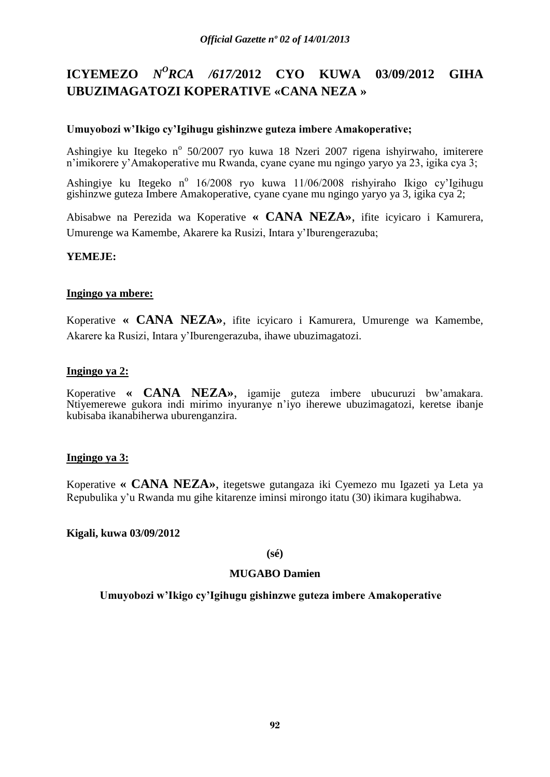# **ICYEMEZO** *N<sup>O</sup>RCA /617/2012* **CYO KUWA 03/09/2012 GIHA UBUZIMAGATOZI KOPERATIVE «CANA NEZA »**

# **Umuyobozi w'Ikigo cy'Igihugu gishinzwe guteza imbere Amakoperative;**

Ashingiye ku Itegeko nº 50/2007 ryo kuwa 18 Nzeri 2007 rigena ishyirwaho, imiterere n'imikorere y'Amakoperative mu Rwanda, cyane cyane mu ngingo yaryo ya 23, igika cya 3;

Ashingiye ku Itegeko nº 16/2008 ryo kuwa 11/06/2008 rishyiraho Ikigo cy'Igihugu gishinzwe guteza Imbere Amakoperative, cyane cyane mu ngingo yaryo ya 3, igika cya 2;

Abisabwe na Perezida wa Koperative **« CANA NEZA»**, ifite icyicaro i Kamurera, Umurenge wa Kamembe, Akarere ka Rusizi, Intara y'Iburengerazuba;

# **YEMEJE:**

# **Ingingo ya mbere:**

Koperative **« CANA NEZA»**, ifite icyicaro i Kamurera, Umurenge wa Kamembe, Akarere ka Rusizi, Intara y'Iburengerazuba, ihawe ubuzimagatozi.

# **Ingingo ya 2:**

Koperative **« CANA NEZA»**, igamije guteza imbere ubucuruzi bw'amakara. Ntiyemerewe gukora indi mirimo inyuranye n'iyo iherewe ubuzimagatozi, keretse ibanje kubisaba ikanabiherwa uburenganzira.

# **Ingingo ya 3:**

Koperative **« CANA NEZA»**, itegetswe gutangaza iki Cyemezo mu Igazeti ya Leta ya Repubulika y'u Rwanda mu gihe kitarenze iminsi mirongo itatu (30) ikimara kugihabwa.

**Kigali, kuwa 03/09/2012**

# **(sé)**

# **MUGABO Damien**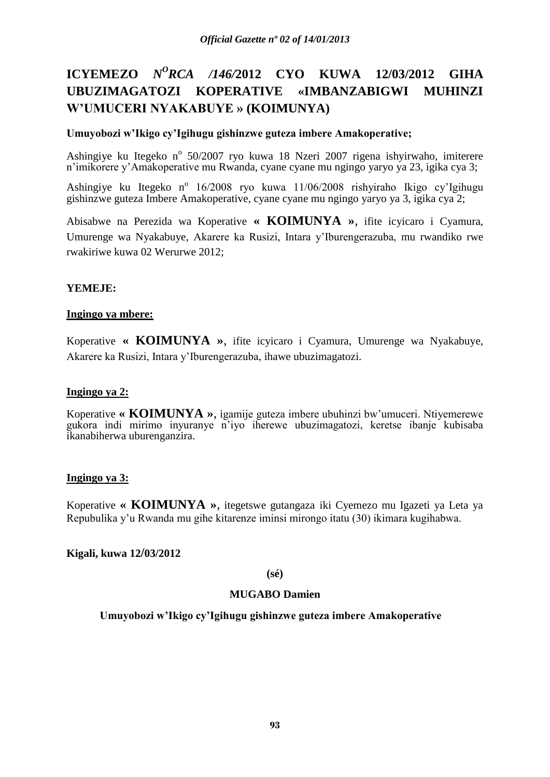# **ICYEMEZO** *N<sup>O</sup>RCA /146/2012* **CYO KUWA 12/03/2012 GIHA UBUZIMAGATOZI KOPERATIVE «IMBANZABIGWI MUHINZI W'UMUCERI NYAKABUYE » (KOIMUNYA)**

# **Umuyobozi w'Ikigo cy'Igihugu gishinzwe guteza imbere Amakoperative;**

Ashingiye ku Itegeko nº 50/2007 ryo kuwa 18 Nzeri 2007 rigena ishyirwaho, imiterere n'imikorere y'Amakoperative mu Rwanda, cyane cyane mu ngingo yaryo ya 23, igika cya 3;

Ashingiye ku Itegeko nº 16/2008 ryo kuwa 11/06/2008 rishyiraho Ikigo cy'Igihugu gishinzwe guteza Imbere Amakoperative, cyane cyane mu ngingo yaryo ya 3, igika cya 2;

Abisabwe na Perezida wa Koperative **« KOIMUNYA »**, ifite icyicaro i Cyamura, Umurenge wa Nyakabuye, Akarere ka Rusizi, Intara y'Iburengerazuba, mu rwandiko rwe rwakiriwe kuwa 02 Werurwe 2012;

# **YEMEJE:**

# **Ingingo ya mbere:**

Koperative **« KOIMUNYA »**, ifite icyicaro i Cyamura, Umurenge wa Nyakabuye, Akarere ka Rusizi, Intara y'Iburengerazuba, ihawe ubuzimagatozi.

# **Ingingo ya 2:**

Koperative **« KOIMUNYA »**, igamije guteza imbere ubuhinzi bw'umuceri. Ntiyemerewe gukora indi mirimo inyuranye n'iyo iherewe ubuzimagatozi, keretse ibanje kubisaba ikanabiherwa uburenganzira.

# **Ingingo ya 3:**

Koperative **« KOIMUNYA »**, itegetswe gutangaza iki Cyemezo mu Igazeti ya Leta ya Repubulika y'u Rwanda mu gihe kitarenze iminsi mirongo itatu (30) ikimara kugihabwa.

# **Kigali, kuwa 12/03/2012**

**(sé)**

# **MUGABO Damien**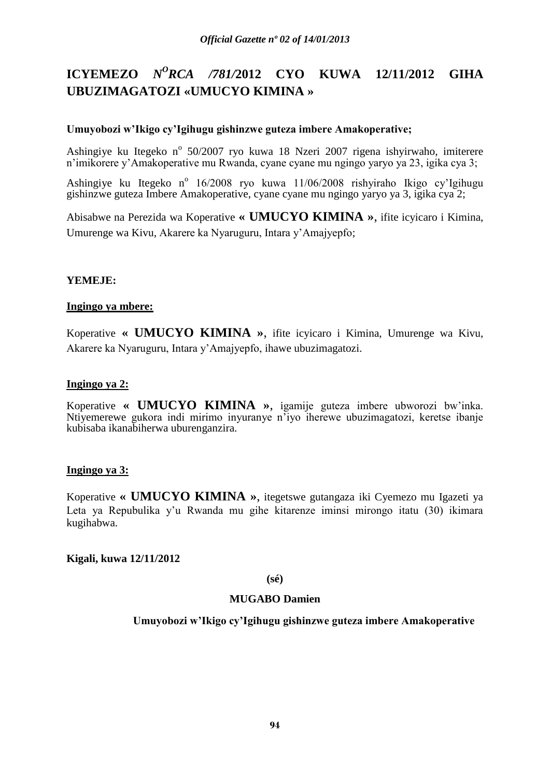# **ICYEMEZO** *N <sup>O</sup>RCA /781/***2012 CYO KUWA 12/11/2012 GIHA UBUZIMAGATOZI «UMUCYO KIMINA »**

# **Umuyobozi w'Ikigo cy'Igihugu gishinzwe guteza imbere Amakoperative;**

Ashingiye ku Itegeko nº 50/2007 ryo kuwa 18 Nzeri 2007 rigena ishyirwaho, imiterere n'imikorere y'Amakoperative mu Rwanda, cyane cyane mu ngingo yaryo ya 23, igika cya 3;

Ashingiye ku Itegeko nº 16/2008 ryo kuwa 11/06/2008 rishyiraho Ikigo cy'Igihugu gishinzwe guteza Imbere Amakoperative, cyane cyane mu ngingo yaryo ya 3, igika cya 2;

Abisabwe na Perezida wa Koperative **« UMUCYO KIMINA »**, ifite icyicaro i Kimina, Umurenge wa Kivu, Akarere ka Nyaruguru, Intara y'Amajyepfo;

# **YEMEJE:**

# **Ingingo ya mbere:**

Koperative **« UMUCYO KIMINA »**, ifite icyicaro i Kimina, Umurenge wa Kivu, Akarere ka Nyaruguru, Intara y'Amajyepfo, ihawe ubuzimagatozi.

#### **Ingingo ya 2:**

Koperative **« UMUCYO KIMINA »**, igamije guteza imbere ubworozi bw'inka. Ntiyemerewe gukora indi mirimo inyuranye n'iyo iherewe ubuzimagatozi, keretse ibanje kubisaba ikanabiherwa uburenganzira.

# **Ingingo ya 3:**

Koperative **« UMUCYO KIMINA »**, itegetswe gutangaza iki Cyemezo mu Igazeti ya Leta ya Repubulika y'u Rwanda mu gihe kitarenze iminsi mirongo itatu (30) ikimara kugihabwa.

# **Kigali, kuwa 12/11/2012**

#### **(sé)**

# **MUGABO Damien**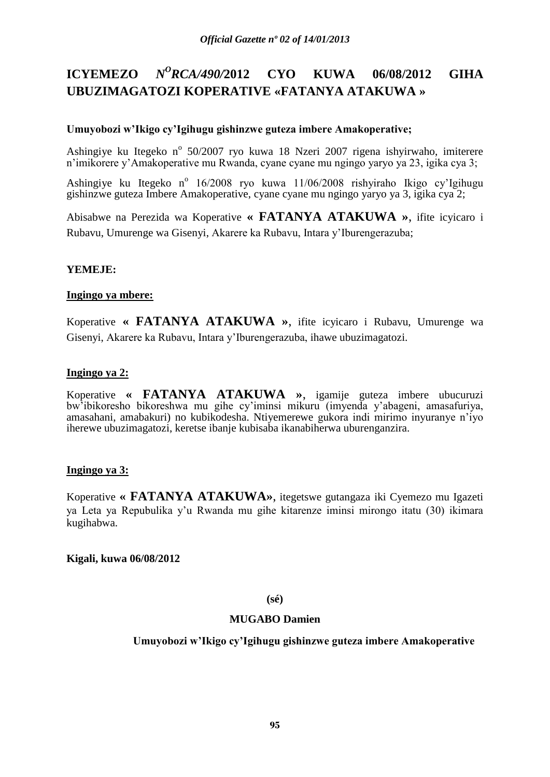#### **ICYEMEZO** *<sup>O</sup>RCA/490/***2012 CYO KUWA 06/08/2012 GIHA UBUZIMAGATOZI KOPERATIVE «FATANYA ATAKUWA »**

# **Umuyobozi w'Ikigo cy'Igihugu gishinzwe guteza imbere Amakoperative;**

Ashingiye ku Itegeko nº 50/2007 ryo kuwa 18 Nzeri 2007 rigena ishyirwaho, imiterere n'imikorere y'Amakoperative mu Rwanda, cyane cyane mu ngingo yaryo ya 23, igika cya 3;

Ashingiye ku Itegeko nº 16/2008 ryo kuwa 11/06/2008 rishyiraho Ikigo cy'Igihugu gishinzwe guteza Imbere Amakoperative, cyane cyane mu ngingo yaryo ya 3, igika cya 2;

Abisabwe na Perezida wa Koperative **« FATANYA ATAKUWA »**, ifite icyicaro i Rubavu, Umurenge wa Gisenyi, Akarere ka Rubavu, Intara y'Iburengerazuba;

# **YEMEJE:**

# **Ingingo ya mbere:**

Koperative **« FATANYA ATAKUWA »**, ifite icyicaro i Rubavu, Umurenge wa Gisenyi, Akarere ka Rubavu, Intara y'Iburengerazuba, ihawe ubuzimagatozi.

# **Ingingo ya 2:**

Koperative **« FATANYA ATAKUWA »**, igamije guteza imbere ubucuruzi bw'ibikoresho bikoreshwa mu gihe cy'iminsi mikuru (imyenda y'abageni, amasafuriya, amasahani, amabakuri) no kubikodesha. Ntiyemerewe gukora indi mirimo inyuranye n'iyo iherewe ubuzimagatozi, keretse ibanje kubisaba ikanabiherwa uburenganzira.

# **Ingingo ya 3:**

Koperative **« FATANYA ATAKUWA»**, itegetswe gutangaza iki Cyemezo mu Igazeti ya Leta ya Repubulika y'u Rwanda mu gihe kitarenze iminsi mirongo itatu (30) ikimara kugihabwa.

# **Kigali, kuwa 06/08/2012**

#### **(sé)**

# **MUGABO Damien**